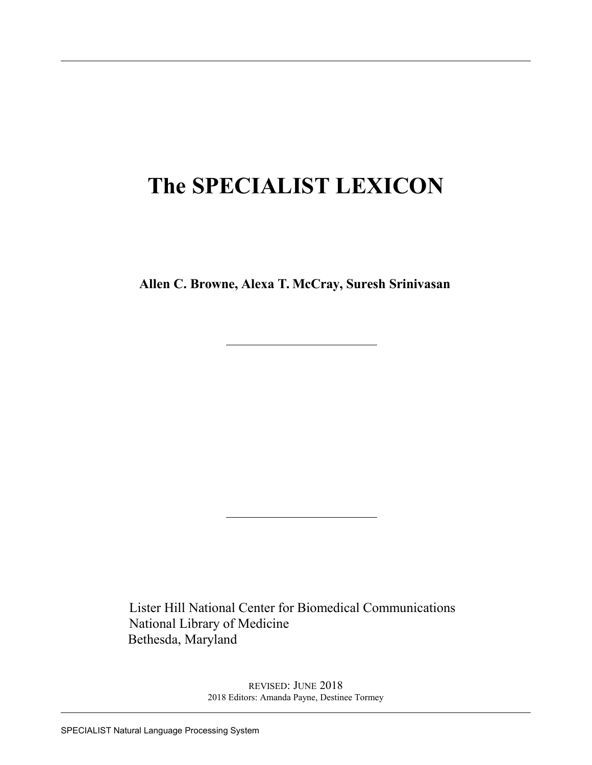# **The SPECIALIST LEXICON**

**Allen C. Browne, Alexa T. McCray, Suresh Srinivasan**

Lister Hill National Center for Biomedical Communications National Library of Medicine Bethesda, Maryland

> REVISED: JUNE 2018 2018 Editors: Amanda Payne, Destinee Tormey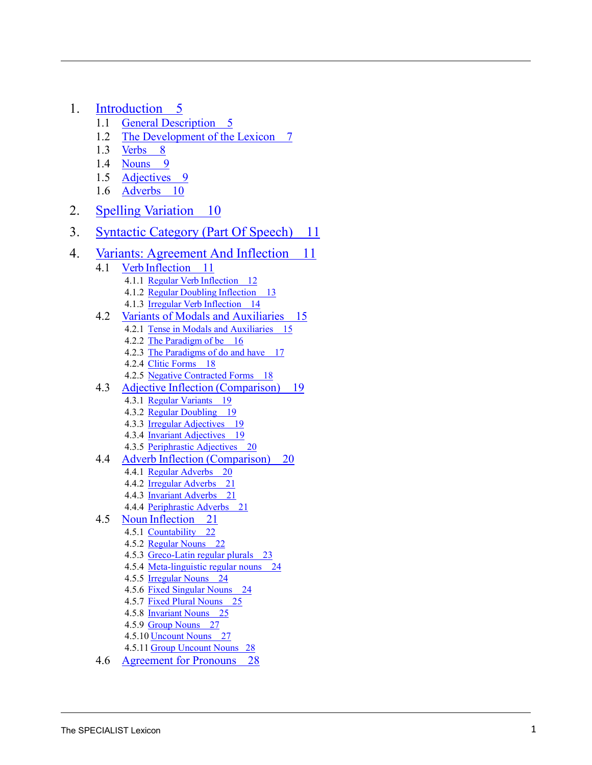- 1. [Introduction](#page-6-0) 5
	- 1.1 [General Description](#page-6-0) 5
	- 1.2 [The Development](#page-8-0) of the Lexicon 7
	- 1.3 [Verbs](#page-9-0) 8
	- 1.4 **[Nouns](#page-10-0)** 9
	- 1.5 [Adjectives](#page-10-1) 9
	- 1.6 [Adverbs](#page-11-0) 10
- 2. Spelling [Variation](#page-11-1) 10
- 3. [Syntactic Category](#page-12-0) (Part Of Speech) 11
- 4. Variants: [Agreement](#page-12-1) And Inflection 11
	- 4.1 Verb [Inflection](#page-12-2) 11 4.1.1 Regular Verb [Inflection 12](#page-13-0) 4.1.2 Regular Doubling [Inflection](#page-14-0) 13 4.1.3 Irregular Verb [Inflection](#page-15-0) 14 4.2 [Variants of Modals and Auxiliaries](#page-16-0) 15
		- 4.2.1 Tense [in Modals and Auxiliaries](#page-16-1) 15
			- 4.2.2 [The Paradigm](#page-17-0) of be 16
			- 4.2.3 The Paradigms [of do and have 17](#page-18-0)
			- 4.2.4 <u>Clitic Forms</u> 18
			- 4.2.5 Negative [Contracted Forms](#page-19-0) 18
	- 4.3 Adjective Inflection [\(Comparison\)](#page-21-0) 19
		- 4.3.1 <u>Regular [Variants](#page-19-1) 19</u>
		- 4.3.2 Regular [Doubling 19](#page-20-0)
		- 4.3.3 Irregular [Adjectives 19](#page-20-1)
		- 4.3.4 Invariant [Adjectives 19](#page-20-2)
		- 4.3.5 [Periphrastic Adjectives](#page-21-1) 20
	- 4.4 Adverb Inflection [\(Comparison\)](#page-21-0) 20
		- 4.4.1 <u>Regular Adverbs</u> 20
		- 4.4.2 Irregular [Adverbs 21](#page-22-0)
		- 4.4.3 Invariant [Adverbs](#page-22-1) 21
		- 4.4.4 [Periphrastic Adverbs](#page-21-1) 21
	- 4.5 Noun [Inflection](#page-22-2) 21
		- 4.5.1 [Countability 22](#page-22-2)
		- 4.5.2 <u>[Regular](#page-23-0) Nouns 22</u>
		- 4.5.3 Greco[-Latin regular](#page-24-0) plurals 23
		- 4.5.4 Meta[-linguistic regular](#page-25-0) nouns 24
		- 4.5.5 <u>[Irregular](#page-25-1) Nouns 24</u>
		- 4.5.6 Fixed [Singular Nouns](#page-25-2) 24
		- 4.5.7 Fixed [Plural Nouns](#page-26-0) 25
		- 4.5.8 <u>Invariant [Nouns 2](#page-26-1)5</u>
		- 4.5.9 <u>[Group Nouns](#page-28-0) 27</u>
		- 4.5.10 <u>Uncount Nouns</u> 27
		- 4.5.11 [Group Uncount Nouns](#page-29-0) 28
	- 4.6 [Agreement for Pronouns](#page-29-1) 28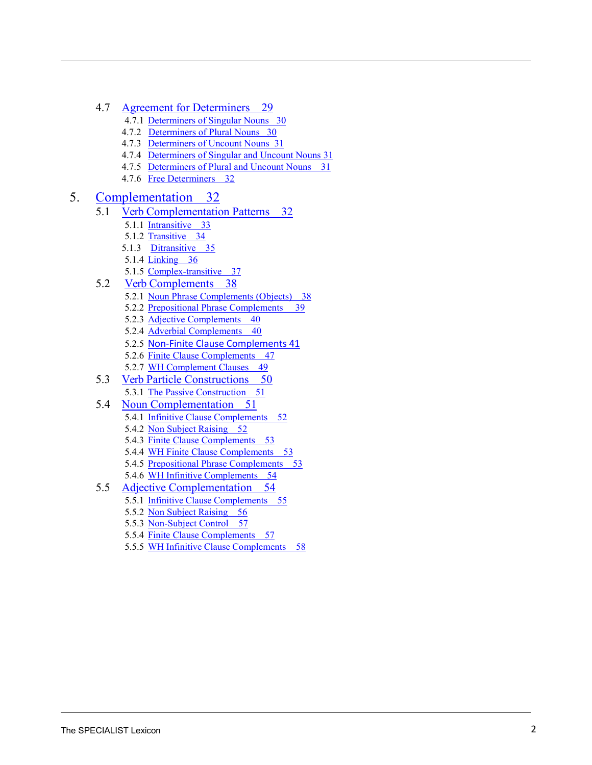- 4.7 [Agreement for Determiners](#page-30-0) 29
	- 4.7.1 [Determiners of Singular Nouns](#page-31-0) 30
	- 4.7.2 [Determiners of Plural Nouns 30](#page-31-1)
	- 4.7.3 [Determiners of Uncount Nouns 31](#page-32-0)
	- 4.7.4 [Determiners of Singular and Uncount Nouns](#page-32-1) 31
	- 4.7.5 [Determiners of Plural and Uncount Nouns](#page-32-2) 31
	- 4.7.6 [Free Determiners 32](#page-33-0)

#### 5. [Complementation](#page-33-1) 32

- 5.1 Verb [Complementation Patterns](#page-33-1) 32
	- 5.1.1 [Intransitive 33](#page-34-0)
	- 5.1.2 [Transitive 34](#page-35-0)
	- 5.1.3 [Ditransitive 35](#page-36-0)
	- 5.1.4 [Linking 36](#page-37-0)
	- 5.1.5 [Complex-transitive 37](#page-38-0)
- 5.2 Verb [Complements](#page-39-0) 38
	- 5.2.1 [Noun Phrase Complements \(Objects\)](#page-39-1) 38
	- 5.2.2 [Prepositional Phrase Complements](#page-40-0) 39
	- 5.2.3 Adjective [Complements 40](#page-41-0)
	- 5.2.4 Adverbial [Complements 40](#page-41-1)
	- 5.2.5 [Non-Finite Clause Complements 41](#page-42-0)
	- 5.2.6 [Finite Clause Complements](#page-58-0) 47
	- 5.2.7 [WH Complement Clauses](#page-50-0) 49
- 5.3 Verb Particle [Constructions](#page-51-0) 50 5.3.1 The Passive [Construction 51](#page-52-0)
- 5.4 [Noun Complementation](#page-52-1) 51
	- 5.4.1 Infinitive Clause [Complements](#page-53-0) 52
	- 5.4.2 [Non Subject Raising 52](#page-53-1)
	- 5.4.3 [Finite Clause Complements](#page-58-0) 53
	- 5.4.4 [WH Finite Clause Complements](#page-54-0) 53
	- 5.4.5 [Prepositional Phrase Complements](#page-54-1) 53
- 5.4.6 WH Infinitive [Complements 54](#page-55-0)
- 5.5 Adjective [Complementation](#page-55-1) 54
	- 5.5.1 Infinitive Clause [Complements](#page-56-0) 55
		- 5.5.2 [Non Subject Raising 56](#page-57-0)
		- 5.5.3 [Non-Subject Control 57](#page-58-1)
		- 5.5.4 [Finite Clause Complements](#page-58-0) 57
		- 5.5.5 WH Infinitive Clause [Complements](#page-59-0) 58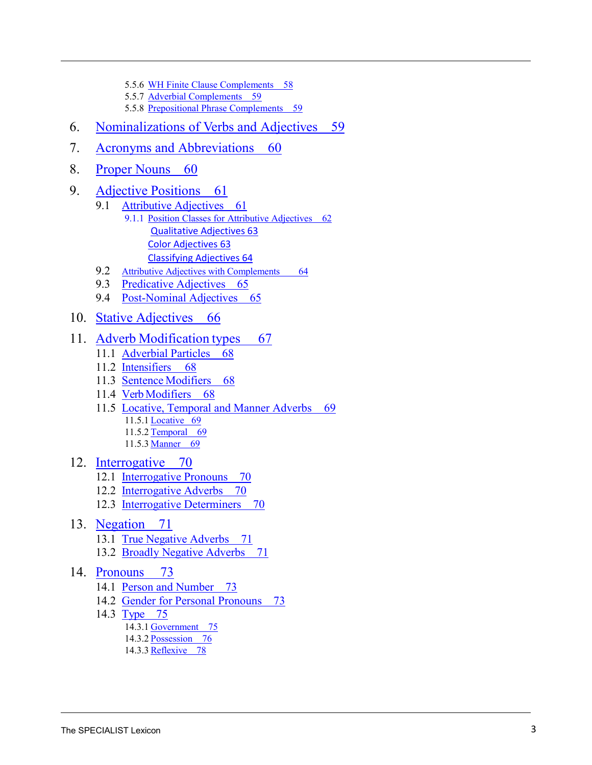- 5.5.6 [WH Finite Clause Complements](#page-59-1) 58
- 5.5.7 Adverbial [Complements 59](#page-60-0)
- 5.5.8 [Prepositional Phrase Complements](#page-54-1) 59
- 6. [Nominalizations of Verbs and Adjectives](#page-60-1) 59
- 7. Acronyms [and Abbreviations](#page-61-0) 60
- 8. [Proper Nouns](#page-61-1) 60
- 9. [Adjective](#page-62-0) Positions 61
	- 9.1 [Attributive](#page-62-1) Adjectives 61
		- 9.1.1 [Position Classes for Attributive](#page-63-0) Adjectives 62 [Qualitative Adjectives 63](#page-64-0) [Color Adjectives 63](#page-64-0) [Classifying Adjectives 64](#page-65-0)
	- 9.2 [Attributive Adjectives with Complements](#page-65-1) 64
	- 9.3 [Predicative](#page-66-0) Adjectives 65
	- 9.4 [Post-Nominal Adjectives](#page-66-1) 65
- 10. Stative [Adjectives](#page-67-0) 66

#### 11. Adverb [Modification](#page-68-0) types 67

- 11.1 [Adverbial](#page-69-0) Particles 68
- 11.2 [Intensifiers](#page-69-1) 68
- 11.3 Sentence [Modifiers](#page-69-2) 68
- 11.4 [VerbModifiers](#page-69-3) 68
- 11.5 Locative, Temporal [and Manner Adverbs](#page-70-0) 69
	- 11.5.1 [Locative 69](#page-70-0)
	- 11.5.2 [Temporal 69](#page-70-1)
	- 11.5.3 [Manner 69](#page-70-2)
- 12. [Interrogative](#page-71-0) 70
	- 12.1 [Interrogative](#page-71-1) Pronouns 70
	- 12.2 [Interrogative](#page-71-2) Adverbs 70
	- 12.3 [Interrogative](#page-71-3) Determiners 70
- 13. [Negation](#page-72-0) 71
	- 13.1 True [Negative](#page-72-1) Adverbs 71
	- 13.2 [Broadly Negative](#page-72-2) Adverbs 71
- 14. [Pronouns](#page-74-0) 73
	- 14.1 [Person and Number](#page-74-1) 73
	- 14.2 [Gender for Personal Pronouns](#page-74-2) 73
	- 14.3 [Type](#page-76-0) 75
		- 14.3.1 [Government 75](#page-76-1)
		- 14.3.2 [Possession 76](#page-77-0)
		- 14.3.3 [Reflexive 78](#page-79-0)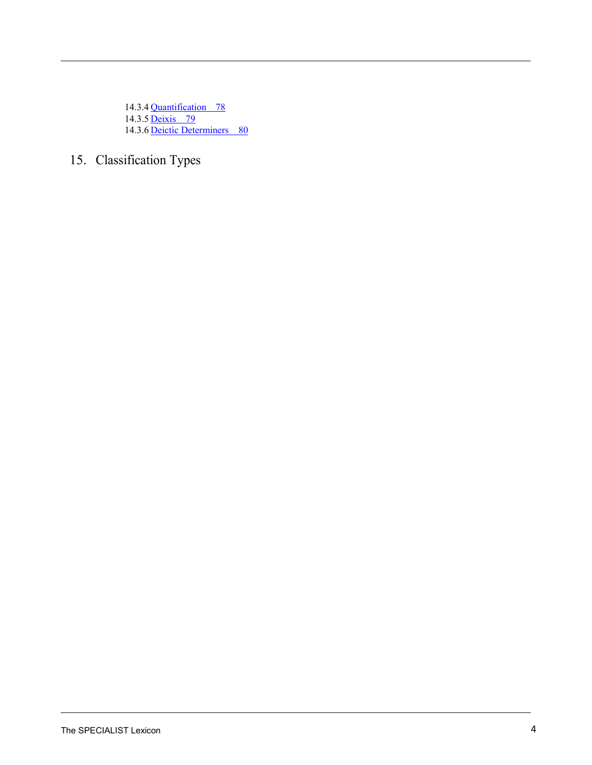14.3.4 [Quantification 78](#page-79-1) 14.3.5 [Deixis 79](#page-80-0) 14.3.6 [Deictic Determiners 80](#page-81-0)

## 15. Classification Types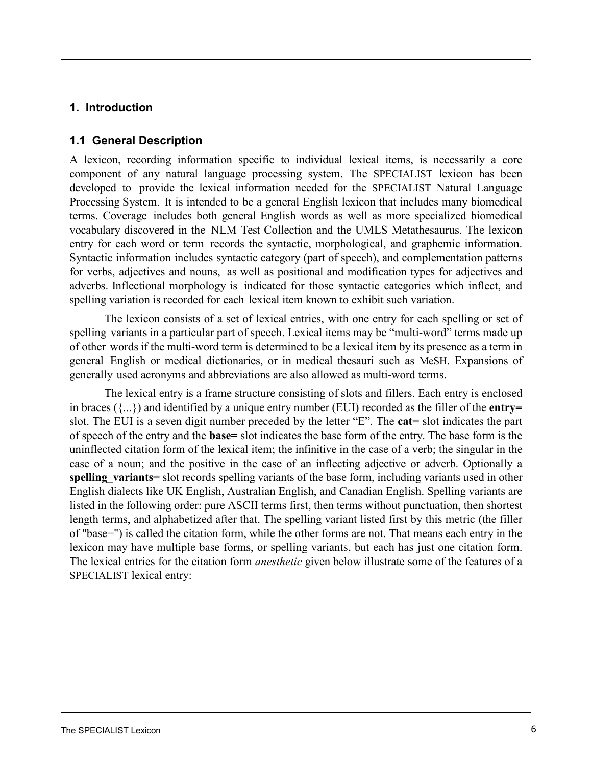#### <span id="page-6-0"></span>**1. Introduction**

#### **1.1 General Description**

A lexicon, recording information specific to individual lexical items, is necessarily a core component of any natural language processing system. The SPECIALIST lexicon has been developed to provide the lexical information needed for the SPECIALIST Natural Language Processing System. It is intended to be a general English lexicon that includes many biomedical terms. Coverage includes both general English words as well as more specialized biomedical vocabulary discovered in the NLM Test Collection and the UMLS Metathesaurus. The lexicon entry for each word or term records the syntactic, morphological, and graphemic information. Syntactic information includes syntactic category (part of speech), and complementation patterns for verbs, adjectives and nouns, as well as positional and modification types for adjectives and adverbs. Inflectional morphology is indicated for those syntactic categories which inflect, and spelling variation is recorded for each lexical item known to exhibit such variation.

The lexicon consists of a set of lexical entries, with one entry for each spelling or set of spelling variants in a particular part of speech. Lexical items may be "multi-word" terms made up of other words if the multi-word term is determined to be a lexical item by its presence as a term in general English or medical dictionaries, or in medical thesauri such as MeSH. Expansions of generally used acronyms and abbreviations are also allowed as multi-word terms.

The lexical entry is a frame structure consisting of slots and fillers. Each entry is enclosed in braces ({...}) and identified by a unique entry number (EUI) recorded as the filler of the **entry=**  slot. The EUI is a seven digit number preceded by the letter "E". The **cat=** slot indicates the part of speech of the entry and the **base=** slot indicates the base form of the entry. The base form is the uninflected citation form of the lexical item; the infinitive in the case of a verb; the singular in the case of a noun; and the positive in the case of an inflecting adjective or adverb. Optionally a **spelling\_variants=** slot records spelling variants of the base form, including variants used in other English dialects like UK English, Australian English, and Canadian English. Spelling variants are listed in the following order: pure ASCII terms first, then terms without punctuation, then shortest length terms, and alphabetized after that. The spelling variant listed first by this metric (the filler of "base=") is called the citation form, while the other forms are not. That means each entry in the lexicon may have multiple base forms, or spelling variants, but each has just one citation form. The lexical entries for the citation form *anesthetic* given below illustrate some of the features of a SPECIALIST lexical entry: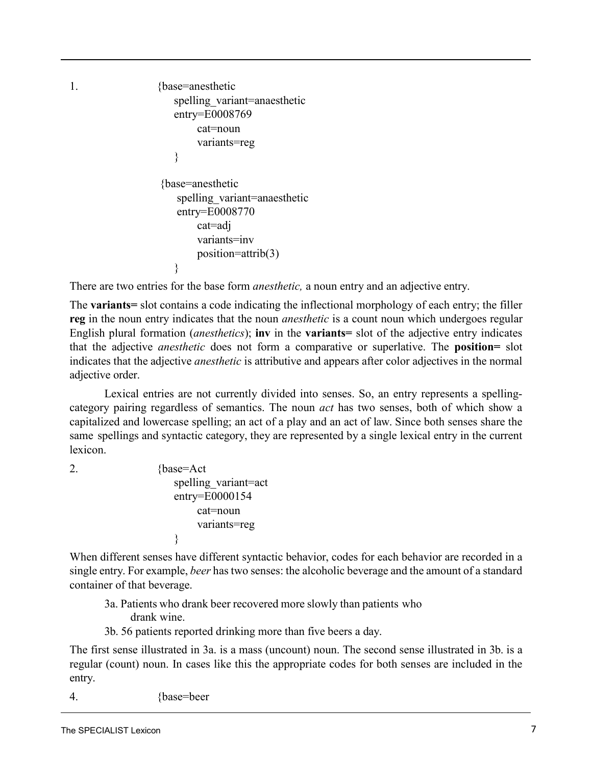```
1. {base=anesthetic 
                    spelling variant=anaesthetic
                    entry=E0008769
                         cat=noun 
                         variants=reg
                    }
                 {base=anesthetic 
                     spelling_variant=anaesthetic
                     entry=E0008770
                         cat=adj 
                         variants=inv
                         position=attrib(3)
                    }
```
There are two entries for the base form *anesthetic,* a noun entry and an adjective entry.

The **variants=** slot contains a code indicating the inflectional morphology of each entry; the filler **reg** in the noun entry indicates that the noun *anesthetic* is a count noun which undergoes regular English plural formation (*anesthetics*); **inv** in the **variants=** slot of the adjective entry indicates that the adjective *anesthetic* does not form a comparative or superlative. The **position=** slot indicates that the adjective *anesthetic* is attributive and appears after color adjectives in the normal adjective order.

Lexical entries are not currently divided into senses. So, an entry represents a spellingcategory pairing regardless of semantics. The noun *act* has two senses, both of which show a capitalized and lowercase spelling; an act of a play and an act of law. Since both senses share the same spellings and syntactic category, they are represented by a single lexical entry in the current lexicon.

<span id="page-7-1"></span><span id="page-7-0"></span>

2. {base=Act spelling\_variant=act entry=E0000154 cat=noun variants=reg }

When different senses have different syntactic behavior, codes for each behavior are recorded in a single entry. For example, *beer* has two senses: the alcoholic beverage and the amount of a standard container of that beverage.

- 3a. Patients who drank beer recovered more slowly than patients who drank wine.
- 3b. 56 patients reported drinking more than five beers a day.

The first sense [illustrated](#page-7-0) in 3a. is a mass (uncount) noun. The second sense illustrated in [3b.](#page-7-1) is a regular (count) noun. In cases like this the appropriate codes for both senses are included in the entry.

4. {base=beer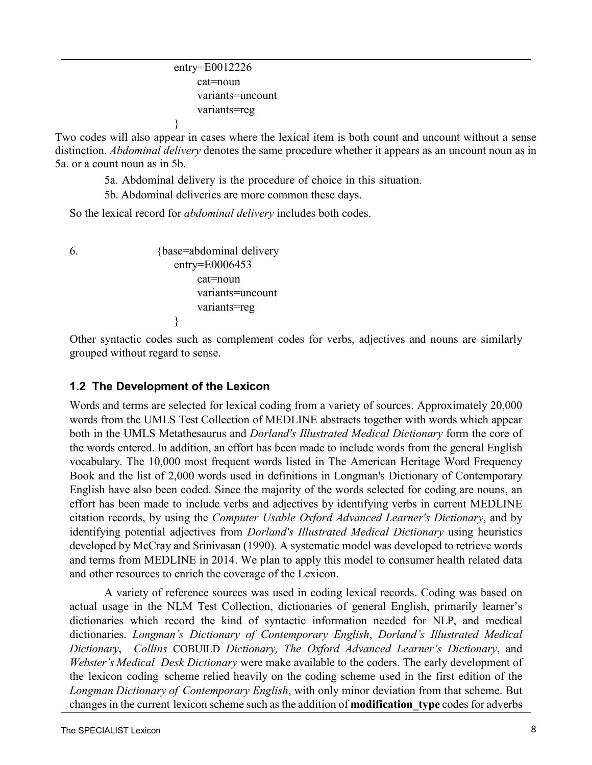```
entry=E0012226 
    cat=noun 
     variants=uncount
     variants=reg
}
```
<span id="page-8-1"></span>Two codes will also appear in cases where the lexical item is both count and uncount without a sense distinction. *Abdominal delivery* denotes the same procedure whether it appears as an [uncount noun as in](#page-8-1)  [5a.](#page-8-1) or a count noun as in 5[b.](#page-8-1)

5a. Abdominal delivery is the procedure of choice in this situation.

5b. Abdominal deliveries are more common these days.

So the lexical record for *abdominal delivery* includes both codes.

<span id="page-8-0"></span>

6. {base=abdominal delivery entry=E0006453 cat=noun variants=uncount variants=reg }

Other syntactic codes such as complement codes for verbs, adjectives and nouns are similarly grouped without regard to sense.

#### **1.2 The Development of the Lexicon**

Words and terms are selected for lexical coding from a variety of sources. Approximately 20,000 words from the UMLS Test Collection of MEDLINE abstracts together with words which appear both in the UMLS Metathesaurus and *Dorland's Illustrated Medical Dictionary* form the core of the words entered. In addition, an effort has been made to include words from the general English vocabulary. The 10,000 most frequent words listed in The American Heritage Word Frequency Book and the list of 2,000 words used in definitions in Longman's Dictionary of Contemporary English have also been coded. Since the majority of the words selected for coding are nouns, an effort has been made to include verbs and adjectives by identifying verbs in current MEDLINE citation records, by using the *Computer Usable Oxford Advanced Learner's Dictionary*, and by identifying potential adjectives from *Dorland's Illustrated Medical Dictionary* using heuristics developed by McCray and Srinivasan (1990). A systematic model was developed to retrieve words and terms from MEDLINE in 2014. We plan to apply this model to consumer health related data and other resources to enrich the coverage of the Lexicon.

A variety of reference sources was used in coding lexical records. Coding was based on actual usage in the NLM Test Collection, dictionaries of general English, primarily learner's dictionaries which record the kind of syntactic information needed for NLP, and medical dictionaries. *Longman's Dictionary of Contemporary English*, *Dorland's Illustrated Medical Dictionary*, *Collins* COBUILD *Dictionary, The Oxford Advanced Learner's Dictionary*, and *Webster's Medical Desk Dictionary* were make available to the coders. The early development of the lexicon coding scheme relied heavily on the coding scheme used in the first edition of the *Longman Dictionary of Contemporary English*, with only minor deviation from that scheme. But changes in the current lexicon scheme such as the addition of **modification\_type** codes for adverbs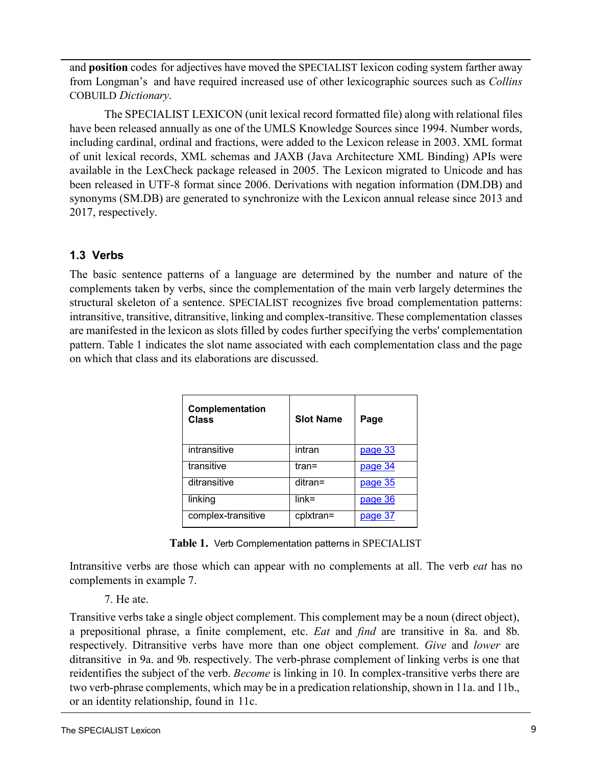and **position** codes for adjectives have moved the SPECIALIST lexicon coding system farther away from Longman's and have required increased use of other lexicographic sources such as *Collins*  COBUILD *Dictionary*.

The SPECIALIST LEXICON (unit lexical record formatted file) along with relational files have been released annually as one of the UMLS Knowledge Sources since 1994. Number words, including cardinal, ordinal and fractions, were added to the Lexicon release in 2003. XML format of unit lexical records, XML schemas and JAXB (Java Architecture XML Binding) APIs were available in the LexCheck package released in 2005. The Lexicon migrated to Unicode and has been released in UTF-8 format since 2006. Derivations with negation information (DM.DB) and synonyms (SM.DB) are generated to synchronize with the Lexicon annual release since 2013 and 2017, respectively.

## <span id="page-9-0"></span>**1.3 Verbs**

The basic sentence patterns of a language are determined by the number and nature of the complements taken by verbs, since the complementation of the main verb largely determines the structural skeleton of a sentence. SPECIALIST recognizes five broad complementation patterns: intransitive, transitive, ditransitive, linking and complex-transitive. These complementation classes are manifested in the lexicon as slots filled by codes further specifying the verbs' complementation pattern. [Table](#page-9-1) 1 indicates the slot name associated with each complementation class and the page on which that class and its elaborations are discussed.

<span id="page-9-1"></span>

| Complementation<br>Class | <b>Slot Name</b> | Page           |
|--------------------------|------------------|----------------|
| intransitive             | intran           | <u>page 33</u> |
| transitive               | tran=            | page 34        |
| ditransitive             | ditran=          | page 35        |
| linking                  | $link =$         | page 36        |
| complex-transitive       | cplxtran=        | page 37        |

<span id="page-9-7"></span>**Table 1.** Verb Complementation patterns in SPECIALIST

Intransitive verbs are those which can appear with no complements at all. The verb *eat* has no complements in example 7.

#### <span id="page-9-5"></span>7. He ate.

<span id="page-9-6"></span><span id="page-9-4"></span><span id="page-9-3"></span><span id="page-9-2"></span>Transitive verbs take a single object complement. This complement may be a noun (direct object), a prepositional phrase, a finite complement, etc. *Eat* and *find* are transitive in 8a. and 8[b.](#page-9-2) respectively. Ditransitive verbs have more than one object complement. *Give* and *lower* are ditransitive in [9a.](#page-9-3) and [9b.](#page-9-4) respectively. The verb-phrase complement of linking verbs is one that reidentifies the subject of the verb. *Become* is linking in [10.](#page-9-5) In complex-transitive verbs there are two verb-phrase complements, which may be in a predication relationship, shown in 11a. and 11[b.,](#page-9-6) or an identity relationship, found in [11c.](#page-9-7)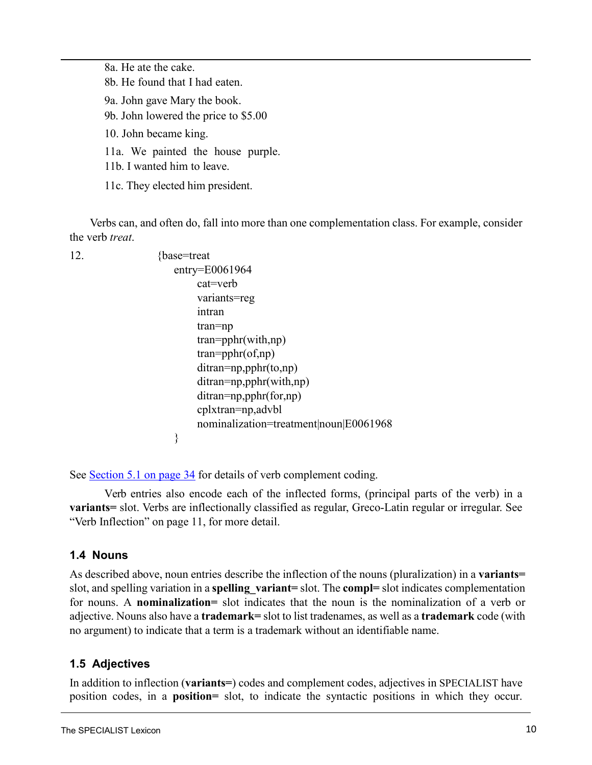8a. He ate the cake. 8b. He found that I had eaten. 9a. John gave Mary the book. 9b. John lowered the price to \$5.00 10. John became king. 11a. We painted the house purple. 11b. I wanted him to leave. 11c. They elected him president.

Verbs can, and often do, fall into more than one complementation class. For example, consider the verb *treat*.

```
12. {base=treat}
                     entry=E0061964 
                         cat=verb
                         variants=reg
                         intran 
                         tran=np
                         tran=pphr(with,np) 
                         tran=pphr(of,np) 
                         ditran=np,pphr(to,np) 
                         ditran=np,pphr(with,np) 
                         ditran=np,pphr(for,np)
                         cplxtran=np,advbl
                         nominalization=treatment|noun|E0061968
                     }
```
<span id="page-10-0"></span>See [Section 5.1 on page](#page-33-1) 34 for details of verb complement coding.

<span id="page-10-1"></span>Verb entries also encode each of the inflected forms, (principal parts of the verb) in a **variants=** slot. Verbs are inflectionally classified as regular, Greco-Latin regular or irregular. Se[e](#page-12-3) "Verb [Inflection"](#page-12-3) on page 11, for more detail.

#### **1.4 Nouns**

<span id="page-10-2"></span>As described above, noun entries describe the inflection of the nouns (pluralization) in a **variants=** slot, and spelling variation in a **spelling\_variant=** slot. The **compl=** slot indicates complementation for nouns. A **nominalization=** slot indicates that the noun is the nominalization of a verb or adjective. Nouns also have a **trademark=** slot to list tradenames, as well as a **trademark** code (with no argument) to indicate that a term is a trademark without an identifiable name.

## <span id="page-10-3"></span>**1.5 Adjectives**

In addition to inflection (**variants=**) codes and complement codes, adjectives in SPECIALIST have position codes, in a **position=** slot, to indicate the syntactic positions in which they occur.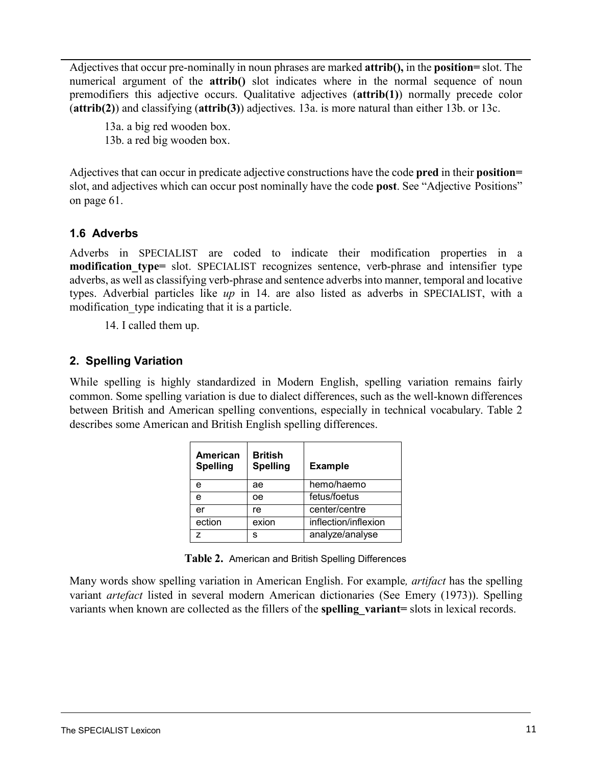Adjectives that occur pre-nominally in noun phrases are marked **attrib(),** in the **position=** slot. The numerical argument of the **attrib**() slot indicates where in the normal sequence of noun premodifiers this adjective occurs. Qualitative adjectives (**attrib(1)**) normally precede color (**attrib(2)**) and classifying (**attrib(3)**) adjectives. [13a. is](#page-10-2) more natural than either 13b. [or](#page-10-3) 13c.

13a. a big red wooden box. 13b. a red big wooden box.

<span id="page-11-0"></span>Adjectives that can occur in predicate adjective constructions have the code **pred** in their **position=** slot, and adjectives which can occur post nominally have the code **post**. [See "Adjective](#page-62-2) [Positions"](#page-62-2)  [on page 61.](#page-62-2)

#### **1.6 Adverbs**

Adverbs in SPECIALIST are coded to indicate their modification properties in a **modification** type= slot. SPECIALIST recognizes sentence, verb-phrase and intensifier type adverbs, as well as classifying verb-phrase and sentence adverbsinto manner, temporal and locative types. Adverbial particles like *up* in 14. are also listed as adverbs in SPECIALIST, with a modification type indicating that it is a particle.

14. I called them up.

#### <span id="page-11-1"></span>**2. Spelling Variation**

<span id="page-11-2"></span>While spelling is highly standardized in Modern English, spelling variation remains fairly common. Some spelling variation is due to dialect differences, such as the well-known differences between British and American spelling conventions, especially in technical vocabulary. [Table](#page-11-2) 2 describes some American and British English spelling differences.

| American<br><b>Spelling</b> | <b>British</b><br><b>Spelling</b> | <b>Example</b>       |
|-----------------------------|-----------------------------------|----------------------|
| е                           | ae                                | hemo/haemo           |
| е                           | oе                                | fetus/foetus         |
| er                          | re                                | center/centre        |
| ection                      | exion                             | inflection/inflexion |
|                             | s                                 | analyze/analyse      |

**Table 2.** American and British Spelling Differences

Many words show spelling variation in American English. For example*, artifact* has the spelling variant *artefact* listed in several modern American dictionaries (See Emery (1973)). Spelling variants when known are collected as the fillers of the **spelling\_variant=** slots in lexical records.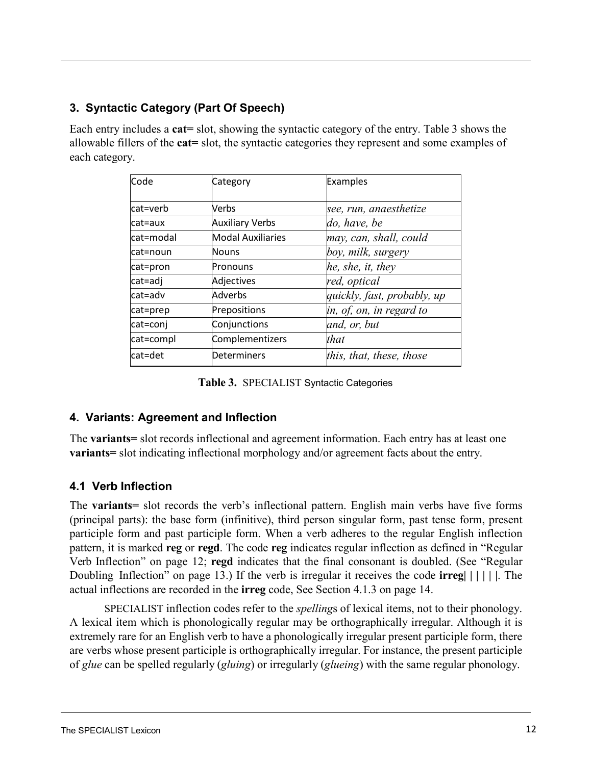## <span id="page-12-0"></span>**3. Syntactic Category (Part Of Speech)**

Each entry includes a **cat=** slot, showing the syntactic category of the entry. [Table](#page-12-4) 3 shows the allowable fillers of the **cat=** slot, the syntactic categories they represent and some examples of each category.

<span id="page-12-4"></span>

| Code      | Category                 | Examples                    |
|-----------|--------------------------|-----------------------------|
| cat=verb  | Verbs                    | see, run, anaesthetize      |
| lcat=aux  | <b>Auxiliary Verbs</b>   | do, have, be                |
| cat=modal | <b>Modal Auxiliaries</b> | may, can, shall, could      |
| lcat=noun | <b>Nouns</b>             | boy, milk, surgery          |
| cat=pron  | Pronouns                 | he, she, it, they           |
| cat=adj   | Adjectives               | red, optical                |
| lcat=adv  | Adverbs                  | quickly, fast, probably, up |
| cat=prep  | Prepositions             | in, of, on, in regard to    |
| cat=conj  | Conjunctions             | and, or, but                |
| cat=compl | Complementizers          | that                        |
| cat=det   | Determiners              | this, that, these, those    |

<span id="page-12-3"></span>**Table 3.** SPECIALIST Syntactic Categories

#### <span id="page-12-1"></span>**4. Variants: Agreement and Inflection**

The **variants=** slot records inflectional and agreement information. Each entry has at least one **variants=** slot indicating inflectional morphology and/or agreement facts about the entry.

## <span id="page-12-2"></span>**4.1 Verb Inflection**

The **variants=** slot records the verb's inflectional pattern. English main verbs have five forms (principal parts): the base form (infinitive), third person singular form, past tense form, present participle form and past participle form. When a verb adheres to the regular English inflection pattern, it is marked **reg** or **regd**. The code **reg** indicates regular inflection as defined in ["Regular](#page-13-0) Verb [Inflection"](#page-13-0) on page 12; **regd** indicates that the final consonant is doubled. (See ["Regular](#page-14-1)  [Doubling](#page-14-1) [Inflection"](#page-14-1) on page 13.) If the verb is irregular it receives the code **irreg| | | | | |**. The actual inflections are recorded in the **irreg** code, See [Section 4.1.3 on page](#page-15-1) 14.

SPECIALIST inflection codes refer to the *spelling*s of lexical items, not to their phonology. A lexical item which is phonologically regular may be orthographically irregular. Although it is extremely rare for an English verb to have a phonologically irregular present participle form, there are verbs whose present participle is orthographically irregular. For instance, the present participle of *glue* can be spelled regularly (*gluing*) or irregularly (*glueing*) with the same regular phonology.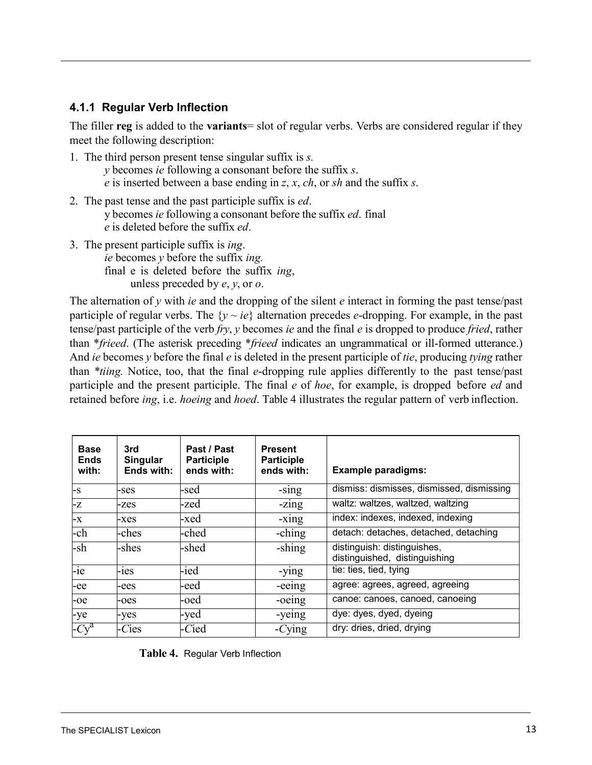#### <span id="page-13-0"></span>**4.1.1 Regular Verb Inflection**

The filler **reg** is added to the **variants**= slot of regular verbs. Verbs are considered regular if they meet the following description:

- 1. The third person present tense singular suffix is *s.*
	- *y* becomes *ie* following a consonant before the suffix *s*.
	- *e* is inserted between a base ending in *z*, *x*, *ch*, or *sh* and the suffix *s*.
- 2. The past tense and the past participle suffix is *ed*. y becomes *ie* following a consonant before the suffix *ed*. final *e* is deleted before the suffix *ed*.
- 3. The present participle suffix is *ing*. *ie* becomes *y* before the suffix *ing.* final e is deleted before the suffix *ing*, unless preceded by *e*, *y*, or *o*.

The alternation of *y* with *ie* and the dropping of the silent *e* interact in forming the past tense/past participle of regular verbs. The  $\{y \sim ie\}$  alternation precedes *e*-dropping. For example, in the past tense/past participle of the verb *fry*, *y* becomes *ie* and the final *e* is dropped to produce *fried*, rather than \**frieed*. (The asterisk preceding \**frieed* indicates an ungrammatical or ill-formed utterance.) And *ie* becomes *y* before the final *e* is deleted in the present participle of *tie*, producing *tying* rather than *\*tiing.* Notice, too, that the final *e*-dropping rule applies differently to the past tense/past participle and the present participle. The final *e* of *hoe*, for example, is dropped before *ed* and retained before *ing*, i.e. *hoeing* and *hoed*. [Table](#page-13-1) 4 illustrates the regular pattern of verb inflection.

<span id="page-13-1"></span>

| <b>Base</b><br><b>Ends</b><br>with: | 3rd<br>Singular<br>Ends with: | Past / Past<br><b>Participle</b><br>ends with: | <b>Present</b><br><b>Participle</b><br>ends with: | <b>Example paradigms:</b>                                    |
|-------------------------------------|-------------------------------|------------------------------------------------|---------------------------------------------------|--------------------------------------------------------------|
| l-s                                 | -ses                          | -sed                                           | $-sing$                                           | dismiss: dismisses, dismissed, dismissing                    |
| -z                                  | -zes                          | -zed                                           | $-zing$                                           | waltz: waltzes, waltzed, waltzing                            |
| -x                                  | -xes                          | -xed                                           | $-xing$                                           | index: indexes, indexed, indexing                            |
| -ch                                 | -ches                         | -ched                                          | -ching                                            | detach: detaches, detached, detaching                        |
| -sh                                 | -shes                         | -shed                                          | -shing                                            | distinguish: distinguishes,<br>distinguished, distinguishing |
| $-ie$                               | $-1es$                        | -ied                                           | -ying                                             | tie: ties, tied, tying                                       |
| -ee                                 | -ees                          | -eed                                           | -eeing                                            | agree: agrees, agreed, agreeing                              |
| -oe                                 | -oes                          | -oed                                           | -oeing                                            | canoe: canoes, canoed, canoeing                              |
| -ye                                 | -yes                          | -yed                                           | -yeing                                            | dye: dyes, dyed, dyeing                                      |
| $-Cy^a$                             | $-Cies$                       | -Cied                                          | $-Cying$                                          | dry: dries, dried, drying                                    |

|  | Table 4. Regular Verb Inflection |
|--|----------------------------------|
|--|----------------------------------|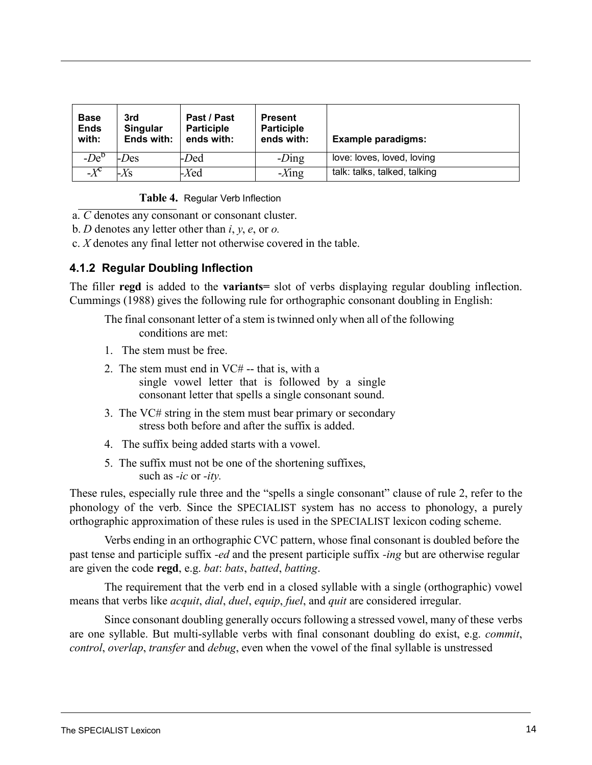<span id="page-14-1"></span>

| <b>Base</b><br><b>Ends</b><br>with: | 3rd<br>Singular<br>Ends with: | Past / Past<br><b>Participle</b><br>ends with: | <b>Present</b><br><b>Participle</b><br>ends with: | <b>Example paradigms:</b>    |
|-------------------------------------|-------------------------------|------------------------------------------------|---------------------------------------------------|------------------------------|
| $-De^{\circ}$                       | <i>-Des</i>                   | -Ded                                           | $-Ding$                                           | love: loves, loved, loving   |
| $-\overline{X}^c$                   | $-Xs$                         | $-Xed$                                         | $-Xing$                                           | talk: talks, talked, talking |

**Table 4.** Regular Verb Inflection

a. *C* denotes any consonant or consonant cluster.

<span id="page-14-2"></span>b. *D* denotes any letter other than *i*, *y*, *e*, or *o.*

c. *X* denotes any final letter not otherwise covered in the table.

#### <span id="page-14-0"></span>**4.1.2 Regular Doubling Inflection**

The filler **regd** is added to the **variants=** slot of verbs displaying regular doubling inflection. Cummings (1988) gives the following rule for orthographic consonant doubling in English:

The final consonant letter of a stem is twinned only when all of the following conditions are met:

- 1. The stem must be free.
- 2. The stem must end in VC# -- that is, with a single vowel letter that is followed by a single consonant letter that spells a single consonant sound.
- 3. The VC# string in the stem must bear primary or secondary stress both before and after the suffix is added.
- 4. The suffix being added starts with a vowel.
- 5. The suffix must not be one of the shortening suffixes, such as *-ic* or *-ity.*

[These rules, especially rule three and the "spells a single consonant" clause of rule 2,](#page-14-2) refer to the phonology of the verb. Since the SPECIALIST system has no access to phonology, a purely orthographic approximation of these rules is used in the SPECIALIST lexicon coding scheme.

Verbs ending in an orthographic CVC pattern, whose final consonant is doubled before the past tense and participle suffix *-ed* and the present participle suffix *-ing* but are otherwise regular are given the code **regd**, e.g. *bat*: *bats*, *batted*, *batting*.

The requirement that the verb end in a closed syllable with a single (orthographic) vowel means that verbs like *acquit*, *dial*, *duel*, *equip*, *fuel*, and *quit* are considered irregular.

Since consonant doubling generally occurs following a stressed vowel, many of these verbs are one syllable. But multi-syllable verbs with final consonant doubling do exist, e.g. *commit*, *control*, *overlap*, *transfer* and *debug*, even when the vowel of the final syllable is unstressed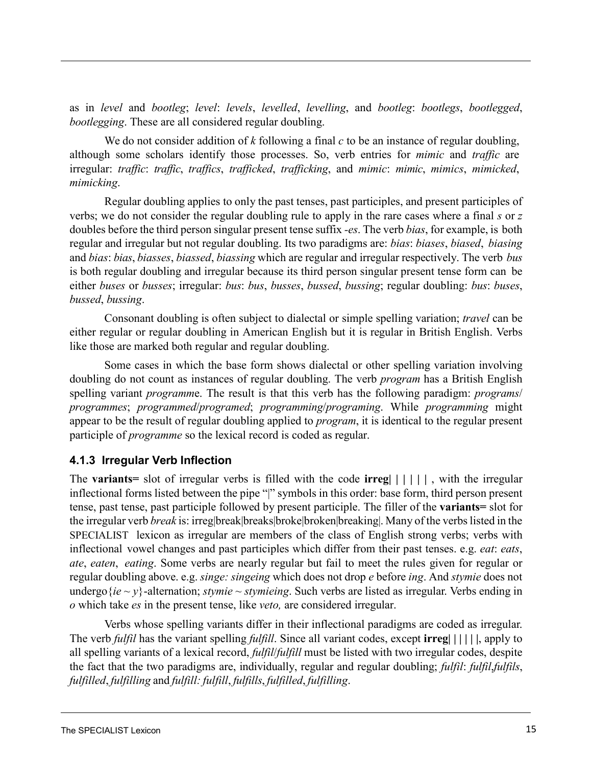as in *level* and *bootleg*; *level*: *levels*, *levelled*, *levelling*, and *bootleg*: *bootlegs*, *bootlegged*, *bootlegging*. These are all considered regular doubling.

We do not consider addition of *k* following a final *c* to be an instance of regular doubling, although some scholars identify those processes. So, verb entries for *mimic* and *traffic* are irregular: *traffic*: *traffic*, *traffics*, *trafficked*, *trafficking*, and *mimic*: *mimic*, *mimics*, *mimicked*, *mimicking*.

Regular doubling applies to only the past tenses, past participles, and present participles of verbs; we do not consider the regular doubling rule to apply in the rare cases where a final *s* or *z* doubles before the third person singular present tense suffix *-es*. The verb *bias*, for example, is both regular and irregular but not regular doubling. Its two paradigms are: *bias*: *biases*, *biased*, *biasing* and *bias*: *bias*, *biasses*, *biassed*, *biassing* which are regular and irregular respectively. The verb *bus* is both regular doubling and irregular because its third person singular present tense form can be either *buses* or *busses*; irregular: *bus*: *bus*, *busses*, *bussed*, *bussing*; regular doubling: *bus*: *buses*, *bussed*, *bussing*.

<span id="page-15-1"></span>Consonant doubling is often subject to dialectal or simple spelling variation; *travel* can be either regular or regular doubling in American English but it is regular in British English. Verbs like those are marked both regular and regular doubling.

Some cases in which the base form shows dialectal or other spelling variation involving doubling do not count as instances of regular doubling. The verb *program* has a British English spelling variant *programm*e. The result is that this verb has the following paradigm: *programs*/ *programmes*; *programmed*/*programed*; *programming*/*programing*. While *programming* might appear to be the result of regular doubling applied to *program*, it is identical to the regular present participle of *programme* so the lexical record is coded as regular.

#### <span id="page-15-0"></span>**4.1.3 Irregular Verb Inflection**

The **variants=** slot of irregular verbs is filled with the code **irreg| | | | | |** , with the irregular inflectional forms listed between the pipe "|" symbols in this order: base form, third person present tense, past tense, past participle followed by present participle. The filler of the **variants=** slot for the irregular verb *break* is: irreg|break|breaks|broke|broken|breaking|. Many of the verbs listed in the SPECIALIST lexicon as irregular are members of the class of English strong verbs; verbs with inflectional vowel changes and past participles which differ from their past tenses. e.g. *eat*: *eats*, *ate*, *eaten*, *eating*. Some verbs are nearly regular but fail to meet the rules given for regular or regular doubling above. e.g. *singe: singeing* which does not drop *e* before *ing*. And *stymie* does not undergo { $ie \sim y$ }-alternation; *stymie* ~ *stymieing*. Such verbs are listed as irregular. Verbs ending in *o* which take *es* in the present tense, like *veto,* are considered irregular.

Verbs whose spelling variants differ in their inflectional paradigms are coded as irregular. The verb *fulfil* has the variant spelling *fulfill*. Since all variant codes, except **irreg| | | | | |**, apply to all spelling variants of a lexical record, *fulfil*/*fulfill* must be listed with two irregular codes, despite the fact that the two paradigms are, individually, regular and regular doubling; *fulfil*: *fulfil*,*fulfils*, *fulfilled*, *fulfilling* and *fulfill: fulfill*, *fulfills*, *fulfilled*, *fulfilling*.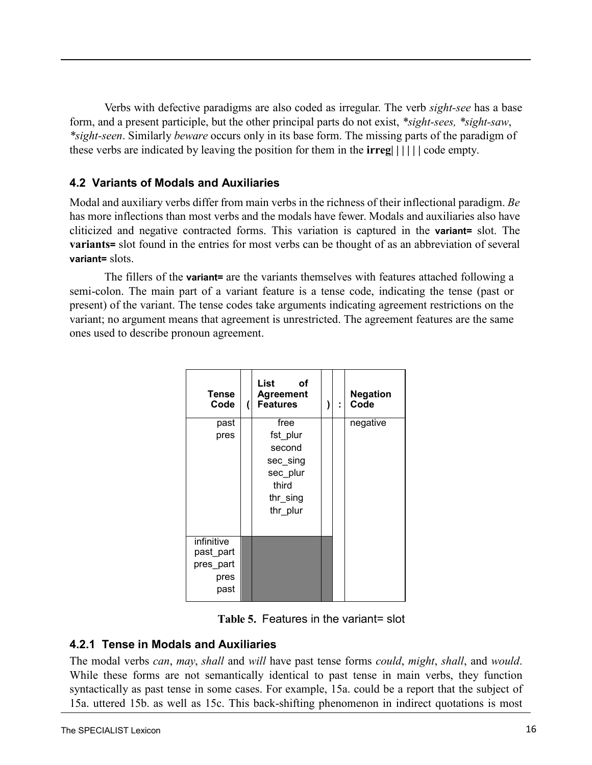<span id="page-16-3"></span>Verbs with defective paradigms are also coded as irregular. The verb *sight-see* has a base form, and a present participle, but the other principal parts do not exist, *\*sight-sees, \*sight-saw*, *\*sight-seen*. Similarly *beware* occurs only in its base form. The missing parts of the paradigm of these verbs are indicated by leaving the position for them in the **irreg| | | | | |** code empty.

#### <span id="page-16-0"></span>**4.2 Variants of Modals and Auxiliaries**

Modal and auxiliary verbs differ from main verbs in the richness of their inflectional paradigm. *Be* has more inflections than most verbs and the modals have fewer. Modals and auxiliaries also have cliticized and negative contracted forms. This variation is captured in the **variant=** slot. The **variants=** slot found in the entries for most verbs can be thought of as an abbreviation of several **variant=** slots.

The fillers of the **variant=** are the variants themselves with features attached following a semi-colon. The main part of a variant feature is a tense code, indicating the tense (past or present) of the variant. The tense codes take arguments indicating agreement restrictions on the variant; no argument means that agreement is unrestricted. The agreement features are the same ones used to describe pronoun agreement.

| Tense<br>Code                                        | List<br>οf<br><b>Agreement</b><br><b>Features</b>                                   | t | <b>Negation</b><br>Code |
|------------------------------------------------------|-------------------------------------------------------------------------------------|---|-------------------------|
| past<br>pres                                         | free<br>fst_plur<br>second<br>sec_sing<br>sec_plur<br>third<br>thr_sing<br>thr plur |   | negative                |
| infinitive<br>past_part<br>pres_part<br>pres<br>past |                                                                                     |   |                         |

#### <span id="page-16-1"></span>**4.2.1 Tense in Modals and Auxiliaries**

<span id="page-16-2"></span>The modal verbs *can*, *may*, *shall* and *will* have past tense forms *could*, *might*, *shall*, and *would*. While these forms are not semantically identical to past tense in main verbs, they function syntactically as past tense in some cases. For example, 15a. could be a report that the subject of 15a. [uttered 15b.](#page-16-2) as well as [15c.](#page-16-2) This back-shifting phenomenon in indirect quotations is most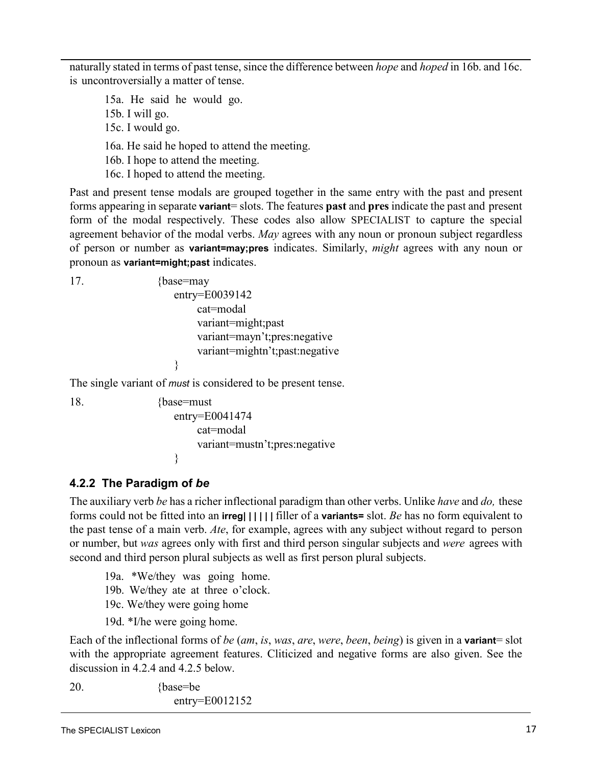naturally stated in terms of past tense, since the difference between *hope* and *hoped* in [16b.](#page-16-2) and [16c.](#page-16-2) is uncontroversially a matter of tense.

15a. He said he would go. 15b. I will go. 15c. I would go. 16a. He said he hoped to attend the meeting. 16b. I hope to attend the meeting. 16c. I hoped to attend the meeting.

Past and present tense modals are grouped together in the same entry with the past and present forms appearing in separate **variant**= slots. The features **past** and **pres** indicate the past and present form of the modal respectively. These codes also allow SPECIALIST to capture the special agreement behavior of the modal verbs. *May* agrees with any noun or pronoun subject regardless of person or number as **variant=may;pres** indicates. Similarly, *might* agrees with any noun or pronoun as **variant=might;past** indicates.

```
17. {base=may
                   entry=E0039142 
                       cat=modal 
                       variant=might;past
                       variant=mayn't;pres:negative
                       variant=mightn't;past:negative
                   }
```
The single variant of *must* is considered to be present tense.

```
18. {base=must}
                  entry=E0041474 
                      cat=modal
                      variant=mustn't;pres:negative
                  }
```
## <span id="page-17-0"></span>**4.2.2 The Paradigm of** *be*

The auxiliary verb *be* has a richer inflectional paradigm than other verbs. Unlike *have* and *do,* these forms could not be fitted into an **irreg| | | | | |** filler of a **variants=** slot. *Be* has no form equivalent to the past tense of a main verb. *Ate*, for example, agrees with any subject without regard to person or number, but *was* agrees only with first and third person singular subjects and *were* agrees with second and third person plural subjects as well as first person plural subjects.

19a. \*We/they was going home. 19b. We/they ate at three o'clock. 19c. We/they were going home

19d. \*I/he were going home.

Each of the inflectional forms of *be* (*am*, *is*, *was*, *are*, *were*, *been*, *being*) is given in a **variant**= slot with the appropriate agreement features. Cliticized and negative forms are also given. See the di[scussion in 4.2.4](#page-18-2) and [4.2.5](#page-19-2) below.

20. {base=be} entry=E0012152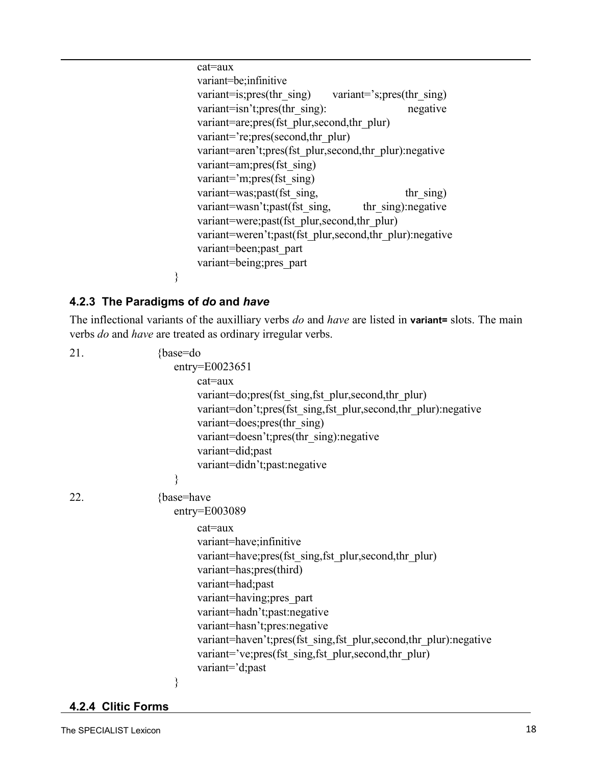cat=aux variant=be;infinitive variant=is;pres(thr\_sing) variant='s;pres(thr\_sing) variant=isn't;pres(thr\_sing): negative variant=are;pres(fst\_plur,second,thr\_plur) variant='re;pres(second,thr\_plur) variant=aren't;pres(fst\_plur,second,thr\_plur):negative variant=am;pres(fst\_sing) variant='m;pres(fst\_sing) variant=was;past(fst\_sing, thr\_sing) variant=wasn't;past(fst\_sing, thr\_sing):negative variant=were;past(fst\_plur,second,thr\_plur) variant=weren't;past(fst\_plur,second,thr\_plur):negative variant=been;past\_part variant=being;pres\_part

#### <span id="page-18-0"></span>**4.2.3 The Paradigms of** *do* **and** *have*

}

The inflectional variants of the auxilliary verbs *do* and *have* are listed in **variant=** slots. The main verbs *do* and *have* are treated as ordinary irregular verbs.

| 21. | {base=do<br>$entry = E0023651$<br>cat=aux                        |
|-----|------------------------------------------------------------------|
|     | variant=do;pres(fst sing,fst plur,second,thr plur)               |
|     | variant=don't;pres(fst_sing,fst_plur,second,thr_plur):negative   |
|     | variant=does;pres(thr sing)                                      |
|     | variant=doesn't;pres(thr_sing):negative                          |
|     | variant=did;past                                                 |
|     | variant=didn't;past:negative<br>}                                |
|     |                                                                  |
| 22. | {base=have                                                       |
|     | $entry = E003089$                                                |
|     | $cat = aux$                                                      |
|     | variant=have; infinitive                                         |
|     | variant=have; pres(fst sing, fst plur, second, thr plur)         |
|     | variant=has;pres(third)                                          |
|     | variant=had;past                                                 |
|     | variant=having;pres_part                                         |
|     | variant=hadn't;past:negative                                     |
|     | variant=hasn't;pres:negative                                     |
|     | variant=haven't;pres(fst_sing,fst_plur,second,thr_plur):negative |
|     | variant='ve;pres(fst sing,fst plur,second,thr plur)              |
|     | variant='d;past                                                  |
|     | }                                                                |

<span id="page-18-2"></span><span id="page-18-1"></span>**4.2.4 Clitic Forms**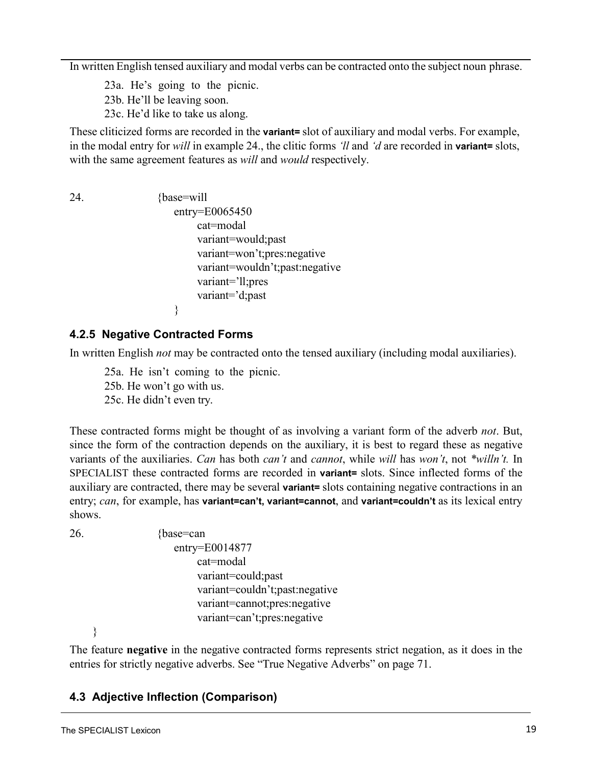In written English tensed auxiliary and modal verbs can be contracted onto the subject noun phrase.

23a. He's going to the picnic. 23b. He'll be leaving soon.

23c. He'd like to take us along.

These cliticized forms are recorded in the **variant=** slot of auxiliary and modal verbs. For example, in the modal entry for *will* in example 24., the clitic forms *'ll* and *'d* are recorded in **variant=** slots, with the same agreement features as *will* and *would* respectively.

<span id="page-19-2"></span>24. {base=will entry=E0065450 cat=modal variant=would;past variant=won't;pres:negative variant=wouldn't;past:negative variant='ll;pres variant='d;past }

#### <span id="page-19-0"></span>**4.2.5 Negative Contracted Forms**

In written English *not* may be contracted onto the tensed auxiliary (including modal auxiliaries).

25a. He isn't coming to the picnic. 25b. He won't go with us. 25c. He didn't even try.

These contracted forms might be thought of as involving a variant form of the adverb *not*. But, since the form of the contraction depends on the auxiliary, it is best to regard these as negative variants of the auxiliaries. *Can* has both *can't* and *cannot*, while *will* has *won't*, not *\*willn't.* In SPECIALIST these contracted forms are recorded in **variant=** slots. Since inflected forms of the auxiliary are contracted, there may be several **variant=** slots containing negative contractions in an entry; *can*, for example, has **variant=can't, variant=cannot**, and **variant=couldn't** as its lexical entry shows.

```
26. {base=can}
                    entry=E0014877 
                        cat=modal 
                        variant=could;past
                        variant=couldn't;past:negative
                        variant=cannot;pres:negative
                        variant=can't;pres:negative
```
}

The feature **negative** in the negative contracted forms represents strict negation, as it does in the entries for strictly negative adverbs. See "True Negative Adverbs" [on page 71.](#page-72-0)

## <span id="page-19-1"></span>**4.3 Adjective Inflection (Comparison)**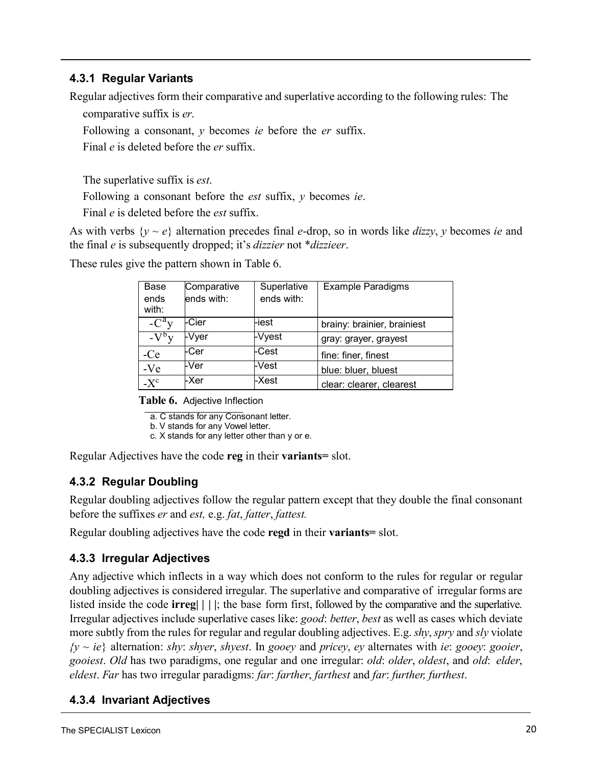#### **4.3.1 Regular Variants**

Regular adjectives form their comparative and superlative according to the following rules: The

comparative suffix is *er*.

Following a consonant, *y* becomes *ie* before the *er* suffix.

Final *e* is deleted before the *er* suffix.

The superlative suffix is *est*.

Following a consonant before the *est* suffix, *y* becomes *ie*.

Final *e* is deleted before the *est* suffix.

<span id="page-20-3"></span>As with verbs  $\{y \sim e\}$  alternation precedes final *e*-drop, so in words like *dizzy*, *y* becomes *ie* and the final *e* is subsequently dropped; it's *dizzier* not \**dizzieer*.

| Base<br>ends<br>with: | Comparative<br>ends with: | Superlative<br>ends with: | <b>Example Paradigms</b>    |
|-----------------------|---------------------------|---------------------------|-----------------------------|
| $-C^{\alpha}$ y       | -Cier                     | -iest                     | brainy: brainier, brainiest |
| $-V^{\rm b}V$         | <b>FVyer</b>              | -Vyest                    | gray: grayer, grayest       |
| $-Ce$                 | -Cer                      | -Cest                     | fine: finer, finest         |
| $-Ve$                 | -Ver                      | -Vest                     | blue: bluer, bluest         |
| $-X^c$                | -Xer                      | -Xest                     | clear: clearer, clearest    |

These rules give the pattern shown in [Table](#page-20-3) 6.

**Table 6.** Adjective Inflection

a. C stands for any Consonant letter.

b. V stands for any Vowel letter.

c. X stands for any letter other than y or e.

Regular Adjectives have the code **reg** in their **variants=** slot.

## <span id="page-20-0"></span>**4.3.2 Regular Doubling**

Regular doubling adjectives follow the regular pattern except that they double the final consonant before the suffixes *er* and *est,* e.g. *fat*, *fatter*, *fattest.*

Regular doubling adjectives have the code **regd** in their **variants=** slot.

## <span id="page-20-1"></span>**4.3.3 Irregular Adjectives**

Any adjective which inflects in a way which does not conform to the rules for regular or regular doubling adjectives is considered irregular. The superlative and comparative of irregular forms are listed inside the code **irreg| | | |**; the base form first, followed by the comparative and the superlative. Irregular adjectives include superlative cases like: *good*: *better*, *best* as well as cases which deviate more subtly from the rules for regular and regular doubling adjectives. E.g. *shy*,*spry* and *sly* violate *{y* ~ *ie*} alternation: *shy*: *shyer*, *shyest*. In *gooey* and *pricey*, *ey* alternates with *ie*: *gooey*: *gooier*, *gooiest*. *Old* has two paradigms, one regular and one irregular: *old*: *older*, *oldest*, and *old*: *elder*, *eldest*. *Far* has two irregular paradigms: *far*: *farther*, *farthest* and *far*: *further, furthest*.

## <span id="page-20-2"></span>**4.3.4 Invariant Adjectives**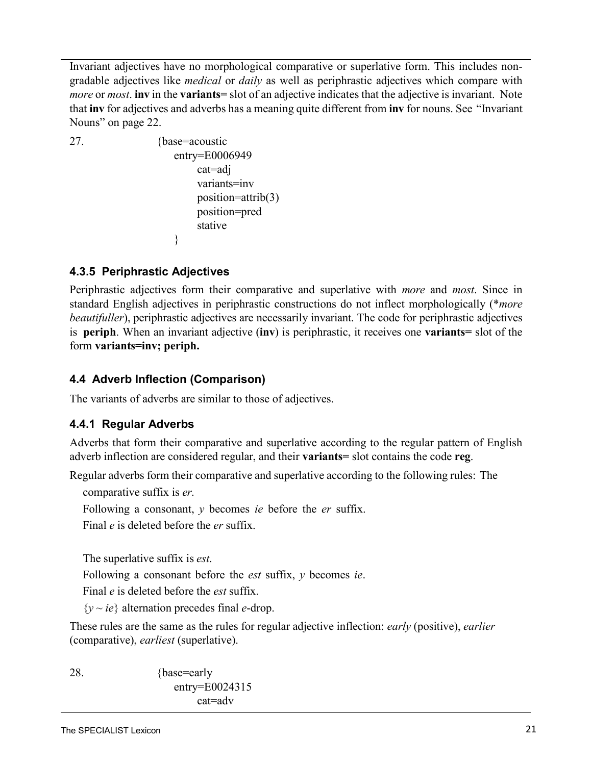Invariant adjectives have no morphological comparative or superlative form. This includes nongradable adjectives like *medical* or *daily* as well as periphrastic adjectives which compare with *more* or *most*. **inv** in the **variants=** slot of an adjective indicates that the adjective is invariant. Note that **inv** for adjectives and adverbs has a meaning quite different from **inv** for nouns. See ["Invariant](#page-26-2) [Nouns" on page](#page-26-2) 22.

```
27. {base=acoustic 
                    entry=E0006949
                        cat=adj 
                        variants=inv
                        position=attrib(3) 
                        position=pred 
                        stative
                    }
```
## <span id="page-21-1"></span>**4.3.5 Periphrastic Adjectives**

Periphrastic adjectives form their comparative and superlative with *more* and *most*. Since in standard English adjectives in periphrastic constructions do not inflect morphologically (\**more beautifuller*), periphrastic adjectives are necessarily invariant. The code for periphrastic adjectives is **periph**. When an invariant adjective (**inv**) is periphrastic, it receives one **variants=** slot of the form **variants=inv; periph.**

## <span id="page-21-0"></span>**4.4 Adverb Inflection (Comparison)**

The variants of adverbs are similar to those of adjectives.

## <span id="page-21-2"></span>**4.4.1 Regular Adverbs**

Adverbs that form their comparative and superlative according to the regular pattern of English adverb inflection are considered regular, and their **variants=** slot contains the code **reg**.

Regular adverbs form their comparative and superlative according to the following rules: The

comparative suffix is *er*.

Following a consonant, *y* becomes *ie* before the *er* suffix.

Final *e* is deleted before the *er* suffix.

The superlative suffix is *est*.

Following a consonant before the *est* suffix, *y* becomes *ie*.

Final *e* is deleted before the *est* suffix.

 ${y \sim ie}$  alternation precedes final *e*-drop.

These rules are the same as the rules for regular adjective inflection: *early* (positive), *earlier* (comparative), *earliest* (superlative).

28. {base=early entry=E0024315 cat=adv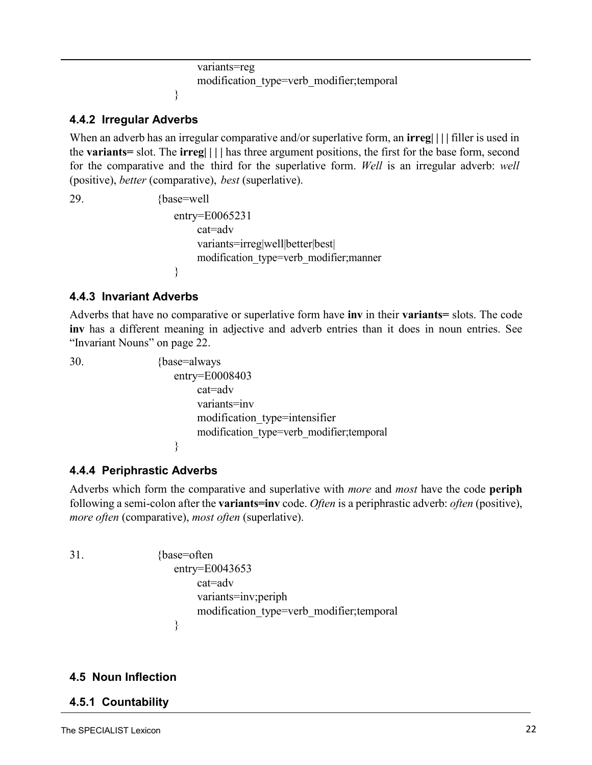```
variants=reg
    modification_type=verb_modifier;temporal
}
```
#### <span id="page-22-0"></span>**4.4.2 Irregular Adverbs**

When an adverb has an irregular comparative and/or superlative form, an **irreg| | | |** filler is used in the **variants=** slot. The **irreg| | | |** has three argument positions, the first for the base form, second for the comparative and the third for the superlative form. *Well* is an irregular adverb: *well*  (positive), *better* (comparative), *best* (superlative).

29. {base=well entry=E0065231 cat=adv variants=irreg|well|better|best| modification\_type=verb\_modifier;manner }

#### <span id="page-22-1"></span>**4.4.3 Invariant Adverbs**

Adverbs that have no comparative or superlative form have **inv** in their **variants=** slots. The code **inv** has a different meaning in adjective and adverb entries than it does in noun entries. Se[e](#page-26-2) "Invariant [Nouns" on page](#page-26-2) 22.

30. {base=always entry=E0008403 cat=adv variants=inv modification\_type=intensifier modification\_type=verb\_modifier;temporal }

#### **4.4.4 Periphrastic Adverbs**

Adverbs which form the comparative and superlative with *more* and *most* have the code **periph** following a semi-colon after the **variants=inv** code. *Often* is a periphrastic adverb: *often* (positive), *more often* (comparative), *most often* (superlative).

31. {base=often entry=E0043653 cat=adv variants=inv;periph modification\_type=verb\_modifier;temporal }

#### <span id="page-22-2"></span>**4.5 Noun Inflection**

#### **4.5.1 Countability**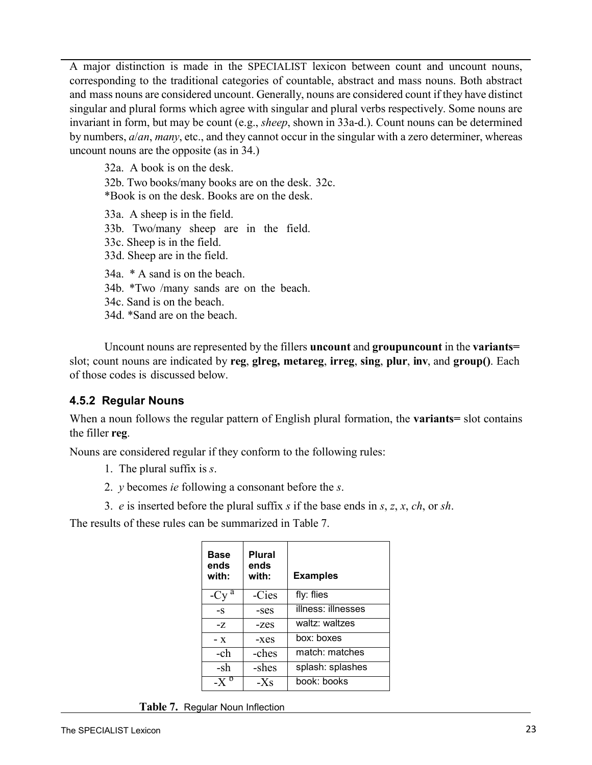A major distinction is made in the SPECIALIST lexicon between count and uncount nouns, corresponding to the traditional categories of countable, abstract and mass nouns. Both abstract and mass nouns are considered uncount. Generally, nouns are considered count if they have distinct singular and plural forms which agree with singular and plural verbs respectively. Some nouns are invariant in form, but may be count (e.g., *sheep*, shown in 33a-d.). Count nouns can be determined by numbers, *a*/*an*, *many*, etc., and they cannot occur in the singular with a zero determiner, whereas uncount nouns are the opposite (as in 34.)

32a. A book is on the desk. 32b. Two books/many books are on the desk. 32c. \*Book is on the desk. Books are on the desk. 33a. A sheep is in the field. 33b. Two/many sheep are in the field. 33c. Sheep is in the field. 33d. Sheep are in the field. 34a. \* A sand is on the beach. 34b. \*Two /many sands are on the beach. 34c. Sand is on the beach. 34d. \*Sand are on the beach.

<span id="page-23-2"></span>Uncount nouns are represented by the fillers **uncount** and **groupuncount** in the **variants=**  slot; count nouns are indicated by **reg**, **glreg, metareg**, **irreg**, **sing**, **plur**, **inv**, and **group()**. Each of those codes is discussed below.

#### <span id="page-23-0"></span>**4.5.2 Regular Nouns**

When a noun follows the regular pattern of English plural formation, the **variants=** slot contains the filler **reg**.

Nouns are considered regular if they conform to the following rules:

- 1. The plural suffix is *s*.
- 2. *y* becomes *ie* following a consonant before the *s*.
- 3. *e* is inserted before the plural suffix *s* if the base ends in *s*, *z*, *x*, *ch*, or *sh*.

The results of these rules can be summarized in [Table](#page-23-1) 7.

<span id="page-23-1"></span>

| Base<br>ends<br>with: | <b>Plural</b><br>ends<br>with: | <b>Examples</b>    |
|-----------------------|--------------------------------|--------------------|
| a<br>-Cy              | -Cies                          | fly: flies         |
| $-S$                  | -ses                           | illness: illnesses |
| $-Z$                  | $-z$ es                        | waltz: waltzes     |
| $- x$                 | $-xes$                         | box: boxes         |
| -ch                   | -ches                          | match: matches     |
| -sh                   | -shes                          | splash: splashes   |
|                       | $-Xs$                          | book: books        |

**Table 7.** Regular Noun Inflection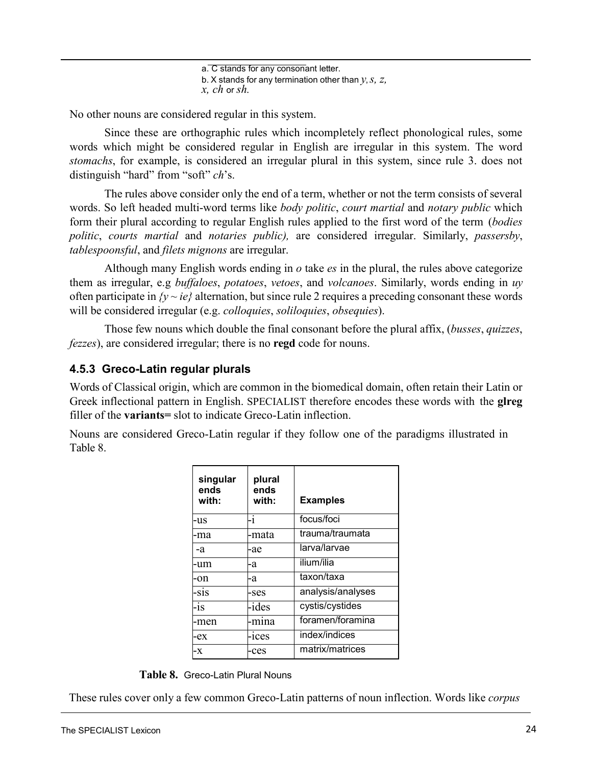a. C stands for any consonant letter. b. X stands for any termination other than *y*,*s, z, x, ch* or *sh.*

No other nouns are considered regular in this system.

Since these are orthographic rules which incompletely reflect phonological rules, some words which might be considered regular in English are irregular in this system. The word *stomachs*, for example, is considered an irregular plural in this system, since rule 3. does not distinguish "hard" from "soft" *ch*'s.

The rules above consider only the end of a term, whether or not the term consists of several words. So left headed multi-word terms like *body politic*, *court martial* and *notary public* which form their plural according to regular English rules applied to the first word of the term (*bodies politic*, *courts martial* and *notaries public),* are considered irregular. Similarly, *passersby*, *tablespoonsful*, and *filets mignons* are irregular.

Although many English words ending in *o* take *es* in the plural, the rules above categorize them as irregular, e.g *buffaloes*, *potatoes*, *vetoes*, and *volcanoes*. Similarly, words ending in *uy* often participate in  $\{y \sim ie\}$  alternation, but [since rule 2 requires](#page-23-2) a preceding consonant these words will be considered irregular (e.g. *colloquies*, *soliloquies*, *obsequies*).

Those few nouns which double the final consonant before the plural affix, (*busses*, *quizzes*, *fezzes*), are considered irregular; there is no **regd** code for nouns.

#### <span id="page-24-0"></span>**4.5.3 Greco-Latin regular plurals**

Words of Classical origin, which are common in the biomedical domain, often retain their Latin or Greek inflectional pattern in English. SPECIALIST therefore encodes these words with the **glreg** filler of the **variants=** slot to indicate Greco-Latin inflection.

Nouns are considered Greco-Latin regular if they follow one of the paradigms illustrated i[n](#page-24-1) [Table](#page-24-1) 8.

<span id="page-24-1"></span>

| singular<br>ends<br>with: | plural<br>ends<br>with: | <b>Examples</b>   |
|---------------------------|-------------------------|-------------------|
| -us                       | $-1$                    | focus/foci        |
| -ma                       | -mata                   | trauma/traumata   |
| -a                        | -ae                     | larva/larvae      |
| -um                       | -a                      | ilium/ilia        |
| -on                       | -a                      | taxon/taxa        |
| -sis                      | -ses                    | analysis/analyses |
| -is                       | -ides                   | cystis/cystides   |
| -men                      | -mına                   | foramen/foramina  |
| -ex                       | $-1$ ces                | index/indices     |
| -X                        | -ces                    | matrix/matrices   |

**Table 8.** Greco-Latin Plural Nouns

These rules cover only a few common Greco-Latin patterns of noun inflection. Words like *corpus*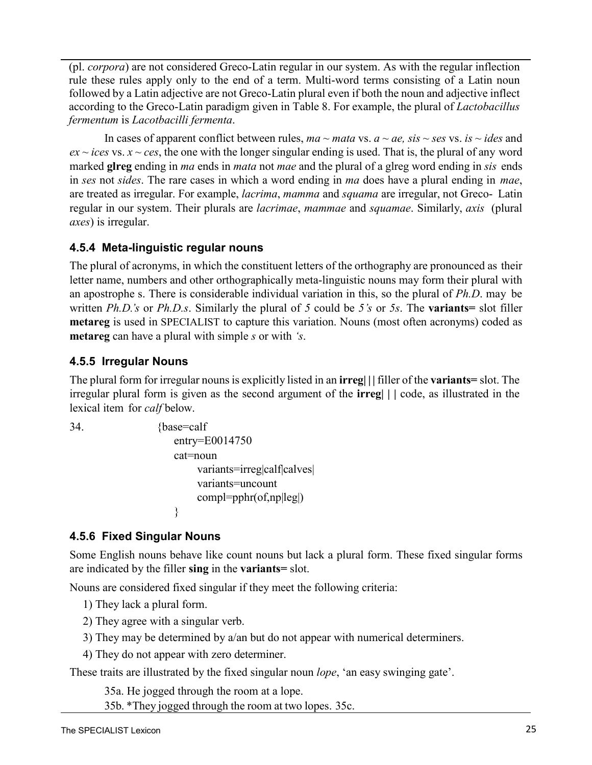(pl. *corpora*) are not considered Greco-Latin regular in our system. As with the regular inflection rule these rules apply only to the end of a term. Multi-word terms consisting of a Latin noun followed by a Latin adjective are not Greco-Latin plural even if both the noun and adjective inflect according to the Greco-Latin paradigm given in [Table](#page-24-1) 8. For example, the plural of *Lactobacillus fermentum* is *Lacotbacilli fermenta*.

In cases of apparent conflict between rules,  $ma \sim mata$  vs.  $a \sim ae$ ,  $sis \sim ses$  vs.  $is \sim ideas$  and  $ex - ices$  vs.  $x \sim ces$ , the one with the longer singular ending is used. That is, the plural of any word marked **glreg** ending in *ma* ends in *mata* not *mae* and the plural of a glreg word ending in *sis* ends in *ses* not *sides*. The rare cases in which a word ending in *ma* does have a plural ending in *mae*, are treated as irregular. For example, *lacrima*, *mamma* and *squama* are irregular, not Greco- Latin regular in our system. Their plurals are *lacrimae*, *mammae* and *squamae*. Similarly, *axis* (plural *axes*) is irregular.

#### <span id="page-25-0"></span>**4.5.4 Meta-linguistic regular nouns**

The plural of acronyms, in which the constituent letters of the orthography are pronounced as their letter name, numbers and other orthographically meta-linguistic nouns may form their plural with an apostrophe s. There is considerable individual variation in this, so the plural of *Ph.D*. may be written *Ph.D.'s* or *Ph.D.s*. Similarly the plural of *5* could be *5's* or *5s*. The **variants=** slot filler **metareg** is used in SPECIALIST to capture this variation. Nouns (most often acronyms) coded as **metareg** can have a plural with simple *s* or with *'s*.

#### <span id="page-25-1"></span>**4.5.5 Irregular Nouns**

The plural form for irregular nounsis explicitly listed in an **irreg| | |** filler of the **variants=** slot. The irregular plural form is given as the second argument of the **irreg| | |** code, as illustrated in the lexical item for *calf* below.

```
34. {base=calf
                   entry=E0014750 
                   cat=noun 
                        variants=irreg|calf|calves|
                        variants=uncount
                        compl=pphr(of,np|leg|)
                    }
```
## <span id="page-25-2"></span>**4.5.6 Fixed Singular Nouns**

Some English nouns behave like count nouns but lack a plural form. These fixed singular forms are indicated by the filler **sing** in the **variants=** slot.

Nouns are considered fixed singular if they meet the following criteria:

1) They lack a plural form.

- 2) They agree with a singular verb.
- 3) They may be determined by a/an but do not appear with numerical determiners.
- 4) They do not appear with zero determiner.

These traits are illustrated by the fixed singular noun *lope*, 'an easy swinging gate'.

35a. He jogged through the room at a lope.

35b. \*They jogged through the room at two lopes. 35c.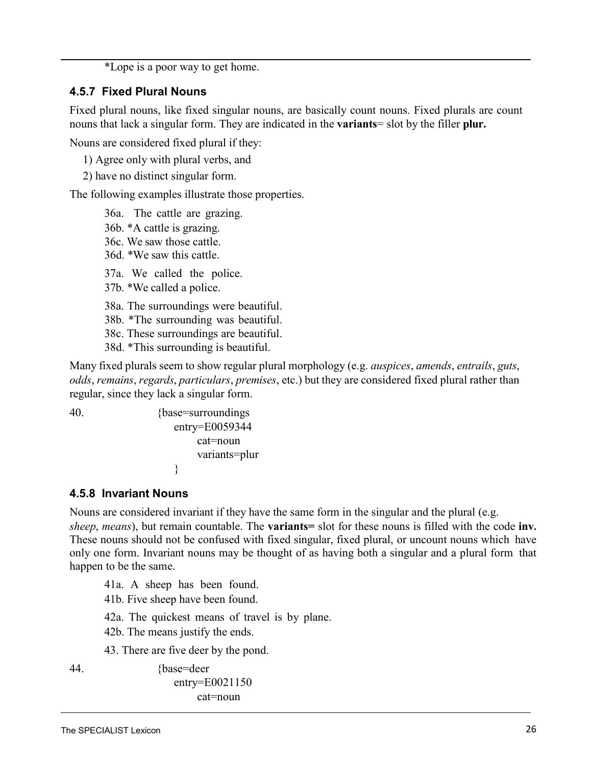\*Lope is a poor way to get home.

#### <span id="page-26-0"></span>**4.5.7 Fixed Plural Nouns**

Fixed plural nouns, like fixed singular nouns, are basically count nouns. Fixed plurals are count nouns that lack a singular form. They are indicated in the **variants**= slot by the filler **plur.**

Nouns are considered fixed plural if they:

1) Agree only with plural verbs, and

2) have no distinct singular form.

The following examples illustrate those properties.

36a. The cattle are grazing. 36b. \*A cattle is grazing. 36c. We saw those cattle. 36d. \*We saw this cattle. 37a. We called the police. 37b. \*We called a police. 38a. The surroundings were beautiful. 38b. \*The surrounding was beautiful. 38c. These surroundings are beautiful. 38d. \*This surrounding is beautiful.

<span id="page-26-2"></span>Many fixed plurals seem to show regular plural morphology (e.g. *auspices*, *amends*, *entrails*, *guts*, *odds*, *remains*, *regards*, *particulars*, *premises*, etc.) but they are considered fixed plural rather than regular, since they lack a singular form.

40. {base=surroundings entry=E0059344 cat=noun variants=plur }

#### <span id="page-26-1"></span>**4.5.8 Invariant Nouns**

Nouns are considered invariant if they have the same form in the singular and the plural (e.g. *sheep*, *means*), but remain countable. The **variants=** slot for these nouns is filled with the code **inv.** These nouns should not be confused with fixed singular, fixed plural, or uncount nouns which have only one form. Invariant nouns may be thought of as having both a singular and a plural form that happen to be the same.

41a. A sheep has been found.

41b. Five sheep have been found.

42a. The quickest means of travel is by plane.

42b. The means justify the ends.

43. There are five deer by the pond.

44. {base=deer

entry=E0021150 cat=noun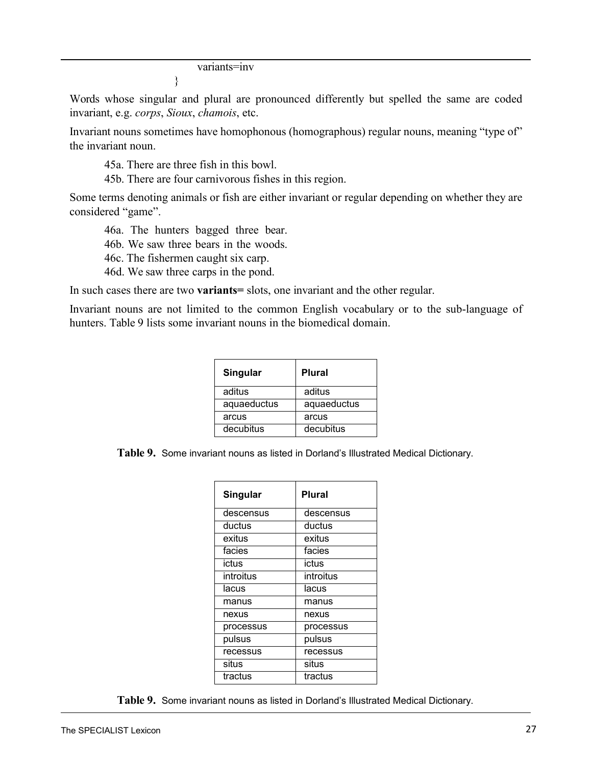variants=inv

}

Words whose singular and plural are pronounced differently but spelled the same are coded invariant, e.g. *corps*, *Sioux*, *chamois*, etc.

Invariant nouns sometimes have homophonous (homographous) regular nouns, meaning "type of" the invariant noun.

45a. There are three fish in this bowl.

45b. There are four carnivorous fishes in this region.

Some terms denoting animals or fish are either invariant or regular depending on whether they are considered "game".

46a. The hunters bagged three bear.

46b. We saw three bears in the woods.

46c. The fishermen caught six carp.

46d. We saw three carps in the pond.

In such cases there are two **variants=** slots, one invariant and the other regular.

<span id="page-27-0"></span>Invariant nouns are not limited to the common English vocabulary or to the sub-language of hunters. [Table](#page-27-0) 9 lists some invariant nouns in the biomedical domain.

| Singular    | Plural      |
|-------------|-------------|
| aditus      | aditus      |
| aquaeductus | aquaeductus |
| arcus       | arcus       |
| decubitus   | decubitus   |

**Table 9.** Some invariant nouns as listed in Dorland's Illustrated Medical Dictionary.

| Singular  | Plural    |
|-----------|-----------|
| descensus | descensus |
| ductus    | ductus    |
| exitus    | exitus    |
| facies    | facies    |
| ictus     | ictus     |
| introitus | introitus |
| lacus     | lacus     |
| manus     | manus     |
| nexus     | nexus     |
| processus | processus |
| pulsus    | pulsus    |
| recessus  | recessus  |
| situs     | situs     |
| tractus   | tractus   |

**Table 9.** Some invariant nouns as listed in Dorland's Illustrated Medical Dictionary.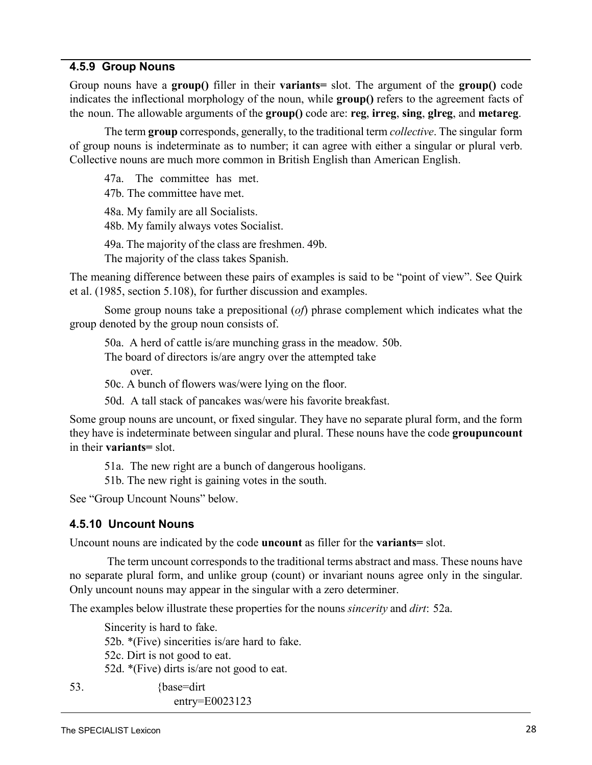#### <span id="page-28-0"></span>**4.5.9 Group Nouns**

Group nouns have a **group()** filler in their **variants=** slot. The argument of the **group()** code indicates the inflectional morphology of the noun, while **group()** refers to the agreement facts of the noun. The allowable arguments of the **group()** code are: **reg**, **irreg**, **sing**, **glreg**, and **metareg**.

The term **group** corresponds, generally, to the traditional term *collective*. The singular form of group nouns is indeterminate as to number; it can agree with either a singular or plural verb. Collective nouns are much more common in British English than American English.

47a. The committee has met.

47b. The committee have met.

48a. My family are all Socialists.

48b. My family always votes Socialist.

49a. The majority of the class are freshmen. 49b.

The majority of the class takes Spanish.

The meaning difference between these pairs of examples is said to be "point of view". See Quirk et al. (1985, section 5.108), for further discussion and examples.

Some group nouns take a prepositional (*of*) phrase complement which indicates what the group denoted by the group noun consists of.

50a. A herd of cattle is/are munching grass in the meadow. 50b.

The board of directors is/are angry over the attempted take over.

50c. A bunch of flowers was/were lying on the floor.

50d. A tall stack of pancakes was/were his favorite breakfast.

Some group nouns are uncount, or fixed singular. They have no separate plural form, and the form they have is indeterminate between singular and plural. These nouns have the code **groupuncount**  in their **variants=** slot.

51a. The new right are a bunch of dangerous hooligans.

51b. The new right is gaining votes in the south.

[See "Group Uncount Nouns"](#page-29-0) below.

#### <span id="page-28-1"></span>**4.5.10 Uncount Nouns**

Uncount nouns are indicated by the code **uncount** as filler for the **variants=** slot.

The term uncount corresponds to the traditional terms abstract and mass. These nouns have no separate plural form, and unlike group (count) or invariant nouns agree only in the singular. Only uncount nouns may appear in the singular with a zero determiner.

The examples below illustrate these properties for the nouns *sincerity* and *dirt*: 52a.

Sincerity is hard to fake. 52b. \*(Five) sincerities is/are hard to fake. 52c. Dirt is not good to eat. 52d. \*(Five) dirts is/are not good to eat.

53. {base=dirt entry=E0023123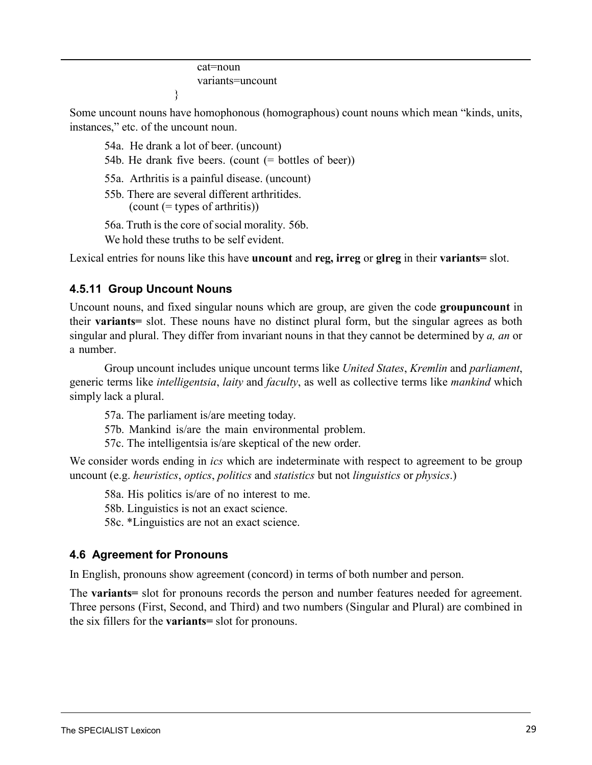cat=noun variants=uncount

Some uncount nouns have homophonous (homographous) count nouns which mean "kinds, units, instances," etc. of the uncount noun.

54a. He drank a lot of beer. (uncount)

}

54b. He drank five beers. (count (= bottles of beer))

55a. Arthritis is a painful disease. (uncount)

55b. There are several different arthritides.  $\text{(count (= types of arth:)}\text{)}$ 

56a. Truth is the core of social morality. 56b.

We hold these truths to be self evident.

Lexical entries for nouns like this have **uncount** and **reg, irreg** or **glreg** in their **variants=** slot.

## <span id="page-29-0"></span>**4.5.11 Group Uncount Nouns**

Uncount nouns, and fixed singular nouns which are group, are given the code **groupuncount** in their **variants=** slot. These nouns have no distinct plural form, but the singular agrees as both singular and plural. They differ from invariant nouns in that they cannot be determined by *a, an* or a number.

Group uncount includes unique uncount terms like *United States*, *Kremlin* and *parliament*, generic terms like *intelligentsia*, *laity* and *faculty*, as well as collective terms like *mankind* which simply lack a plural.

57a. The parliament is/are meeting today.

57b. Mankind is/are the main environmental problem.

57c. The intelligentsia is/are skeptical of the new order.

We consider words ending in *ics* which are indeterminate with respect to agreement to be group uncount (e.g. *heuristics*, *optics*, *politics* and *statistics* but not *linguistics* or *physics*.)

58a. His politics is/are of no interest to me.

58b. Linguistics is not an exact science.

58c. \*Linguistics are not an exact science.

## <span id="page-29-1"></span>**4.6 Agreement for Pronouns**

In English, pronouns show agreement (concord) in terms of both number and person.

The **variants=** slot for pronouns records the person and number features needed for agreement. Three persons (First, Second, and Third) and two numbers (Singular and Plural) are combined in the six fillers for the **variants=** slot for pronouns.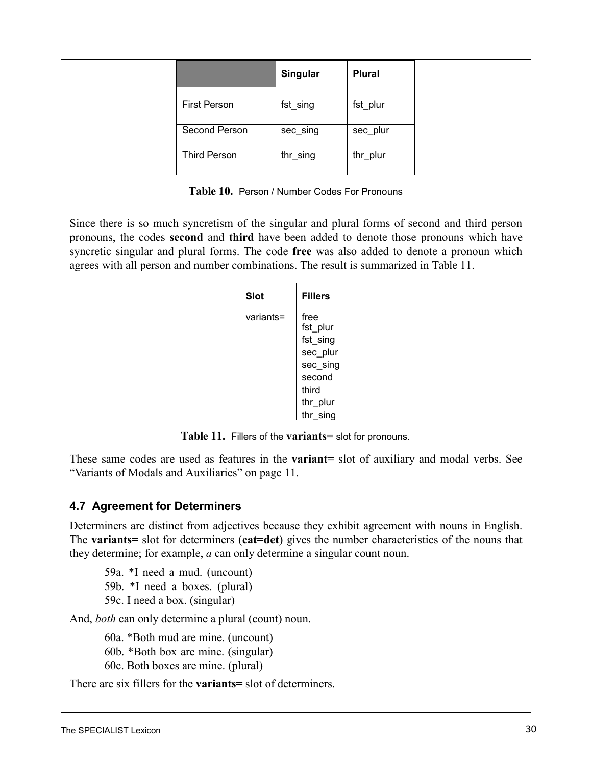|                     | Singular | <b>Plural</b> |
|---------------------|----------|---------------|
| <b>First Person</b> | fst sing | fst plur      |
| Second Person       | sec sing | sec plur      |
| <b>Third Person</b> | thr sing | thr plur      |

**Table 10.** Person / Number Codes For Pronouns

Since there is so much syncretism of the singular and plural forms of second and third person pronouns, the codes **second** and **third** have been added to denote those pronouns which have syncretic singular and plural forms. The code **free** was also added to denote a pronoun which agrees with all person and number combinations. The result is summarized in [Table](#page-30-1) 11.

<span id="page-30-1"></span>

| Slot      | <b>Fillers</b> |
|-----------|----------------|
| variants= | free           |
|           | fst_plur       |
|           | fst sing       |
|           | sec plur       |
|           | sec_sing       |
|           | second         |
|           | third          |
|           | thr_plur       |
|           | thr sing       |

**Table 11.** Fillers of the **variants=** slot for pronouns.

These same codes are used as features in the **variant=** slot of auxiliary and modal verbs. Se[e](#page-16-3) ["Variants of Modals and Auxiliaries" on page](#page-16-3) 11.

## <span id="page-30-0"></span>**4.7 Agreement for Determiners**

Determiners are distinct from adjectives because they exhibit agreement with nouns in English. The **variants=** slot for determiners (**cat=det**) gives the number characteristics of the nouns that they determine; for example, *a* can only determine a singular count noun.

59a. \*I need a mud. (uncount) 59b. \*I need a boxes. (plural) 59c. I need a box. (singular)

And, *both* can only determine a plural (count) noun.

60a. \*Both mud are mine. (uncount) 60b. \*Both box are mine. (singular) 60c. Both boxes are mine. (plural)

There are six fillers for the **variants=** slot of determiners.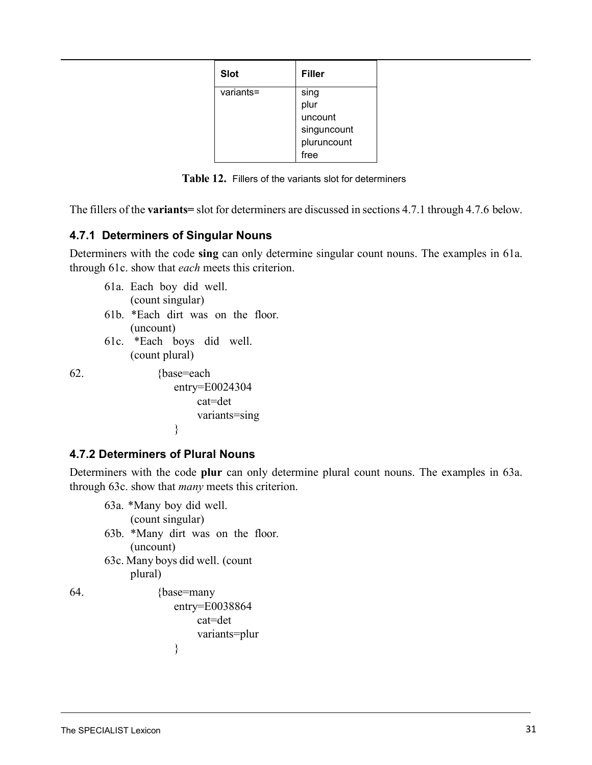| <b>Slot</b> | <b>Filler</b> |
|-------------|---------------|
| variants=   | sing          |
|             | plur          |
|             | uncount       |
|             | singuncount   |
|             | pluruncount   |
|             | free          |

**Table 12.** Fillers of the variants slot for determiners

<span id="page-31-2"></span>The fillers of the **variants=** slot for determiners are discussed in [sections](#page-31-2) 4.7.1 through 4.7.6 below.

#### <span id="page-31-0"></span>**4.7.1 Determiners of Singular Nouns**

Determiners with the code **sing** can only determine singular count nouns. The examples in 61a[.](#page-31-2) [through 61c.](#page-31-2) show that *each* meets this criterion.

61a. Each boy did well. (count singular) 61b. \*Each dirt was on the floor. (uncount) 61c. \*Each boys did well. (count plural)

62. {base=each entry=E0024304 cat=det variants=sing }

#### <span id="page-31-1"></span>**4.7.2 Determiners of Plural Nouns**

Determiners with the code **plur** can only determine plural count nouns. The examples in 63a[.](#page-31-2) [through 63c.](#page-31-2) show that *many* meets this criterion.

```
63a. *Many boy did well.
           (count singular)
      63b. *Many dirt was on the floor.
           (uncount)
      63c. Many boys did well. (count 
           plural)
64. {base=many
                   entry=E0038864 
                        cat=det
```
variants=plur

}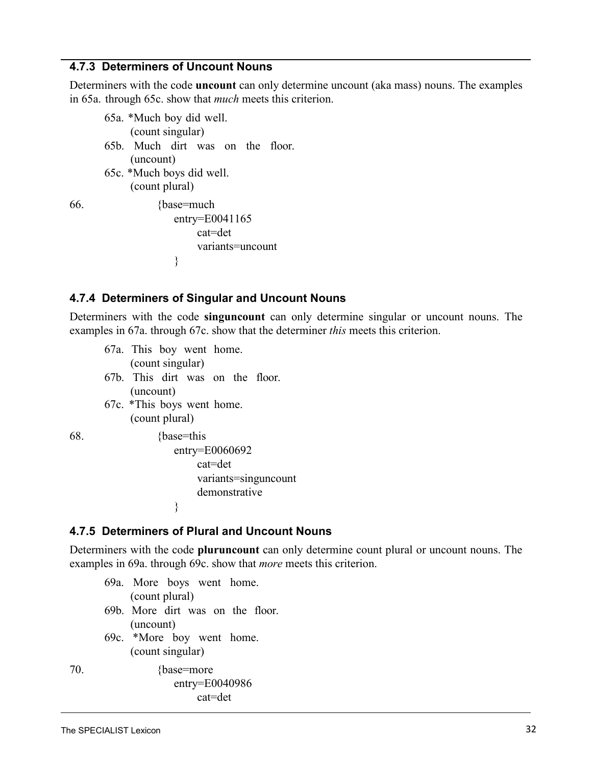#### <span id="page-32-0"></span>**4.7.3 Determiners of Uncount Nouns**

Determiners with the code **uncount** can only determine uncount (aka mass) nouns. The examples in 65a. [through 65c.](#page-31-1) show that *much* meets this criterion.

| 65a. *Much boy did well.         |  |  |  |
|----------------------------------|--|--|--|
| (count singular)                 |  |  |  |
| 65b. Much dirt was on the floor. |  |  |  |
| (uncount)                        |  |  |  |
| 65c. *Much boys did well.        |  |  |  |
| (count plural)                   |  |  |  |

66. {base=much entry=E0041165 cat=det variants=uncount }

#### <span id="page-32-1"></span>**4.7.4 Determiners of Singular and Uncount Nouns**

Determiners with the code **singuncount** can only determine singular or uncount nouns. The [examples](#page-32-1) in 67a. through [67c.](#page-32-1) show that the determiner *this* meets this criterion.

<span id="page-32-3"></span>67a. This boy went home. (count singular) 67b. This dirt was on the floor. (uncount) 67c. \*This boys went home. (count plural) 68. {base=this entry=E0060692

cat=det variants=singuncount demonstrative

#### <span id="page-32-4"></span><span id="page-32-2"></span>**4.7.5 Determiners of Plural and Uncount Nouns**

}

Determiners with the code **pluruncount** can only determine count plural or uncount nouns. The [examples](#page-32-3) in 69a. through [69c.](#page-32-4) show that *more* meets this criterion.

- 69a. More boys went home. (count plural) 69b. More dirt was on the floor. (uncount) 69c. \*More boy went home. (count singular)
- <span id="page-32-6"></span><span id="page-32-5"></span>70. {base=more} entry=E0040986 cat=det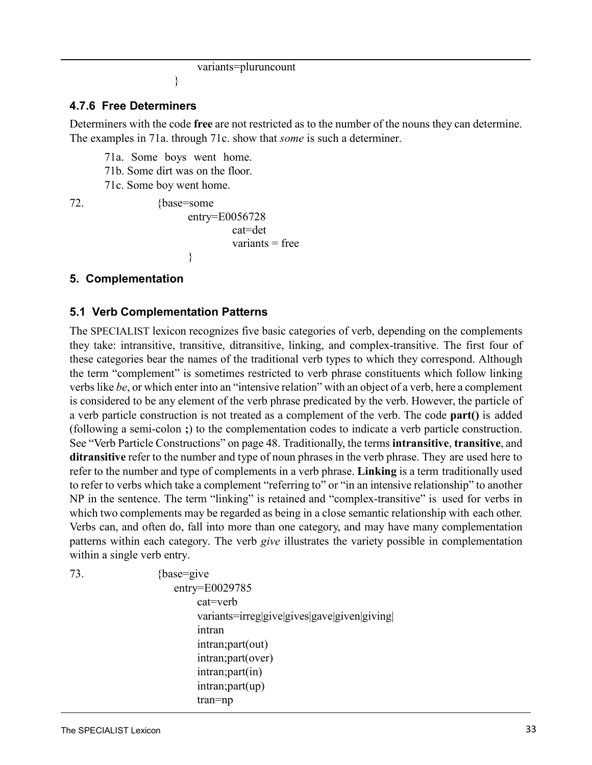```
variants=pluruncount
```
#### }

#### <span id="page-33-0"></span>**4.7.6 Free Determiners**

Determiners with the code **free** are not restricted as to the number of the nouns they can determine. The [examples](#page-32-5) in 71a. through [71c.](#page-32-6) show that *some* is such a determiner.

71a. Some boys went home.

71b. Some dirt was on the floor.

71c. Some boy went home.

72. {base=some entry=E0056728 cat=det  $variants = free$ }

#### <span id="page-33-1"></span>**5. Complementation**

#### **5.1 Verb Complementation Patterns**

The SPECIALIST lexicon recognizes five basic categories of verb, depending on the complements they take: intransitive, transitive, ditransitive, linking, and complex-transitive. The first four of these categories bear the names of the traditional verb types to which they correspond. Although the term "complement" is sometimes restricted to verb phrase constituents which follow linking verbslike *be*, or which enter into an "intensive relation" with an object of a verb, here a complement is considered to be any element of the verb phrase predicated by the verb. However, the particle of a verb particle construction is not treated as a complement of the verb. The code **part()** is added (following a semi-colon **;**) to the complementation codes to indicate a verb particle construction. See ["Verb Particle Constructions" on page 48. Tr](#page-51-1)aditionally, the terms **intransitive**, **transitive**, and **ditransitive** refer to the number and type of noun phrases in the verb phrase. They are used here to refer to the number and type of complements in a verb phrase. **Linking** is a term traditionally used to refer to verbs which take a complement "referring to" or "in an intensive relationship" to another NP in the sentence. The term "linking" is retained and "complex-transitive" is used for verbs in which two complements may be regarded as being in a close semantic relationship with each other. Verbs can, and often do, fall into more than one category, and may have many complementation patterns within each category. The verb *give* illustrates the variety possible in complementation within a single verb entry.

73. {base=give} entry=E0029785 cat=verb variants=irreg|give|gives|gave|given|giving| intran intran;part(out) intran;part(over) intran;part(in) intran;part(up) tran=np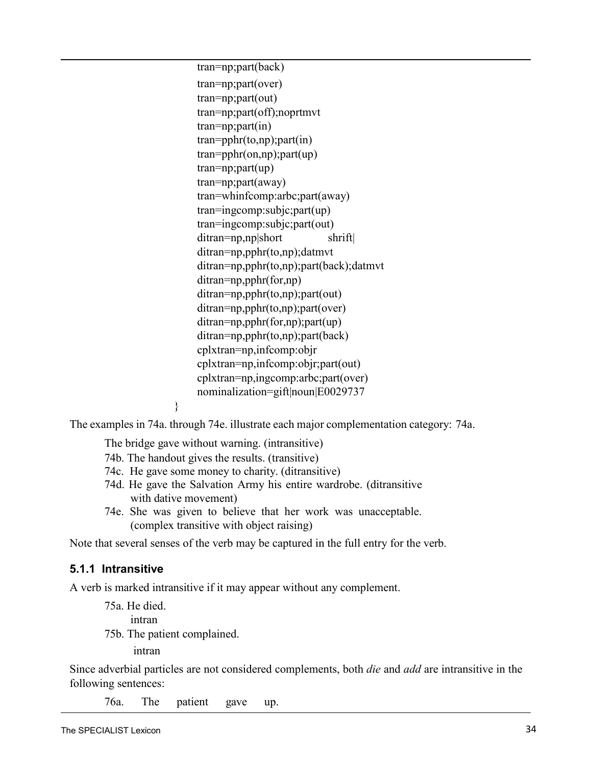tran=np;part(back) tran=np;part(over) tran=np;part(out) tran=np;part(off);noprtmvt tran=np;part(in) tran=pphr(to,np);part(in) tran=pphr(on,np);part(up) tran=np;part(up) tran=np;part(away) tran=whinfcomp:arbc;part(away) tran=ingcomp:subjc;part(up) tran=ingcomp:subjc;part(out) ditran=np,np|short shrift| ditran=np,pphr(to,np);datmvt ditran=np,pphr(to,np);part(back);datmvt ditran=np,pphr(for,np) ditran=np,pphr(to,np);part(out) ditran=np,pphr(to,np);part(over) ditran=np,pphr(for,np);part(up) ditran=np,pphr(to,np);part(back) cplxtran=np,infcomp:objr cplxtran=np,infcomp:objr;part(out) cplxtran=np,ingcomp:arbc;part(over) nominalization=gift|noun|E0029737

<span id="page-34-2"></span><span id="page-34-1"></span>The [examples](#page-34-1) in 74a. through [74e.](#page-34-2) illustrate each major complementation category: 74a.

The bridge gave without warning. (intransitive)

}

74b. The handout gives the results. (transitive)

- 74c. He gave some money to charity. (ditransitive)
- 74d. He gave the Salvation Army his entire wardrobe. (ditransitive with dative movement)
- 74e. She was given to believe that her work was unacceptable. (complex transitive with object raising)

Note that several senses of the verb may be captured in the full entry for the verb.

#### <span id="page-34-0"></span>**5.1.1 Intransitive**

A verb is marked intransitive if it may appear without any complement.

75a. He died.

intran

75b. The patient complained.

intran

Since adverbial particles are not considered complements, both *die* and *add* are intransitive in the following sentences:

76a. The patient gave up.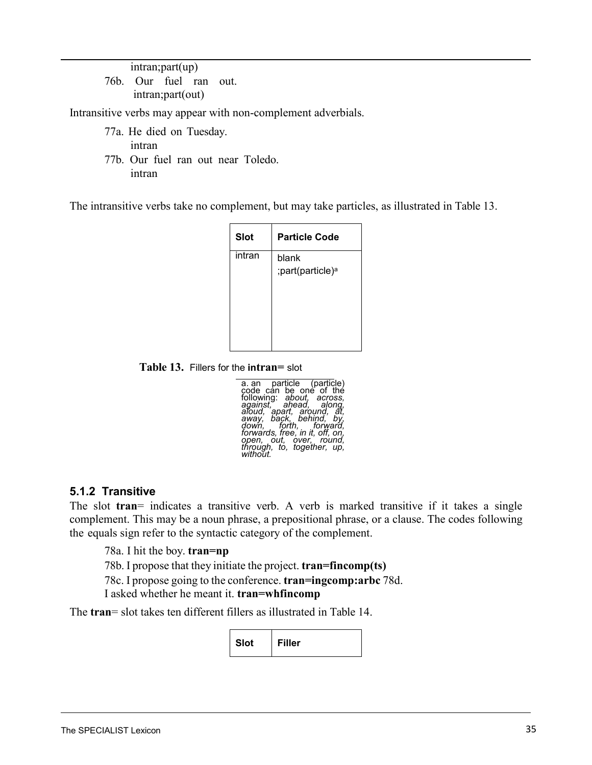intran;part(up) 76b. Our fuel ran out. intran;part(out)

Intransitive verbs may appear with non-complement adverbials.

- 77a. He died on Tuesday. intran
- 77b. Our fuel ran out near Toledo. intran

The intransitive verbs take no complement, but may take particles, as illustrated in [Table](#page-35-1) 13.

| <b>Slot</b> | <b>Particle Code</b>                  |
|-------------|---------------------------------------|
| intran      | blank<br>;part(particle) <sup>a</sup> |

**Table 13.** Fillers for the **intran=** slot

| a an particle (particle)<br>code can be one of the                |
|-------------------------------------------------------------------|
|                                                                   |
| following: about, across,<br>against, ahead, along,               |
| aloud, apart, around, at,                                         |
| away, back, behind, by,                                           |
| down, forth, forward,                                             |
| forwards, free, in it, off, on,                                   |
|                                                                   |
|                                                                   |
| open, out, over, round,<br>through, to, together, up,<br>without. |

#### <span id="page-35-0"></span>**5.1.2 Transitive**

The slot **tran**= indicates a transitive verb. A verb is marked transitive if it takes a single complement. This may be a noun phrase, a prepositional phrase, or a clause. The codes following the equals sign refer to the syntactic category of the complement.

78a. I hit the boy. **tran=np**

78b. I propose that they initiate the project. **tran=fincomp(ts)**

78c. I propose going to the conference. **tran=ingcomp:arbc** 78d.

I asked whether he meant it. **tran=whfincomp**

The **tran**= slot takes ten different fillers as illustrated in [Table](#page-35-1) 14.

<span id="page-35-1"></span>**Slot Filler**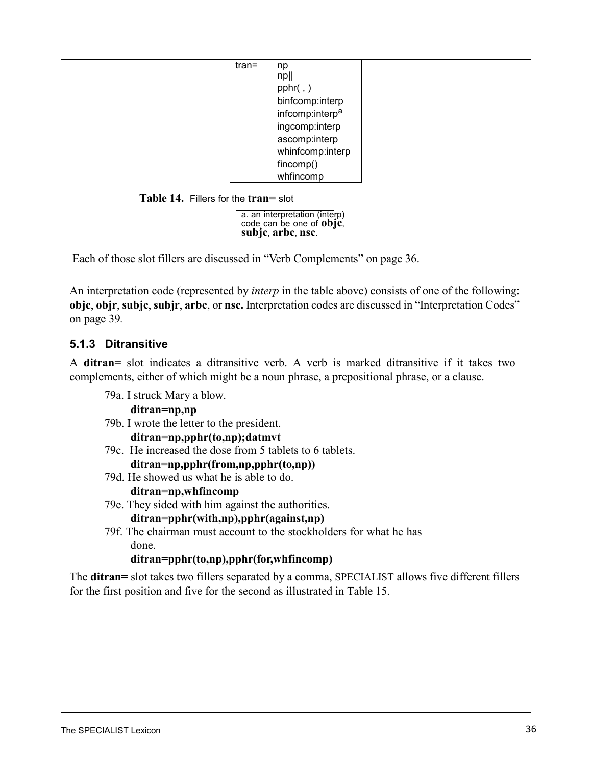| tran= | np                          |
|-------|-----------------------------|
|       | npll                        |
|       | pphr( , )                   |
|       | binfcomp:interp             |
|       | infcomp:interp <sup>a</sup> |
|       | ingcomp:interp              |
|       | ascomp:interp               |
|       | whinfcomp:interp            |
|       | fincomp()                   |
|       | whfincomp                   |

**Table 14.** Fillers for the **tran=** slot

a. an interpretation (interp) code can be one of **objc**, **subjc**, **arbc**, **nsc**.

Each of those slot fillers are discussed in "Verb [Complements"](#page-39-0) on page 36.

An interpretation code (represented by *interp* in the table above) consists of one of the following: **objc**, **objr**, **subjc**, **subjr**, **arbc**, or **nsc.** Interpretation codes are discussed in ["Interpretation](#page-42-0) Codes" [on page 39](#page-42-0)*.*

## **5.1.3 Ditransitive**

A **ditran**= slot indicates a ditransitive verb. A verb is marked ditransitive if it takes two complements, either of which might be a noun phrase, a prepositional phrase, or a clause.

79a. I struck Mary a blow. **ditran=np,np**

79b. I wrote the letter to the president.

**ditran=np,pphr(to,np);datmvt**

- 79c. He increased the dose from 5 tablets to 6 tablets. **ditran=np,pphr(from,np,pphr(to,np))**
- 79d. He showed us what he is able to do.

**ditran=np,whfincomp**

79e. They sided with him against the authorities.

**ditran=pphr(with,np),pphr(against,np)**

79f. The chairman must account to the stockholders for what he has done.

**ditran=pphr(to,np),pphr(for,whfincomp)**

<span id="page-36-0"></span>The **ditran=** slot takes two fillers separated by a comma, SPECIALIST allows five different fillers for the first position and five for the second as illustrated in [Table](#page-36-0) 15.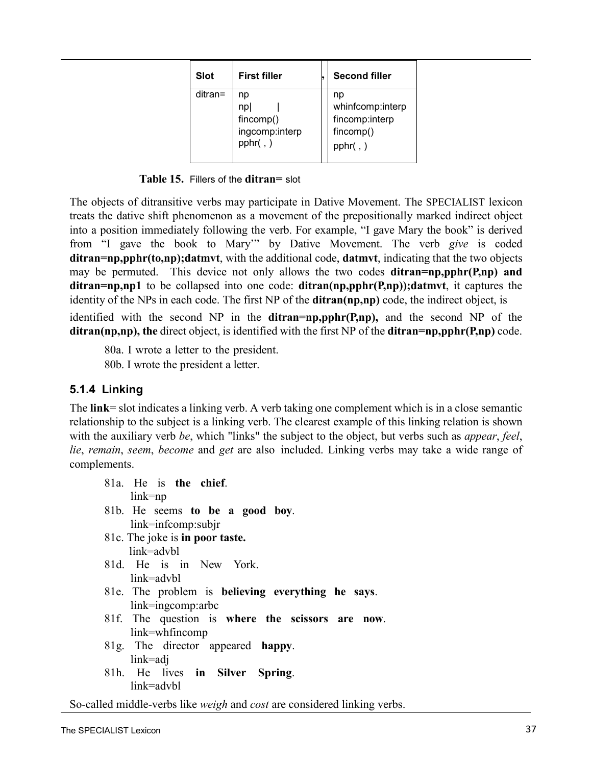| <b>Slot</b> | <b>First filler</b>                                   | <b>Second filler</b>                                                   |
|-------------|-------------------------------------------------------|------------------------------------------------------------------------|
| ditran=     | np<br>np<br>fincomp()<br>ingcomp:interp<br>pphr $(j)$ | np<br>whinfcomp:interp<br>fincomp:interp<br>fincomp()<br>$pphr($ , $)$ |

**Table 15.** Fillers of the **ditran=** slot

The objects of ditransitive verbs may participate in Dative Movement. The SPECIALIST lexicon treats the dative shift phenomenon as a movement of the prepositionally marked indirect object into a position immediately following the verb. For example, "I gave Mary the book" is derived from "I gave the book to Mary'" by Dative Movement. The verb *give* is coded **ditran=np,pphr(to,np);datmvt**, with the additional code, **datmvt**, indicating that the two objects may be permuted. This device not only allows the two codes **ditran=np,pphr(P,np) and ditran=np,np1** to be collapsed into one code: **ditran(np,pphr(P,np));datmvt**, it captures the identity of the NPs in each code. The first NP of the **ditran(np,np)** code, the indirect object, is identified with the second NP in the **ditran=np,pphr(P,np),** and the second NP of the **ditran(np,np), the** direct object, is identified with the first NP of the **ditran=np,pphr(P,np)** code.

80a. I wrote a letter to the president. 80b. I wrote the president a letter.

## **5.1.4 Linking**

The **link**= slot indicates a linking verb. A verb taking one complement which is in a close semantic relationship to the subject is a linking verb. The clearest example of this linking relation is shown with the auxiliary verb *be*, which "links" the subject to the object, but verbs such as *appear*, *feel*, *lie*, *remain*, *seem*, *become* and *get* are also included. Linking verbs may take a wide range of complements.

| 81a. He is the chief.                             |
|---------------------------------------------------|
| $link = np$                                       |
| 81b. He seems to be a good boy.                   |
| link=infcomp:subjr                                |
| 81c. The joke is in poor taste.                   |
| link=advbl                                        |
| 81d. He is in New York.                           |
| link=advhl                                        |
| 81e. The problem is believing everything he says. |
| $link = ingcomp:arbc$                             |
| 81f. The question is where the scissors are now.  |
| $link=whfincomp$                                  |
| 81g. The director appeared happy.                 |
| link=adj                                          |
| 81h. He lives in Silver Spring.                   |
| link=advbl                                        |

So-called middle-verbs like *weigh* and *cost* are considered linking verbs.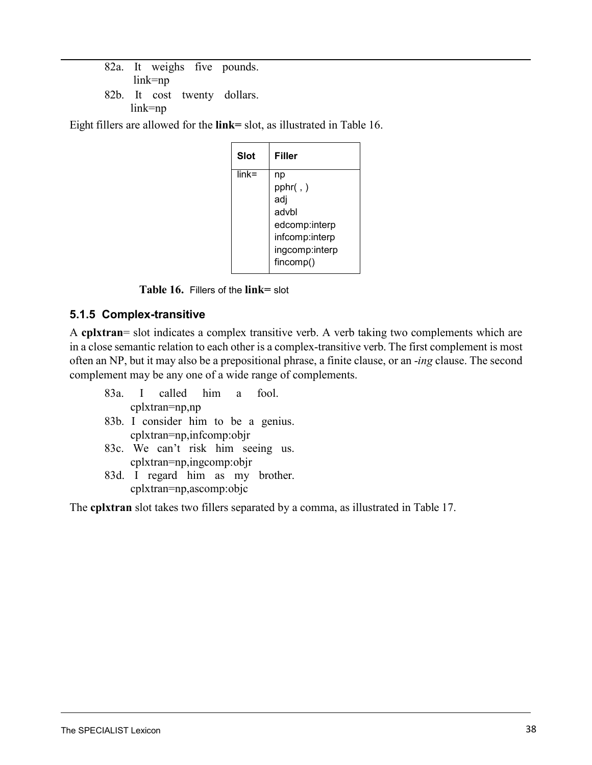82a. It weighs five pounds. link=np 82b. It cost twenty dollars. link=np

Eight fillers are allowed for the **link=** slot, as illustrated in [Table](#page-38-0) 16.

<span id="page-38-0"></span>

| Slot     | Filler         |
|----------|----------------|
| $link =$ | np             |
|          | pphr(,)        |
|          | adj            |
|          | advbl          |
|          | edcomp:interp  |
|          | infcomp:interp |
|          | ingcomp:interp |
|          | fincomp()      |

**Table 16.** Fillers of the **link=** slot

## **5.1.5 Complex-transitive**

A **cplxtran**= slot indicates a complex transitive verb. A verb taking two complements which are in a close semantic relation to each other is a complex-transitive verb. The first complement is most often an NP, but it may also be a prepositional phrase, a finite clause, or an -*ing* clause. The second complement may be any one of a wide range of complements.

- 83a. I called him a fool. cplxtran=np,np 83b. I consider him to be a genius. cplxtran=np,infcomp:objr 83c. We can't risk him seeing us.
- cplxtran=np,ingcomp:objr
- 83d. I regard him as my brother. cplxtran=np,ascomp:objc

The **cplxtran** slot takes two fillers separated by a comma, as illustrated in [Table](#page-39-1) 17.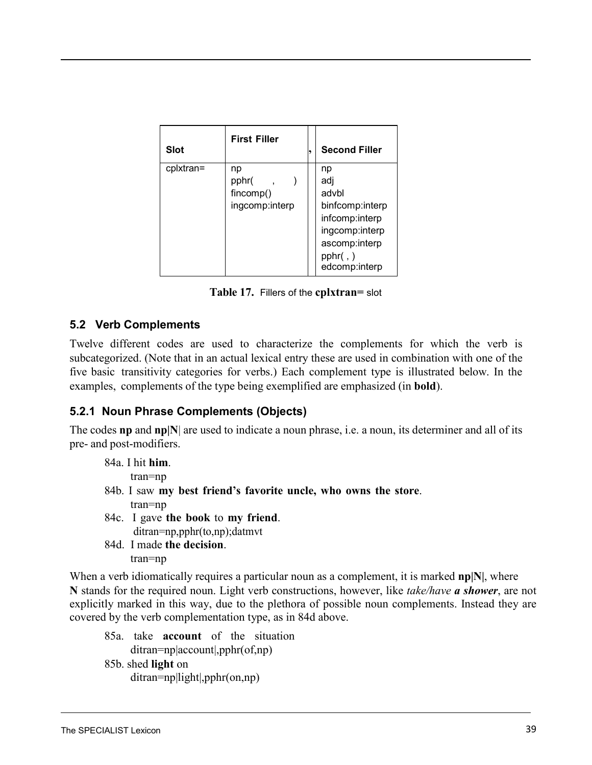<span id="page-39-1"></span><span id="page-39-0"></span>

| <b>Slot</b> | <b>First Filler</b>                        | <b>Second Filler</b>                                          |
|-------------|--------------------------------------------|---------------------------------------------------------------|
| cplxtran=   | np<br>pphr(<br>fincomp()<br>ingcomp:interp | np<br>adj<br>advbl<br>binfcomp:interp<br>infcomp:interp       |
|             |                                            | ingcomp:interp<br>ascomp:interp<br>pphr( , )<br>edcomp:interp |

**Table 17.** Fillers of the **cplxtran=** slot

### **5.2 Verb Complements**

Twelve different codes are used to characterize the complements for which the verb is subcategorized. (Note that in an actual lexical entry these are used in combination with one of the five basic transitivity categories for verbs.) Each complement type is illustrated below. In the examples, complements of the type being exemplified are emphasized (in **bold**).

### **5.2.1 Noun Phrase Complements (Objects)**

The codes **np** and **np|N**| are used to indicate a noun phrase, i.e. a noun, its determiner and all of its pre- and post-modifiers.

| 84a. I hit him.                                                 |
|-----------------------------------------------------------------|
| $tran = np$                                                     |
| 84b. I saw my best friend's favorite uncle, who owns the store. |
| $tran = np$                                                     |
| 84c. I gave the book to my friend.                              |
| $ditran=np,pphr(to,np); datumvt$                                |
| 84d. I made the decision.                                       |

tran=np

When a verb idiomatically requires a particular noun as a complement, it is marked **np|N|**, where **N** stands for the required noun. Light verb constructions, however, like *take/have a shower*, are not explicitly marked in this way, due to the plethora of possible noun complements. Instead they are covered by the verb complementation type, as in 84d above.

85a. take **account** of the situation ditran=np|account|,pphr(of,np) 85b. shed **light** on ditran=np|light|,pphr(on,np)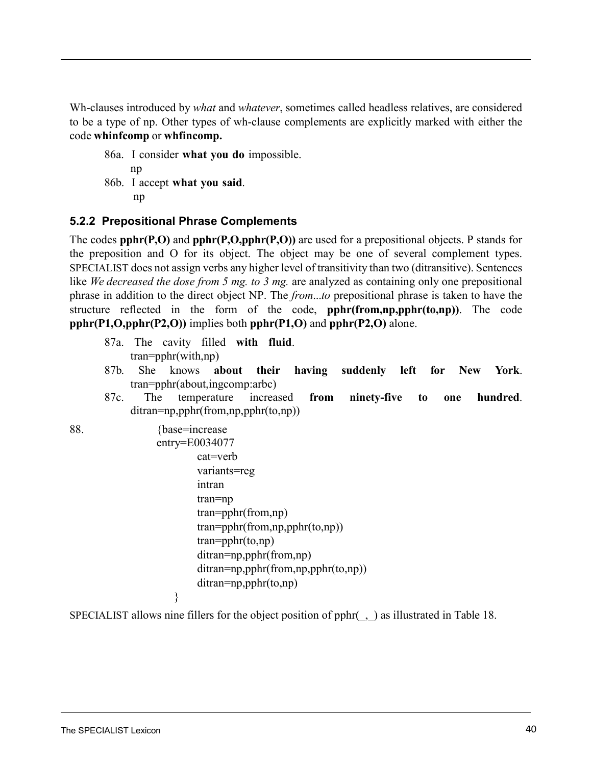<span id="page-40-0"></span>Wh-clauses introduced by *what* and *whatever*, sometimes called headless relatives, are considered to be a type of np. Other types of wh-clause complements are explicitly marked with either the code **whinfcomp** or **whfincomp.**

86a. I consider **what you do** impossible. np 86b. I accept **what you said**. np

## **5.2.2 Prepositional Phrase Complements**

The codes **pphr(P,O)** and **pphr(P,O,pphr(P,O))** are used for a prepositional objects. P stands for the preposition and O for its object. The object may be one of several complement types. SPECIALIST does not assign verbs any higher level of transitivity than two (ditransitive). Sentences like *We decreased the dose from 5 mg. to 3 mg.* are analyzed as containing only one prepositional phrase in addition to the direct object NP. The *from*...*to* prepositional phrase is taken to have the structure reflected in the form of the code, **pphr(from,np,pphr(to,np))**. The code **pphr(P1,O,pphr(P2,O))** implies both **pphr(P1,O)** and **pphr(P2,O)** alone.

87a. The cavity filled **with fluid**. tran=pphr(with,np)

}

- 87b. She knows **about their having suddenly left for New York**. tran=pphr(about,ingcomp:arbc)
- 87c. The temperature increased **from ninety-five to one hundred**. ditran=np,pphr(from,np,pphr(to,np))
- 

```
88. {base=increase}
                 entry=E0034077
                         cat=verb
                         variants=reg
                         intran 
                         tran=np
                         tran=pphr(from,np) 
                         tran=pphr(from,np,pphr(to,np)) 
                         tran=pphr(to,np) 
                         ditran=np,pphr(from,np) 
                         ditran=np,pphr(from,np,pphr(to,np)) 
                         ditran=np,pphr(to,np)
```
SPECIALIST allows nine fillers for the object position of pphr(\_,\_) as illustrated in [Table](#page-41-0) 18.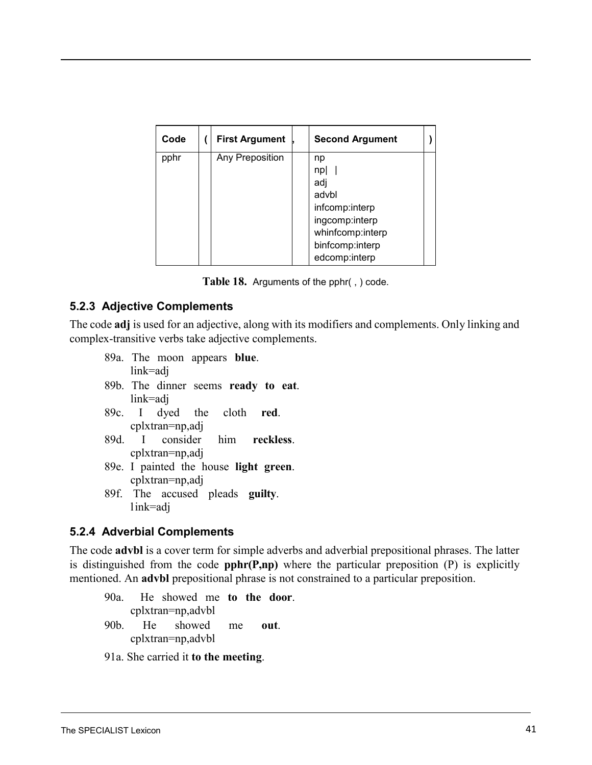<span id="page-41-0"></span>

| Code | <b>First Argument</b> | <b>Second Argument</b>                                                                              |  |
|------|-----------------------|-----------------------------------------------------------------------------------------------------|--|
| pphr | Any Preposition       | np<br>np<br>adj<br>advbl<br>infcomp:interp<br>ingcomp:interp<br>whinfcomp:interp<br>binfcomp:interp |  |
|      |                       | edcomp:interp                                                                                       |  |

|  | Table 18. Arguments of the pphr(, ) code. |  |
|--|-------------------------------------------|--|
|--|-------------------------------------------|--|

### **5.2.3 Adjective Complements**

The code **adj** is used for an adjective, along with its modifiers and complements. Only linking and complex-transitive verbs take adjective complements.

- <span id="page-41-1"></span>89a. The moon appears **blue**. link=adj 89b. The dinner seems **ready to eat**. link=adj
- 89c. I dyed the cloth **red**. cplxtran=np,adj
- 89d. I consider him **reckless**. cplxtran=np,adj
- 89e. I painted the house **light green**. cplxtran=np,adj
- 89f. The accused pleads **guilty**. link=adj

### **5.2.4 Adverbial Complements**

The code **advbl** is a cover term for simple adverbs and adverbial prepositional phrases. The latter is distinguished from the code **pphr(P,np)** where the particular preposition (P) is explicitly mentioned. An **advbl** prepositional phrase is not constrained to a particular preposition.

90a. He showed me **to the door**. cplxtran=np,advbl 90b. He showed me **out**. cplxtran=np,advbl

91a. She carried it **to the meeting**.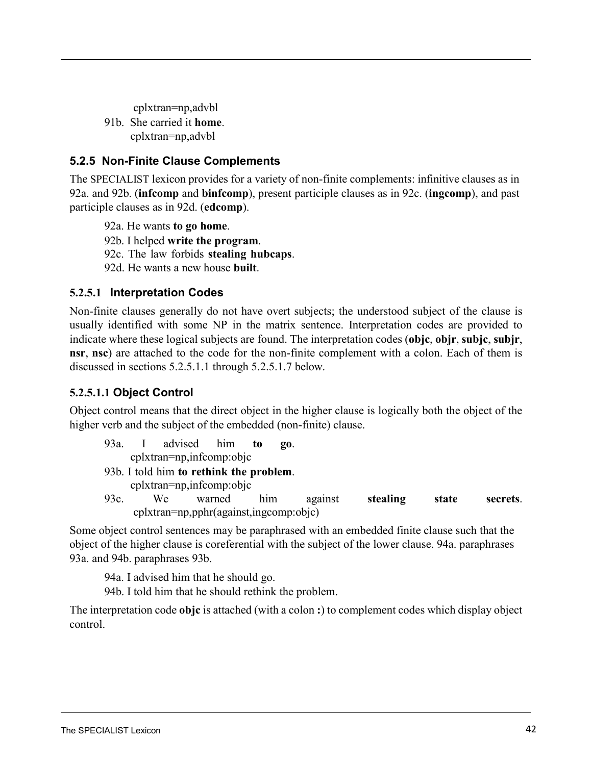<span id="page-42-1"></span>cplxtran=np,advbl 91b. She carried it **home**.

cplxtran=np,advbl

# <span id="page-42-0"></span>**5.2.5 Non-Finite Clause Complements**

The SPECIALIST lexicon provides for a variety of non-finite complements: infinitive clauses as i[n](#page-42-1) [92a.](#page-42-1) and [92b.](#page-42-1) (**infcomp** and **binfcomp**), present participle clauses as in [92c.](#page-42-1) (**ingcomp**), and past participle clauses as in 92d. (**edcomp**).

92a. He wants **to go home**.

92b. I helped **write the program**.

92c. The law forbids **stealing hubcaps**.

92d. He wants a new house **built**.

## <span id="page-42-2"></span>**5.2.5.1 Interpretation Codes**

<span id="page-42-5"></span><span id="page-42-4"></span>Non-finite clauses generally do not have overt subjects; the understood subject of the clause is usually identified with some NP in the matrix sentence. Interpretation codes are provided to indicate where these logical subjects are found. The interpretation codes (**objc**, **objr**, **subjc**, **subjr**, **nsr**, **nsc**) are attached to the code for the non-finite complement with a colon. Each of them is di[scussed in sections 5.2.5.1.1](#page-42-2) through [5.2.5.1.7](#page-45-0) below.

# **5.2.5.1.1 Object Control**

<span id="page-42-3"></span>Object control means that the direct object in the higher clause is logically both the object of the higher verb and the subject of the embedded (non-finite) clause.

93a. I advised him **to go**. cplxtran=np,infcomp:objc

93b. I told him **to rethink the problem**.

cplxtran=np,infcomp:objc

93c. We warned him against **stealing state secrets**. cplxtran=np,pphr(against,ingcomp:objc)

Some object control sentences may be paraphrased with an embedded finite clause such that the object of the higher clause is coreferential with the subject of the lower [clause. 94a.](#page-42-3) paraphrases [93a.](#page-42-4) and [94b.](#page-42-3) paraphrases 93[b.](#page-42-5)

94a. I advised him that he should go.

94b. I told him that he should rethink the problem.

The interpretation code **objc** is attached (with a colon **:**) to complement codes which display object control.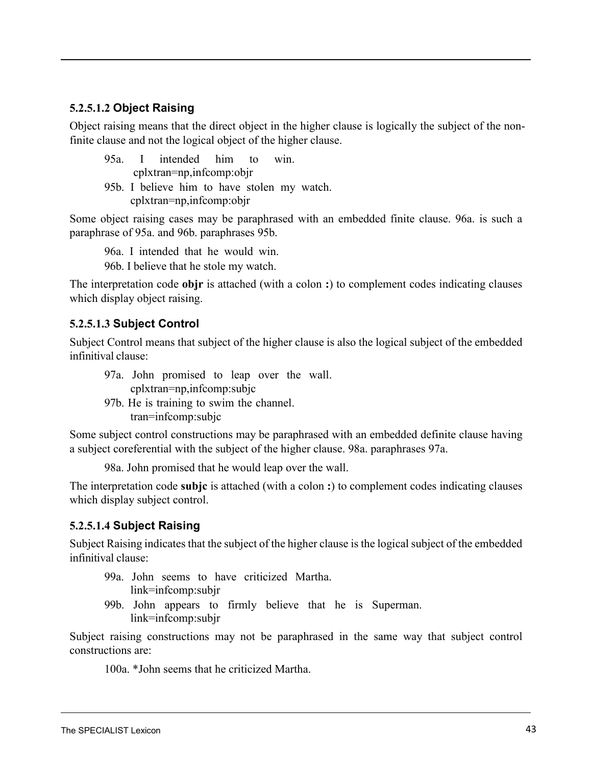### <span id="page-43-0"></span>**5.2.5.1.2 Object Raising**

<span id="page-43-1"></span>Object raising means that the direct object in the higher clause is logically the subject of the nonfinite clause and not the logical object of the higher clause.

|  |  |                               | 95a. I intended him to win. |                                             |
|--|--|-------------------------------|-----------------------------|---------------------------------------------|
|  |  | $cplx$ tran=np, infcomp: objr |                             |                                             |
|  |  |                               |                             | 95b. I believe him to have stolen my watch. |
|  |  | $cplx$ tran=np, infcomp: objr |                             |                                             |

Some object raising cases may be paraphrased with an embedded finite clause. [96a.](#page-43-0) is such a paraphrase of [95a.](#page-43-0) and [96b.](#page-43-1) paraphrases 95[b.](#page-43-0)

96a. I intended that he would win. 96b. I believe that he stole my watch.

The interpretation code **objr** is attached (with a colon **:**) to complement codes indicating clauses which display object raising.

### **5.2.5.1.3 Subject Control**

Subject Control means that subject of the higher clause is also the logical subject of the embedded infinitival clause:

- 97a. John promised to leap over the wall. cplxtran=np,infcomp:subjc
- 97b. He is training to swim the channel. tran=infcomp:subjc

Some subject control constructions may be paraphrased with an embedded definite clause having a subject coreferential with the subject of the higher clause. 98a. paraphrases 97a.

98a. John promised that he would leap over the wall.

The interpretation code **subjc** is attached (with a colon **:**) to complement codes indicating clauses which display subject control.

### **5.2.5.1.4 Subject Raising**

Subject Raising indicates that the subject of the higher clause is the logical subject of the embedded infinitival clause:

- 99a. John seems to have criticized Martha. link=infcomp:subjr
- 99b. John appears to firmly believe that he is Superman. link=infcomp:subjr

Subject raising constructions may not be paraphrased in the same way that subject control constructions are:

100a. \*John seems that he criticized Martha.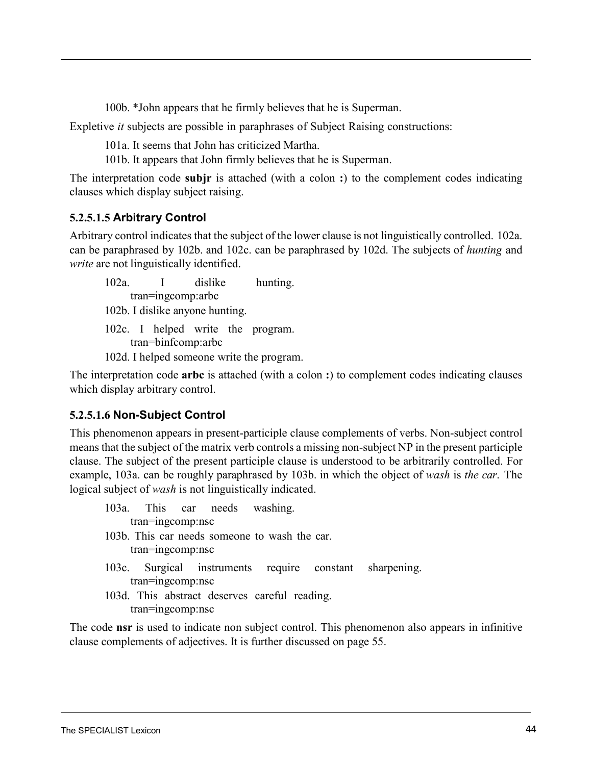100b. \*John appears that he firmly believes that he is Superman.

<span id="page-44-0"></span>Expletive *it* subjects are possible in paraphrases of Subject Raising constructions:

101a. It seems that John has criticized Martha.

101b. It appears that John firmly believes that he is Superman.

<span id="page-44-2"></span><span id="page-44-1"></span>The interpretation code **subjr** is attached (with a colon **:**) to the complement codes indicating clauses which display subject raising.

## <span id="page-44-3"></span>**5.2.5.1.5 Arbitrary Control**

Arbitrary control indicates that the subject of the lower clause is not linguistically controlled. [102a.](#page-44-0) can be paraphrased by [102b.](#page-44-1) and [102c.](#page-44-2) can be paraphrased by [102d.](#page-44-3) The subjects of *hunting* and *write* are not linguistically identified.

102a. I dislike hunting. tran=ingcomp:arbc 102b. I dislike anyone hunting. 102c. I helped write the program. tran=binfcomp:arbc 102d. I helped someone write the program.

<span id="page-44-5"></span><span id="page-44-4"></span>The interpretation code **arbc** is attached (with a colon **:**) to complement codes indicating clauses which display arbitrary control.

## **5.2.5.1.6 Non-Subject Control**

This phenomenon appears in present-participle clause complements of verbs. Non-subject control means that the subject of the matrix verb controls a missing non-subject NP in the present participle clause. The subject of the present participle clause is understood to be arbitrarily controlled. For [example,](#page-44-4) 103a. can be roughly paraphrased by 103[b.](#page-44-5) in which the object of *wash* is *the car*. The logical subject of *wash* is not linguistically indicated.

103a. This car needs washing. tran=ingcomp:nsc 103b. This car needs someone to wash the car.

tran=ingcomp:nsc

- 103c. Surgical instruments require constant sharpening. tran=ingcomp:nsc
- 103d. This abstract deserves careful reading. tran=ingcomp:nsc

The code **nsr** is used to indicate non subject control. This phenomenon also appears in infinitive clause complements of adjectives. [It is further discussed on page 55.](#page-58-0)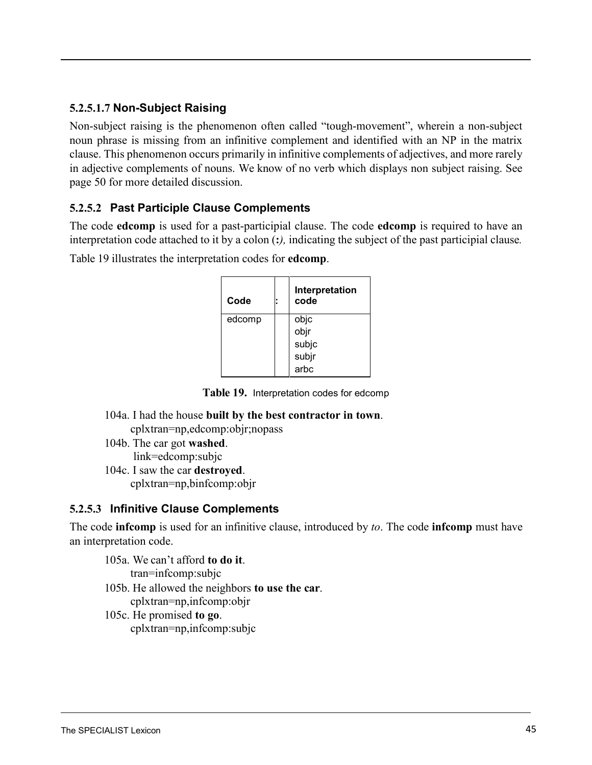## <span id="page-45-0"></span>**5.2.5.1.7 Non-Subject Raising**

Non-subject raising is the phenomenon often called "tough-movement", wherein a non-subject noun phrase is missing from an infinitive complement and identified with an NP in the matrix clause. This phenomenon occurs primarily in infinitive complements of adjectives, and more rarely in adjective complements of nouns. We know of no verb which displays non subject raising. Se[e](#page-53-0) [page 50](#page-53-0) for more detailed discussion.

## **5.2.5.2 Past Participle Clause Complements**

The code **edcomp** is used for a past-participial clause. The code **edcomp** is required to have an interpretation code attached to it by a colon (**:***),* indicating the subject of the past participial clause*.*

<span id="page-45-1"></span>[Table 19](#page-45-1) illustrates the interpretation codes for **edcomp**.

| Code   | Interpretation<br>code |
|--------|------------------------|
| edcomp | objc                   |
|        | objr                   |
|        | subjc                  |
|        | subjr                  |
|        | arbc                   |

<span id="page-45-2"></span>**Table 19.** Interpretation codes for edcomp

- 104a. I had the house **built by the best contractor in town**. cplxtran=np,edcomp:objr;nopass
- 104b. The car got **washed**. link=edcomp:subjc
- 104c. I saw the car **destroyed**. cplxtran=np,binfcomp:objr

## **5.2.5.3 Infinitive Clause Complements**

The code **infcomp** is used for an infinitive clause, introduced by *to*. The code **infcomp** must have an interpretation code.

- 105a. We can't afford **to do it**. tran=infcomp:subjc 105b. He allowed the neighbors **to use the car**. cplxtran=np,infcomp:objr 105c. He promised **to go**.
	- cplxtran=np,infcomp:subjc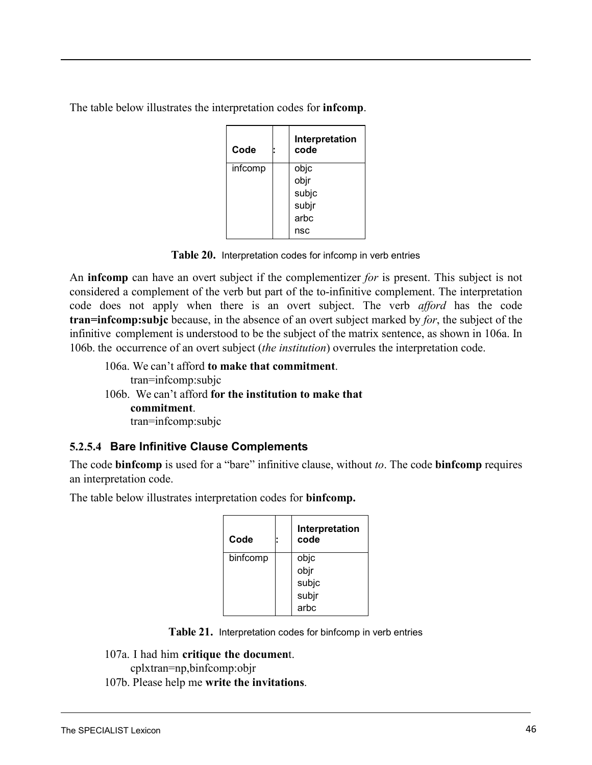The table below illustrates the interpretation codes for **infcomp**.

<span id="page-46-0"></span>

| Code    | Interpretation<br>code |
|---------|------------------------|
| infcomp | objc                   |
|         | objr                   |
|         | subjc                  |
|         | subjr                  |
|         | arbc                   |
|         | nsc                    |

**Table 20.** Interpretation codes for infcomp in verb entries

<span id="page-46-1"></span>An **infcomp** can have an overt subject if the complementizer *for* is present. This subject is not considered a complement of the verb but part of the to-infinitive complement. The interpretation code does not apply when there is an overt subject. The verb *afford* has the code **tran=infcomp:subjc** because, in the absence of an overt subject marked by *for*, the subject of the infinitive complement is understood to be the subject of the matrix sentence, as shown in [106a.](#page-46-0) In [106b.](#page-46-1) the occurrence of an overt subject (*the institution*) overrules the interpretation code.

106a. We can't afford **to make that commitment**. tran=infcomp:subjc 106b. We can't afford **for the institution to make that commitment**. tran=infcomp:subjc

# **5.2.5.4 Bare Infinitive Clause Complements**

The code **binfcomp** is used for a "bare" infinitive clause, without *to*. The code **binfcomp** requires an interpretation code.

The table below illustrates interpretation codes for **binfcomp.**

| Code     | ٠ | Interpretation<br>code |
|----------|---|------------------------|
| binfcomp |   | objc                   |
|          |   | objr                   |
|          |   | subjc                  |
|          |   | subjr                  |
|          |   | arbc                   |

**Table 21.** Interpretation codes for binfcomp in verb entries

107a. I had him **critique the documen**t.

cplxtran=np,binfcomp:objr

107b. Please help me **write the invitations**.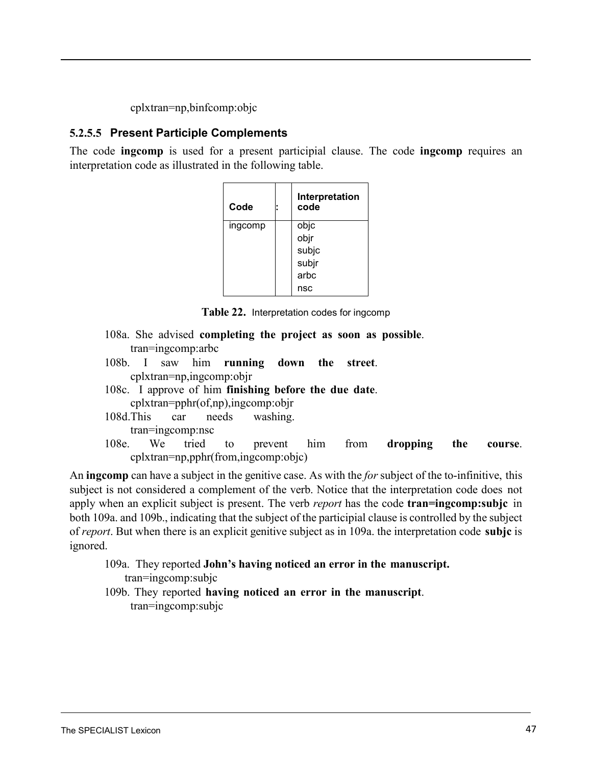cplxtran=np,binfcomp:objc

## **5.2.5.5 Present Participle Complements**

The code **ingcomp** is used for a present participial clause. The code **ingcomp** requires an interpretation code as illustrated in the following table.

| Code    |  | Interpretation<br>code |
|---------|--|------------------------|
| ingcomp |  | objc                   |
|         |  | objr                   |
|         |  | subjc                  |
|         |  | subjr                  |
|         |  | arbc                   |
|         |  | nsc                    |

**Table 22.** Interpretation codes for ingcomp

- 108a. She advised **completing the project as soon as possible**. tran=ingcomp:arbc
- 108b. I saw him **running down the street**. cplxtran=np,ingcomp:objr
- 108c. I approve of him **finishing before the due date**.
	- cplxtran=pphr(of,np),ingcomp:objr
- <span id="page-47-0"></span>108d.This car needs washing. tran=ingcomp:nsc
- 108e. We tried to prevent him from **dropping the course**. cplxtran=np,pphr(from,ingcomp:objc)

<span id="page-47-1"></span>An **ingcomp** can have a subject in the genitive case. As with the *for* subject of the to-infinitive, this subject is not considered a complement of the verb. Notice that the interpretation code does not apply when an explicit subject is present. The verb *report* has the code **tran=ingcomp:subjc** [in](#page-47-0)  [both 109a.](#page-47-0) and [109b.,](#page-47-1) indicating that the subject of the participial clause is controlled by the subject of *report*. But when there is an explicit genitive subject as in [109a.](#page-47-0) the interpretation code **subjc** is ignored.

109a. They reported **John's having noticed an error in the manuscript.** tran=ingcomp:subjc

109b. They reported **having noticed an error in the manuscript**. tran=ingcomp:subjc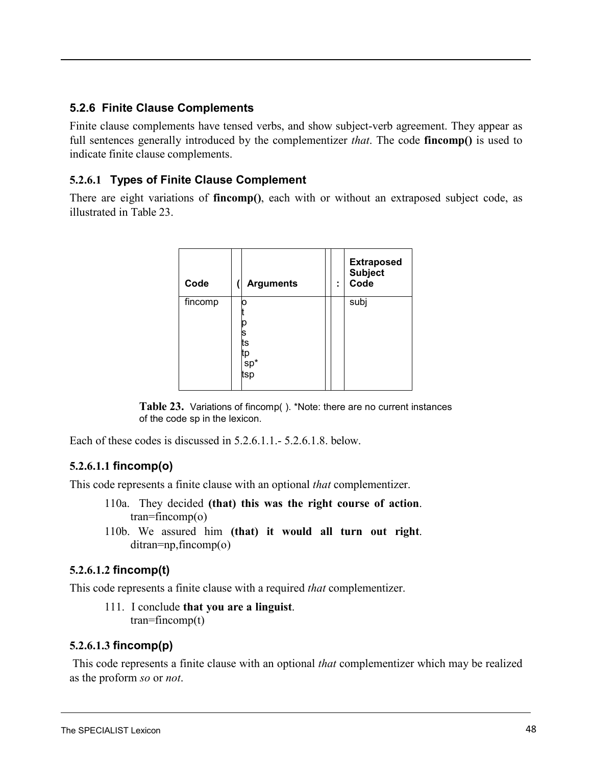### <span id="page-48-2"></span>**5.2.6 Finite Clause Complements**

Finite clause complements have tensed verbs, and show subject-verb agreement. They appear as full sentences generally introduced by the complementizer *that*. The code **fincomp()** is used to indicate finite clause complements.

### **5.2.6.1 Types of Finite Clause Complement**

There are eight variations of **fincomp()**, each with or without an extraposed subject code, as illustrated in [Table](#page-48-0) 23.

<span id="page-48-1"></span><span id="page-48-0"></span>

| Code    | <b>Arguments</b>                 | ٠<br>٠ | <b>Extraposed</b><br><b>Subject</b><br>Code |
|---------|----------------------------------|--------|---------------------------------------------|
| fincomp | O<br>s<br>ts<br>tp<br>sp*<br>tsp |        | subj                                        |

**Table 23.** Variations of fincomp( ). \*Note: there are no current instances of the code sp in the lexicon.

[Each of these codes is discussed in 5.2.6.1.1.-](#page-48-1) [5.2.6.1.8.](#page-49-0) below.

## **5.2.6.1.1 fincomp(o)**

This code represents a finite clause with an optional *that* complementizer.

- 110a. They decided **(that) this was the right course of action**.  $tran = fincomp(o)$
- 110b. We assured him **(that) it would all turn out right**. ditran=np,fincomp(o)

### **5.2.6.1.2 fincomp(t)**

This code represents a finite clause with a required *that* complementizer.

111. I conclude **that you are a linguist**. tran=fincomp(t)

### **5.2.6.1.3 fincomp(p)**

This code represents a finite clause with an optional *that* complementizer which may be realized as the proform *so* or *not*.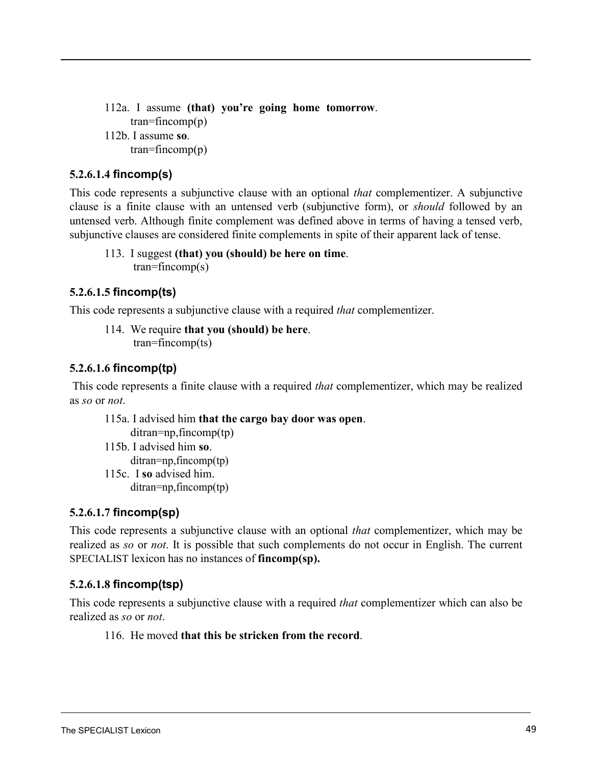112a. I assume **(that) you're going home tomorrow**.  $tran = fincomp(p)$ 112b. I assume **so**.  $tran = fincomp(p)$ 

### **5.2.6.1.4 fincomp(s)**

This code represents a subjunctive clause with an optional *that* complementizer. A subjunctive clause is a finite clause with an untensed verb (subjunctive form), or *should* followed by an untensed verb. Although finite complement was defined above in terms of having a tensed verb, subjunctive clauses are considered finite complements in spite of their apparent lack of tense.

#### 113. I suggest **(that) you (should) be here on time**.  $tran = fincomp(s)$

### **5.2.6.1.5 fincomp(ts)**

This code represents a subjunctive clause with a required *that* complementizer.

114. We require **that you (should) be here**. tran=fincomp(ts)

### **5.2.6.1.6 fincomp(tp)**

This code represents a finite clause with a required *that* complementizer, which may be realized as *so* or *not*.

<span id="page-49-0"></span>115a. I advised him **that the cargo bay door was open**. ditran=np,fincomp(tp) 115b. I advised him **so**. ditran=np,fincomp(tp) 115c. I **so** advised him. ditran=np,fincomp(tp)

### **5.2.6.1.7 fincomp(sp)**

This code represents a subjunctive clause with an optional *that* complementizer, which may be realized as *so* or *not*. It is possible that such complements do not occur in English. The current SPECIALIST lexicon has no instances of **fincomp(sp).**

## **5.2.6.1.8 fincomp(tsp)**

This code represents a subjunctive clause with a required *that* complementizer which can also be realized as *so* or *not*.

116. He moved **that this be stricken from the record**.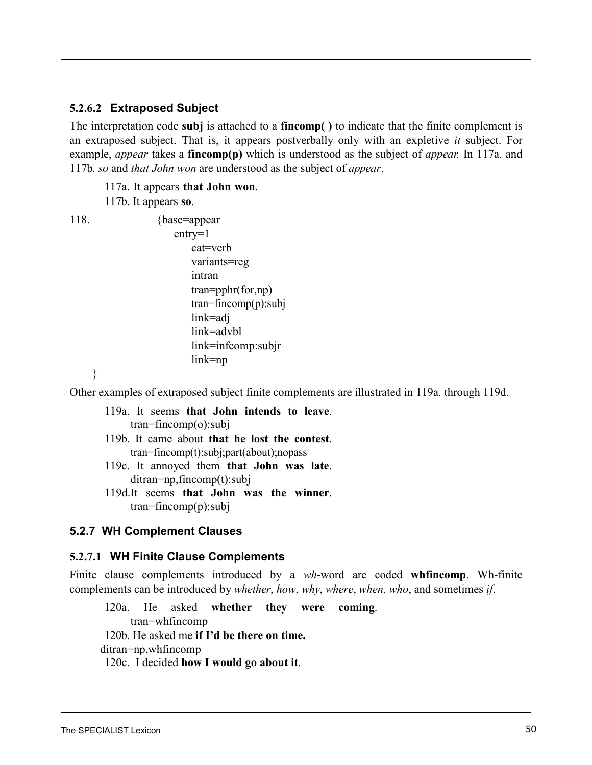#### <span id="page-50-0"></span>**5.2.6.2 Extraposed Subject**

The interpretation code **subj** is attached to a **fincomp( )** to indicate that the finite complement is an extraposed subject. That is, it appears postverbally only with an expletive *it* subject. For example, *appear* takes a **fincomp(p)** which is understood as the subject of *appear.* In [117a.](#page-50-0) and [117b.](#page-50-0) *so* and *that John won* are understood as the subject of *appear*.

117a. It appears **that John won**.

117b. It appears **so**.

118. {base=appear entry=1 cat=verb variants=reg intran tran=pphr(for,np) tran=fincomp(p):subj link=adj link=advbl link=infcomp:subjr link=np

}

<span id="page-50-1"></span>Other examples of extraposed subject finite complements are illustrated in 119a. through 119d.

119a. It seems **that John intends to leave**. tran=fincomp(o):subj 119b. It came about **that he lost the contest**. tran=fincomp(t):subj;part(about);nopass 119c. It annoyed them **that John was late**.

- ditran=np,fincomp(t):subj
- 119d.It seems **that John was the winner**. tran=fincomp(p):subj

### **5.2.7 WH Complement Clauses**

#### **5.2.7.1 WH Finite Clause Complements**

Finite clause complements introduced by a *wh*-word are coded **whfincomp**. Wh-finite complements can be introduced by *whether*, *how*, *why*, *where*, *when, who*, and sometimes *if*.

120a. He asked **whether they were coming**. tran=whfincomp 120b. He asked me **if I'd be there on time.** ditran=np,whfincomp 120c. I decided **how I would go about it**.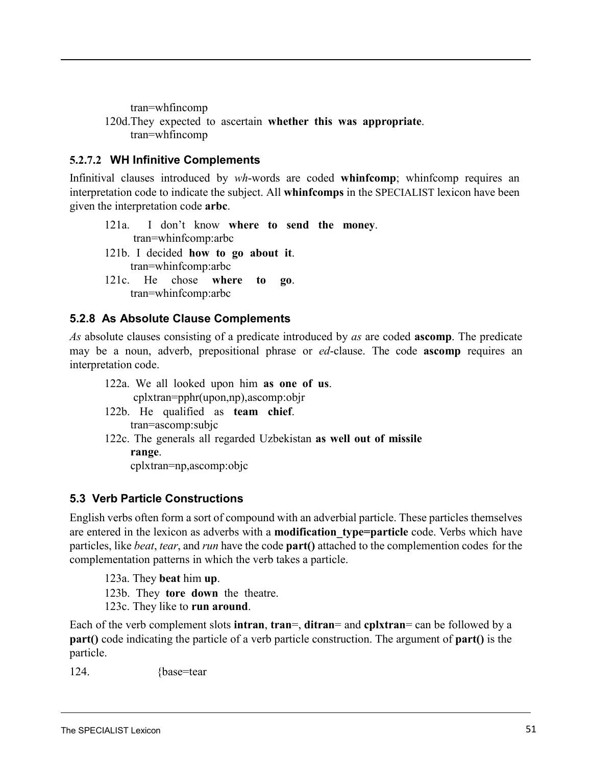<span id="page-51-0"></span>tran=whfincomp 120d.They expected to ascertain **whether this was appropriate**. tran=whfincomp

### **5.2.7.2 WH Infinitive Complements**

Infinitival clauses introduced by *wh*-words are coded **whinfcomp**; whinfcomp requires an interpretation code to indicate the subject. All **whinfcomps** in the SPECIALIST lexicon have been given the interpretation code **arbc**.

- 121a. I don't know **where to send the money**. tran=whinfcomp:arbc
- 121b. I decided **how to go about it**. tran=whinfcomp:arbc
- 121c. He chose **where to go**. tran=whinfcomp:arbc

## **5.2.8 As Absolute Clause Complements**

*As* absolute clauses consisting of a predicate introduced by *as* are coded **ascomp**. The predicate may be a noun, adverb, prepositional phrase or *ed*-clause. The code **ascomp** requires an interpretation code.

- 122a. We all looked upon him **as one of us**. cplxtran=pphr(upon,np),ascomp:objr
- 122b. He qualified as **team chief**. tran=ascomp:subjc
- 122c. The generals all regarded Uzbekistan **as well out of missile range**.

cplxtran=np,ascomp:objc

## **5.3 Verb Particle Constructions**

English verbs often form a sort of compound with an adverbial particle. These particles themselves are entered in the lexicon as adverbs with a **modification** type=particle code. Verbs which have particles, like *beat*, *tear*, and *run* have the code **part()** attached to the complemention codes for the complementation patterns in which the verb takes a particle.

123a. They **beat** him **up**.

123b. They **tore down** the theatre.

123c. They like to **run around**.

Each of the verb complement slots **intran**, **tran**=, **ditran**= and **cplxtran**= can be followed by a **part()** code indicating the particle of a verb particle construction. The argument of **part()** is the particle.

124. {base=tear}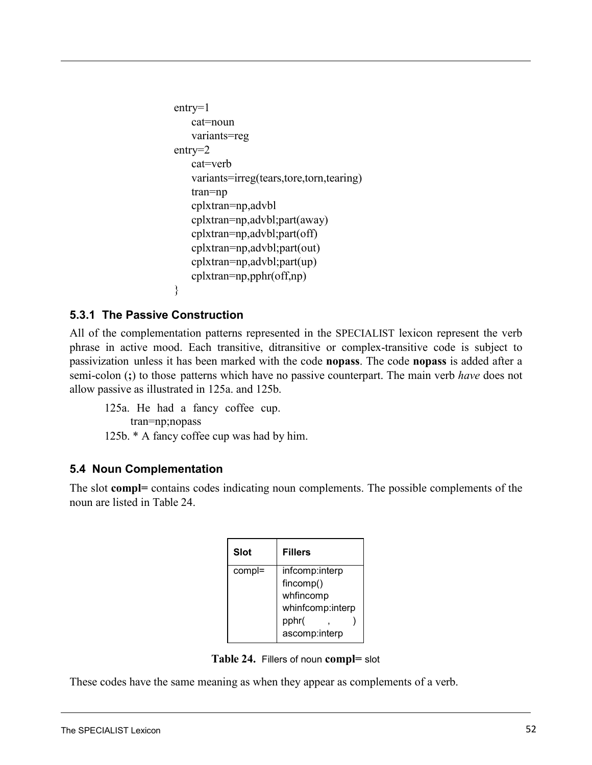```
entry=1
   cat=noun 
   variants=reg
entry=2
   cat=verb
   variants=irreg(tears,tore,torn,tearing)
   tran=np
   cplxtran=np,advbl 
   cplxtran=np,advbl;part(away)
   cplxtran=np,advbl;part(off)
   cplxtran=np,advbl;part(out) 
   cplxtran=np,advbl;part(up) 
   cplxtran=np,pphr(off,np)
}
```
### <span id="page-52-1"></span><span id="page-52-0"></span>**5.3.1 The Passive Construction**

All of the complementation patterns represented in the SPECIALIST lexicon represent the verb phrase in active mood. Each transitive, ditransitive or complex-transitive code is subject to passivization unless it has been marked with the code **nopass**. The code **nopass** is added after a semi-colon (**;**) to those patterns which have no passive counterpart. The main verb *have* does not allow passive as illu[strated in 125a.](#page-52-0) and [125b.](#page-52-1)

125a. He had a fancy coffee cup. tran=np;nopass 125b. \* A fancy coffee cup was had by him.

## **5.4 Noun Complementation**

<span id="page-52-2"></span>The slot **compl=** contains codes indicating noun complements. The possible complements of the noun are listed in [Table](#page-52-2) 24.

| <b>Slot</b> | <b>Fillers</b>   |  |
|-------------|------------------|--|
| compl=      | infcomp:interp   |  |
|             | fincomp()        |  |
|             | whfincomp        |  |
|             | whinfcomp:interp |  |
|             | pphr(            |  |
|             | ascomp:interp    |  |

**Table 24.** Fillers of noun **compl=** slot

These codes have the same meaning as when they appear as complements of a verb.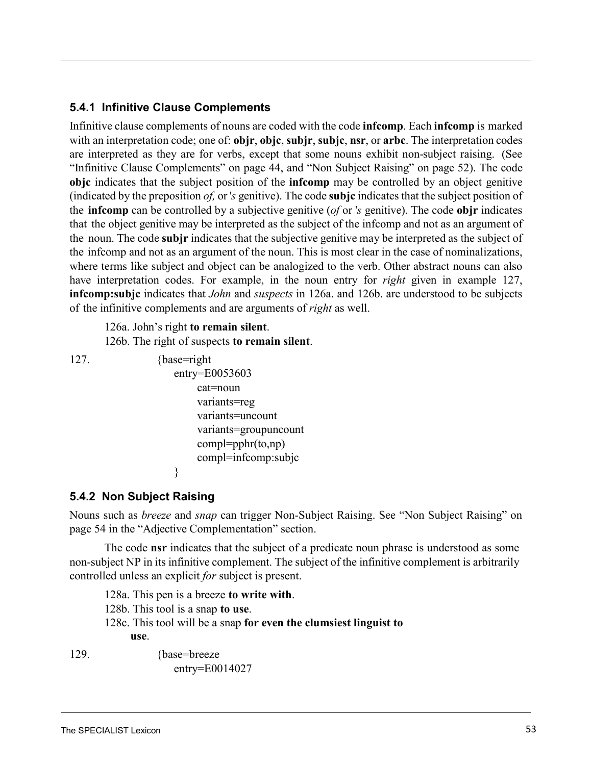## **5.4.1 Infinitive Clause Complements**

<span id="page-53-2"></span><span id="page-53-1"></span>Infinitive clause complements of nouns are coded with the code **infcomp**. Each **infcomp** is marked with an interpretation code; one of: **objr**, **objc**, **subjr**, **subjc**, **nsr**, or **arbc**. The interpretation codes are interpreted as they are for verbs, except that some nouns exhibit non-subject raising. (See ["Infinitive Clause](#page-45-2) Complements" on page 44, and "Non Subject [Raising"](#page-53-0) on page 52). The code **objc** indicates that the subject position of the **infcomp** may be controlled by an object genitive (indicated by the preposition *of,* or '*s* genitive). The code **subjc** indicates that the subject position of the **infcomp** can be controlled by a subjective genitive (*of* or '*s* genitive). The code **objr** indicates that the object genitive may be interpreted as the subject of the infcomp and not as an argument of the noun. The code **subjr** indicates that the subjective genitive may be interpreted as the subject of the infcomp and not as an argument of the noun. This is most clear in the case of nominalizations, where terms like subject and object can be analogized to the verb. Other abstract nouns can also have interpretation codes. For example, in the noun entry for *right* given in example 127, **infcomp:subjc** indicates that *John* and *suspects* in [126a.](#page-53-1) and [126b.](#page-53-2) are understood to be subjects of the infinitive complements and are arguments of *right* as well.

126a. John's right **to remain silent**. 126b. The right of suspects **to remain silent**.

<span id="page-53-0"></span>

```
127. {base=right}
                   entry=E0053603
                       cat=noun 
                       variants=reg
                       variants=uncount
                       variants=groupuncount
                       compl=pphr(to,np) 
                       compl=infcomp:subjc
```
### **5.4.2 Non Subject Raising**

}

Nouns such as *breeze* and *snap* [can trigger Non-Subject Raising. See "Non Subject](#page-57-0) Raising" on [page 54](#page-57-0) in the "Adjective [Complementation"](#page-55-0) section.

The code **nsr** indicates that the subject of a predicate noun phrase is understood as some non-subject NP in its infinitive complement. The subject of the infinitive complement is arbitrarily controlled unless an explicit *for* subject is present.

128a. This pen is a breeze **to write with**. 128b. This tool is a snap **to use**. 128c. This tool will be a snap **for even the clumsiest linguist to use**.

129. {base=breeze}

entry=E0014027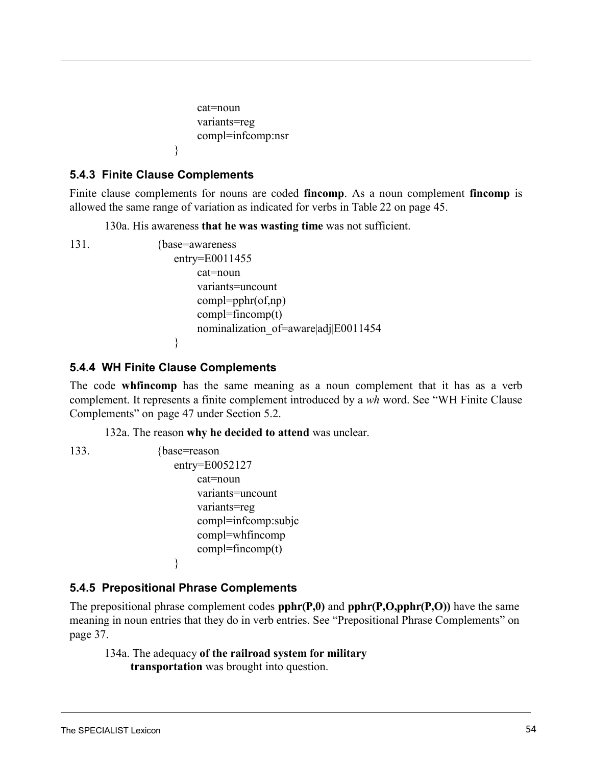```
cat=noun 
variants=reg
compl=infcomp:nsr
```
## **5.4.3 Finite Clause Complements**

}

Finite clause complements for nouns are coded **fincomp**. As a noun complement **fincomp** is allowed the same range of variation as indicated for verbs in Table [22 on page](#page-48-0) 45.

130a. His awareness **that he was wasting time** was not sufficient.

131. {base=awareness entry=E0011455 cat=noun variants=uncount compl=pphr(of,np)  $compl = fincomp(t)$ nominalization\_of=aware|adj|E0011454 }

## **5.4.4 WH Finite Clause Complements**

The code **whfincomp** has the same meaning as a noun complement that it has as a verb complement. It represents a finite complement introduced by a *wh* [word. See](#page-50-1) "WH Finite Clause [Complements"](#page-50-1) on [page 47](#page-50-1) under Section [5.2.](#page-39-0)

132a. The reason **why he decided to attend** was unclear.

133. {base=reason

```
entry=E0052127
    cat=noun 
    variants=uncount
    variants=reg
    compl=infcomp:subjc 
    compl=whfincomp
    compl = fincomp(t)}
```
## **5.4.5 Prepositional Phrase Complements**

The prepositional phrase complement codes **pphr(P,0)** and **pphr(P,O,pphr(P,O))** have the same meaning in noun entries that they do in verb entries. See "Prepositional Phrase [Complements"](#page-40-0) on [page 37.](#page-40-0)

134a. The adequacy **of the railroad system for military transportation** was brought into question.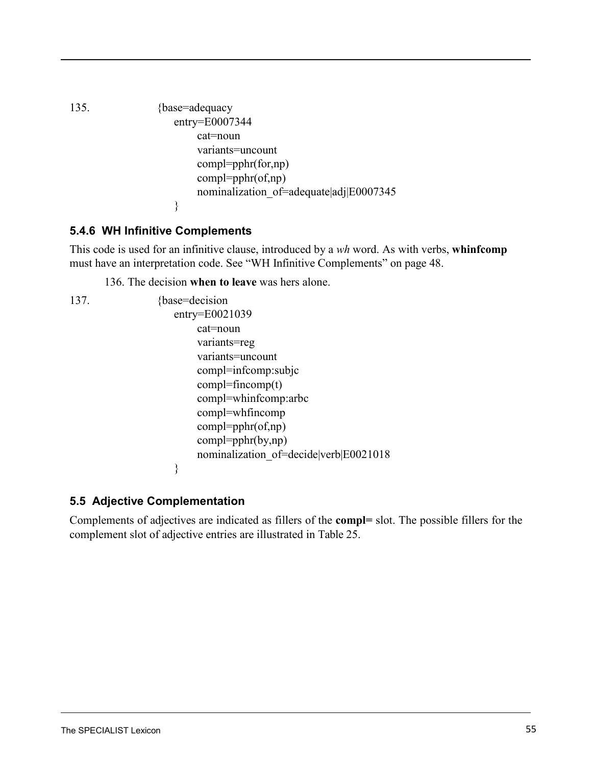```
135. {base=adequacy
                  entry=E0007344
                       cat=noun 
                       variants=uncount
                       compl=pphr(for,np)
                       compl=pphr(of,np)
                       nominalization_of=adequate|adj|E0007345
                  }
```
# **5.4.6 WH Infinitive Complements**

This code is used for an infinitive clause, introduced by a *wh* word. As with verbs, **whinfcomp** must have an [interpretation code.](#page-51-0) See "WH Infinitive Complements" on page 48.

136. The decision **when to leave** was hers alone.

```
137. {base=decision}
                   entry=E0021039
                        cat=noun 
                        variants=reg 
                        variants=uncount
                        compl=infcomp:subjc 
                        compl = fincomp(t)compl=whinfcomp:arbc 
                        compl=whfincomp
                        compl=pphr(of,np) 
                        compl=pphr(by,np)
                        nominalization_of=decide|verb|E0021018
```
# **5.5 Adjective Complementation**

}

Complements of adjectives are indicated as fillers of the **compl=** slot. The possible fillers for the complement slot of adjective entries are illustrated in [Table](#page-56-0) 25.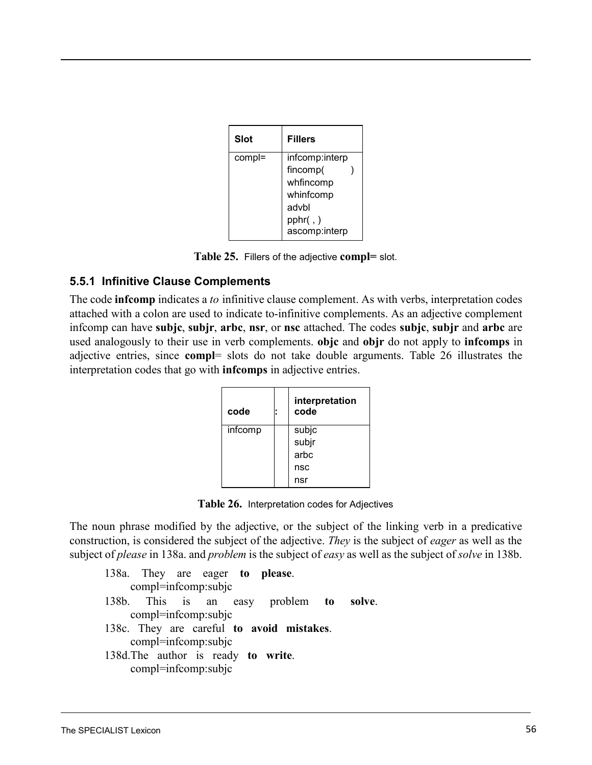<span id="page-56-0"></span>

| <b>Slot</b> | <b>Fillers</b>             |
|-------------|----------------------------|
| compl=      | infcomp:interp             |
|             | fincomp(                   |
|             | whfincomp                  |
|             | whinfcomp                  |
|             | advbl                      |
|             | pphr( , )<br>ascomp:interp |

**Table 25.** Fillers of the adjective **compl=** slot.

## **5.5.1 Infinitive Clause Complements**

<span id="page-56-1"></span>The code **infcomp** indicates a *to* infinitive clause complement. As with verbs, interpretation codes attached with a colon are used to indicate to-infinitive complements. As an adjective complement infcomp can have **subjc**, **subjr**, **arbc**, **nsr**, or **nsc** attached. The codes **subjc**, **subjr** and **arbc** are used analogously to their use in verb complements. **objc** and **objr** do not apply to **infcomps** in adjective entries, since **compl**= slots do not take double a[rguments.](#page-56-1) Table 26 illustrates the interpretation codes that go with **infcomps** in adjective entries.

<span id="page-56-3"></span><span id="page-56-2"></span>

| code    | interpretation<br>code |
|---------|------------------------|
| infcomp | subjc                  |
|         | subjr                  |
|         | arbc                   |
|         | nsc                    |
|         | nsr                    |

**Table 26.** Interpretation codes for Adjectives

The noun phrase modified by the adjective, or the subject of the linking verb in a predicative construction, is considered the subject of the adjective. *They* is the subject of *eager* as well as the subject of *please* [in 138a.](#page-56-2) and *problem* is the subject of *easy* as well as the subject of *solve* in 138[b.](#page-56-3)

138a. They are eager **to please**. compl=infcomp:subjc 138b. This is an easy problem **to solve**. compl=infcomp:subjc 138c. They are careful **to avoid mistakes**. compl=infcomp:subjc 138d.The author is ready **to write**. compl=infcomp:subjc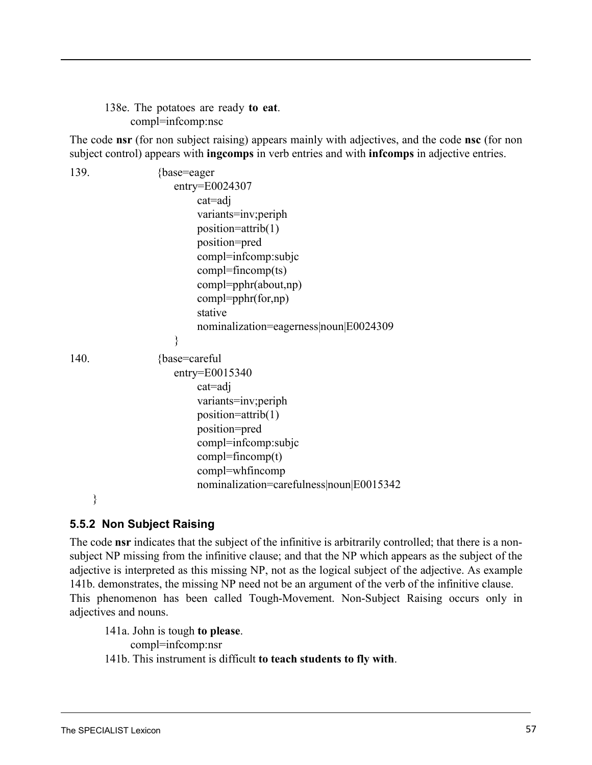138e. The potatoes are ready **to eat**. compl=infcomp:nsc

The code **nsr** (for non subject raising) appears mainly with adjectives, and the code **nsc** (for non subject control) appears with **ingcomps** in verb entries and with **infcomps** in adjective entries.

139. {base=eager entry=E0024307 cat=adj variants=inv;periph position=attrib(1) position=pred compl=infcomp:subjc compl=fincomp(ts) compl=pphr(about,np) compl=pphr(for,np) stative nominalization=eagerness|noun|E0024309 } 140. {base=careful entry=E0015340 cat=adj variants=inv;periph position=attrib(1) position=pred compl=infcomp:subjc compl=fincomp(t) compl=whfincomp nominalization=carefulness|noun|E0015342 }

# <span id="page-57-1"></span><span id="page-57-0"></span>**5.5.2 Non Subject Raising**

The code **nsr** indicates that the subject of the infinitive is arbitrarily controlled; that there is a nonsubject NP missing from the infinitive clause; and that the NP which appears as the subject of the adjective is interpreted as this missing NP, not as the logical subject of the adjective. As [example](#page-57-1) [141b.](#page-57-1) demonstrates, the missing NP need not be an argument of the verb of the infinitive clause. This phenomenon has been called Tough-Movement. Non-Subject Raising occurs only in adjectives and nouns.

141a. John is tough **to please**.

compl=infcomp:nsr

141b. This instrument is difficult **to teach students to fly with**.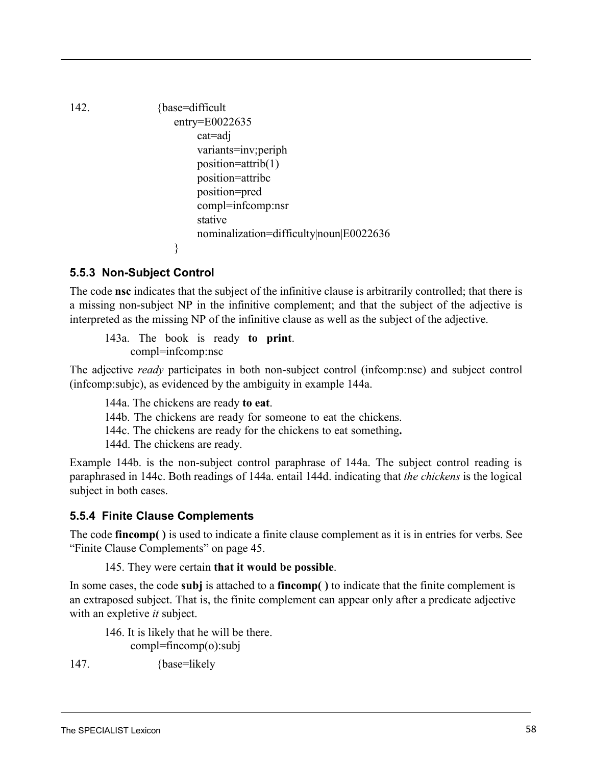<span id="page-58-0"></span>142. {base=difficult entry=E0022635 cat=adj variants=inv;periph position=attrib(1) position=attribc position=pred compl=infcomp:nsr stative nominalization=difficulty|noun|E0022636 }

## <span id="page-58-1"></span>**5.5.3 Non-Subject Control**

<span id="page-58-3"></span><span id="page-58-2"></span>The code **nsc** indicates that the subject of the infinitive clause is arbitrarily controlled; that there is a missing non-subject NP in the infinitive complement; and that the subject of the adjective is interpreted as the missing NP of the infinitive clause as well as the subject of the adjective.

143a. The book is ready **to print**. compl=infcomp:nsc

The adjective *ready* participates in both non-subject control (infcomp:nsc) and subject control (infcomp:subjc), as evidenced by the ambiguity in [example](#page-58-1) 144a.

- 144a. The chickens are ready **to eat**.
- 144b. The chickens are ready for someone to eat the chickens.
- 144c. The chickens are ready for the chickens to eat something**.**

144d. The chickens are ready.

[Example 144b.](#page-58-1) is the non-subject control paraphrase of [144a.](#page-58-1) The subject control reading is paraphrased in [144c.](#page-58-2) Both readings of [144a.](#page-58-1) entail [144d.](#page-58-3) indicating that *the chickens* is the logical subject in both cases.

## **5.5.4 Finite Clause Complements**

The code **fincomp( )** is used to indicate a finite clause complement as it is in entries for verbs. [See](#page-48-2) ["Finite Clause Complements" on page](#page-48-2) 45.

### 145. They were certain **that it would be possible**.

In some cases, the code **subj** is attached to a **fincomp( )** to indicate that the finite complement is an extraposed subject. That is, the finite complement can appear only after a predicate adjective with an expletive *it* subject.

146. It is likely that he will be there. compl=fincomp(o):subj

147. {base=likely

The SPECIALIST Lexicon 58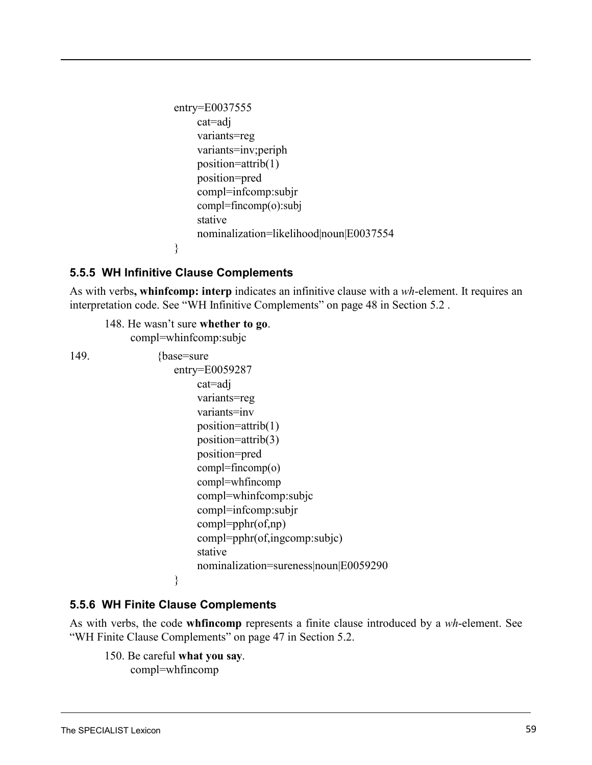```
entry=E0037555 
    cat=adj 
     variants=reg
     variants=inv;periph
     position=attrib(1) 
     position=pred
     compl=infcomp:subjr 
     compl=fincomp(o):subj
     stative
    nominalization=likelihood|noun|E0037554
}
```
### **5.5.5 WH Infinitive Clause Complements**

As with verbs**, whinfcomp: interp** indicates an infinitive clause with a *wh*-element. It requires a[n](#page-51-0) interpretation code. See "WH Infinitive [Complements" on](#page-51-0) page 48 in Section [5.2](#page-39-0) .

148. He wasn't sure **whether to go**. compl=whinfcomp:subjc 149. {base=sure}

```
entry=E0059287
    cat=adj 
    variants=reg
    variants=inv
    position=attrib(1) 
    position=attrib(3) 
    position=pred 
    compl=fincomp(o)
    compl=whfincomp
    compl=whinfcomp:subjc 
    compl=infcomp:subjr 
    compl=pphr(of,np) 
    compl=pphr(of,ingcomp:subjc) 
    stative
    nominalization=sureness|noun|E0059290
```
### **5.5.6 WH Finite Clause Complements**

}

As with verbs, the code **whfincomp** represents a finite clause introduced by a *wh*-element. Se[e](#page-50-1) ["WH Finite Clause Complements" on page](#page-50-1) 47 in Section 5.2.

150. Be careful **what you say**. compl=whfincomp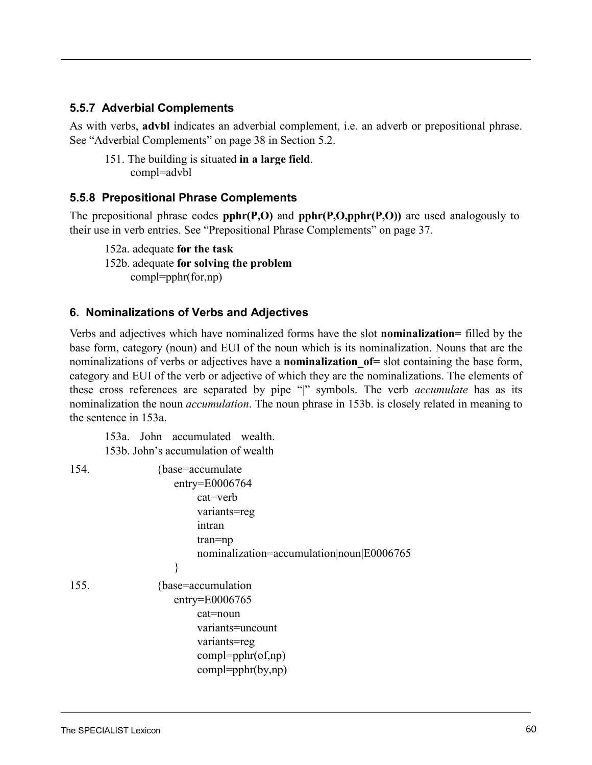### **5.5.7 Adverbial Complements**

As with verbs, **advbl** indicates an adverbial complement, i.e. an adverb or prepositional phrase. See "Adverbial [Complements" on page](#page-41-1) 38 in Section 5.2.

151. The building is situated **in a large field**. compl=advbl

### **5.5.8 Prepositional Phrase Complements**

The prepositional phrase codes **pphr(P,O)** and **pphr(P,O,pphr(P,O))** are used analogously to their use in verb [entries. See "Prepositional Phrase Complements" on page](#page-40-0) 37.

152a. adequate **for the task** 152b. adequate **for solving the problem** compl=pphr(for,np)

#### <span id="page-60-0"></span>**6. Nominalizations of Verbs and Adjectives**

Verbs and adjectives which have nominalized forms have the slot **nominalization=** filled by the base form, category (noun) and EUI of the noun which is its nominalization. Nouns that are the nominalizations of verbs or adjectives have a **nominalization\_of=** slot containing the base form, category and EUI of the verb or adjective of which they are the nominalizations. The elements of these cross references are separated by pipe "|" symbols. The verb *accumulate* has as its nominalization the noun *accumulation*[. The noun phrase in 153b.](#page-60-0) is closely related in meaning to the sentence in [153a.](#page-60-0)

153a. John accumulated wealth. 153b. John's accumulation of wealth

| 154. | {base=accumulate}                         |
|------|-------------------------------------------|
|      | $entry = E0006764$                        |
|      | $cat=verb$                                |
|      | variants=reg                              |
|      | intran                                    |
|      | $tran = np$                               |
|      | nominalization=accumulation noun E0006765 |
|      |                                           |
| 155. | {base=accumulation                        |
|      | $entry = E0006765$                        |
|      | cat=noun                                  |
|      | variants=uncount                          |
|      | variants=reg                              |
|      | $compl = pphr(of, np)$                    |
|      | $compl = pphr(by, np)$                    |
|      |                                           |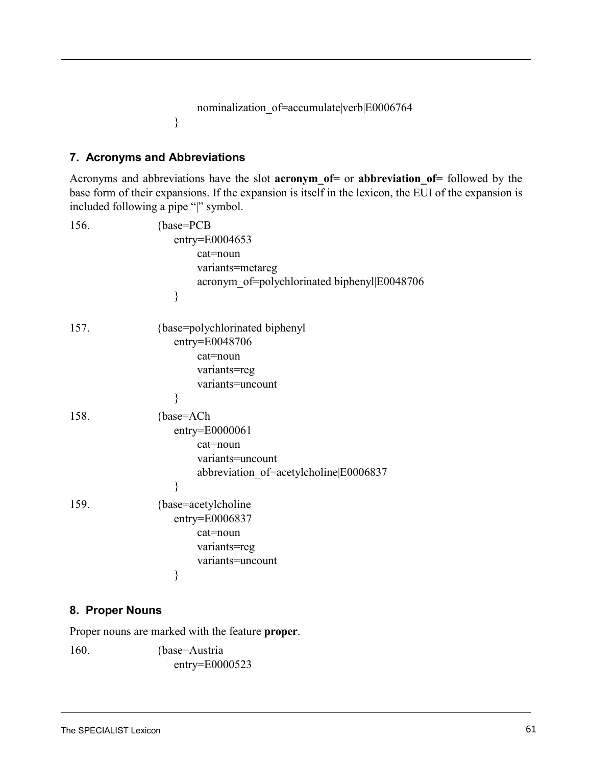```
nominalization_of=accumulate|verb|E0006764
```
## **7. Acronyms and Abbreviations**

}

Acronyms and abbreviations have the slot **acronym\_of=** or **abbreviation\_of=** followed by the base form of their expansions. If the expansion is itself in the lexicon, the EUI of the expansion is included following a pipe "|" symbol.

| 156. | {base=PCB                                    |
|------|----------------------------------------------|
|      | $entry = E0004653$                           |
|      | cat=noun                                     |
|      | variants=metareg                             |
|      | acronym_of=polychlorinated biphenyl E0048706 |
|      | }                                            |
| 157. | {base=polychlorinated biphenyl               |
|      | entry=E0048706                               |
|      | cat=noun                                     |
|      | variants=reg                                 |
|      | variants=uncount                             |
|      | }                                            |
| 158. | {base=ACh                                    |
|      | entry=E0000061                               |
|      | cat=noun                                     |
|      | variants=uncount                             |
|      | abbreviation of=acetylcholine E0006837       |
|      | ∤                                            |
| 159. | {base=acetylcholine}                         |
|      | entry=E0006837                               |
|      | cat=noun                                     |
|      | variants=reg                                 |
|      | variants=uncount                             |
|      | }                                            |

## **8. Proper Nouns**

Proper nouns are marked with the feature **proper**.

160. {base=Austria entry=E0000523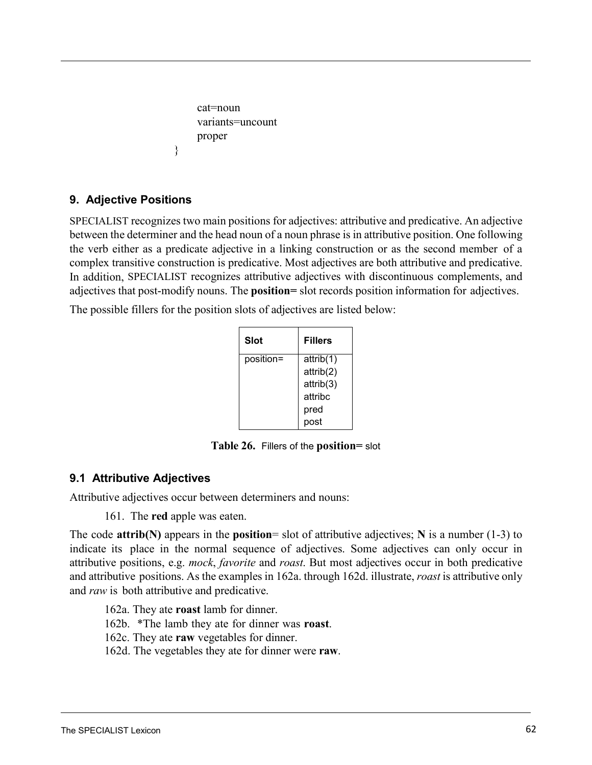```
cat=noun 
variants=uncount
proper
```
## **9. Adjective Positions**

}

SPECIALIST recognizes two main positions for adjectives: attributive and predicative. An adjective between the determiner and the head noun of a noun phrase is in attributive position. One following the verb either as a predicate adjective in a linking construction or as the second member of a complex transitive construction is predicative. Most adjectives are both attributive and predicative. In addition, SPECIALIST recognizes attributive adjectives with discontinuous complements, and adjectives that post-modify nouns. The **position=** slot records position information for adjectives.

The possible fillers for the position slots of adjectives are listed below:

| <b>Slot</b> | <b>Fillers</b> |
|-------------|----------------|
| position=   | attrib(1)      |
|             | attrib(2)      |
|             | attrib(3)      |
|             | attribc        |
|             | pred           |
|             | post           |

**Table 26.** Fillers of the **position=** slot

# <span id="page-62-0"></span>**9.1 Attributive Adjectives**

<span id="page-62-1"></span>Attributive adjectives occur between determiners and nouns:

161. The **red** apple was eaten.

The code **attrib(N)** appears in the **position**= slot of attributive adjectives; **N** is a number (1-3) to indicate its place in the normal sequence of adjectives. Some adjectives can only occur in attributive positions, e.g. *mock*, *favorite* and *roast*. But most adjectives occur in both predicative and attributive positions. As the [examples](#page-62-0) in 162a. through [162d.](#page-62-1) illustrate, *roast* is attributive only and *raw* is both attributive and predicative.

162a. They ate **roast** lamb for dinner.

162b. \*The lamb they ate for dinner was **roast**.

162c. They ate **raw** vegetables for dinner.

162d. The vegetables they ate for dinner were **raw**.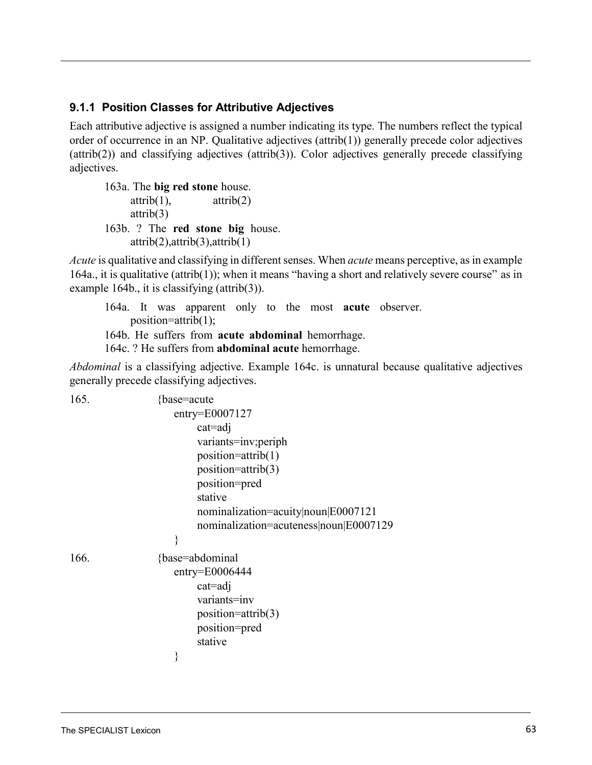### **9.1.1 Position Classes for Attributive Adjectives**

<span id="page-63-0"></span>Each attributive adjective is assigned a number indicating its type. The numbers reflect the typical order of occurrence in an NP. Qualitative adjectives (attrib(1)) generally precede color adjectives (attrib(2)) and classifying adjectives (attrib(3)). Color adjectives generally precede classifying adjectives.

<span id="page-63-1"></span>163a. The **big red stone** house.  $\text{attribute}(1)$ ,  $\text{attribute}(2)$ attrib(3) 163b. ? The **red stone big** house. attrib(2),attrib(3),attrib(1)

*Acute* is qualitative and classifying in different senses. When *acute* means perceptive, as in example [164a.,](#page-63-0) it is qualitative (attrib(1)); when it means "having a short and relatively severe course" as in [example](#page-63-1) 164b., it is classifying (attrib(3)).

164a. It was apparent only to the most **acute** observer. position=attrib(1); 164b. He suffers from **acute abdominal** hemorrhage. 164c. ? He suffers from **abdominal acute** hemorrhage.

*Abdominal* is a classifying adjective. [Example 164c.](#page-63-1) is unnatural because qualitative adjectives generally precede classifying adjectives.

| 165. | {base=acute}                           |
|------|----------------------------------------|
|      | $entry = E0007127$                     |
|      | $cat = adj$                            |
|      | variants=inv;periph                    |
|      | position=attrib(1)                     |
|      | $position=attribute(3)$                |
|      | position=pred                          |
|      | stative                                |
|      | nominalization=acuity noun E0007121    |
|      | nominalization=acuteness noun E0007129 |
|      | ∤                                      |
| 166. | {base=abdominal                        |
|      | $entry = E0006444$                     |
|      | $cat = adj$                            |
|      | variants=inv                           |
|      | $position=attribute(3)$                |
|      | position=pred                          |
|      | stative                                |
|      |                                        |
|      |                                        |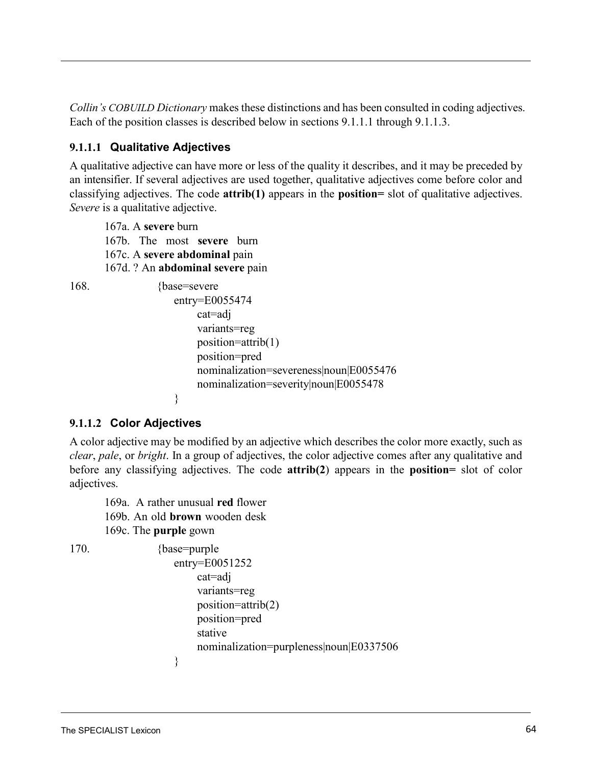*Collin's COBUILD Dictionary* makes these distinctions and has been consulted in coding adjectives. Each of the position classes is described below in sections 9.1.1.1 through 9.1.1.3.

## **9.1.1.1 Qualitative Adjectives**

A qualitative adjective can have more or less of the quality it describes, and it may be preceded by an intensifier. If several adjectives are used together, qualitative adjectives come before color and classifying adjectives. The code **attrib(1)** appears in the **position=** slot of qualitative adjectives. *Severe* is a qualitative adjective.

167a. A **severe** burn 167b. The most **severe** burn 167c. A **severe abdominal** pain 167d. ? An **abdominal severe** pain

```
168. {base=severe}
                    entry=E0055474
                        cat=adj 
                        variants=reg
                        position=attrib(1) 
                        position=pred
                        nominalization=severeness|noun|E0055476
                        nominalization=severity|noun|E0055478
                    }
```
## **9.1.1.2 Color Adjectives**

A color adjective may be modified by an adjective which describes the color more exactly, such as *clear*, *pale*, or *bright*. In a group of adjectives, the color adjective comes after any qualitative and before any classifying adjectives. The code **attrib(2**) appears in the **position=** slot of color adjectives.

169a. A rather unusual **red** flower 169b. An old **brown** wooden desk 169c. The **purple** gown

170. {base=purple entry=E0051252 cat=adj variants=reg position=attrib(2) position=pred stative nominalization=purpleness|noun|E0337506 }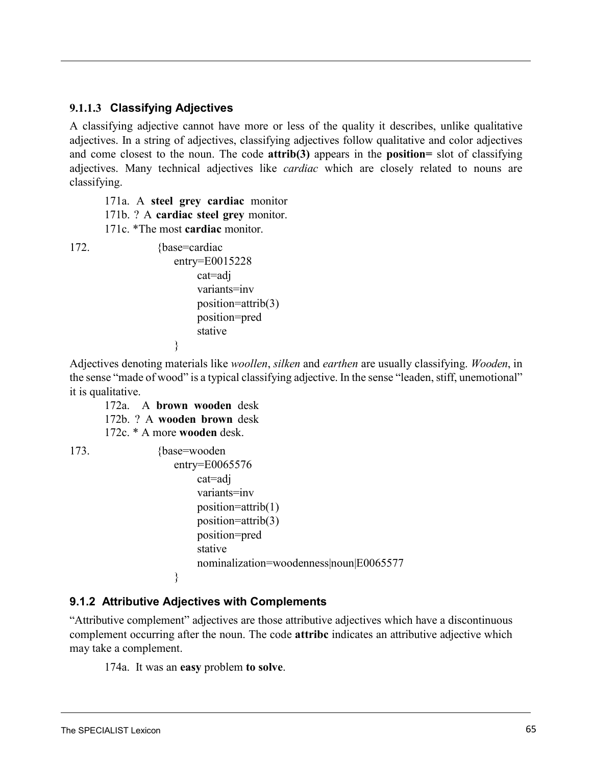### **9.1.1.3 Classifying Adjectives**

A classifying adjective cannot have more or less of the quality it describes, unlike qualitative adjectives. In a string of adjectives, classifying adjectives follow qualitative and color adjectives and come closest to the noun. The code **attrib(3)** appears in the **position=** slot of classifying adjectives. Many technical adjectives like *cardiac* which are closely related to nouns are classifying.

171a. A **steel grey cardiac** monitor 171b. ? A **cardiac steel grey** monitor.

171c. \*The most **cardiac** monitor.

172. {base=cardiac} entry=E0015228 cat=adj variants=inv position=attrib(3) position=pred stative

}

Adjectives denoting materials like *woollen*, *silken* and *earthen* are usually classifying. *Wooden*, in the sense "made of wood" is a typical classifying adjective. In the sense "leaden, stiff, unemotional" it is qualitative.

172a. A **brown wooden** desk 172b. ? A **wooden brown** desk 172c. \* A more **wooden** desk.

173. {base=wooden entry=E0065576 cat=adj variants=inv position=attrib(1) position=attrib(3) position=pred stative nominalization=woodenness|noun|E0065577 }

## **9.1.2 Attributive Adjectives with Complements**

"Attributive complement" adjectives are those attributive adjectives which have a discontinuous complement occurring after the noun. The code **attribc** indicates an attributive adjective which may take a complement.

174a. It was an **easy** problem **to solve**.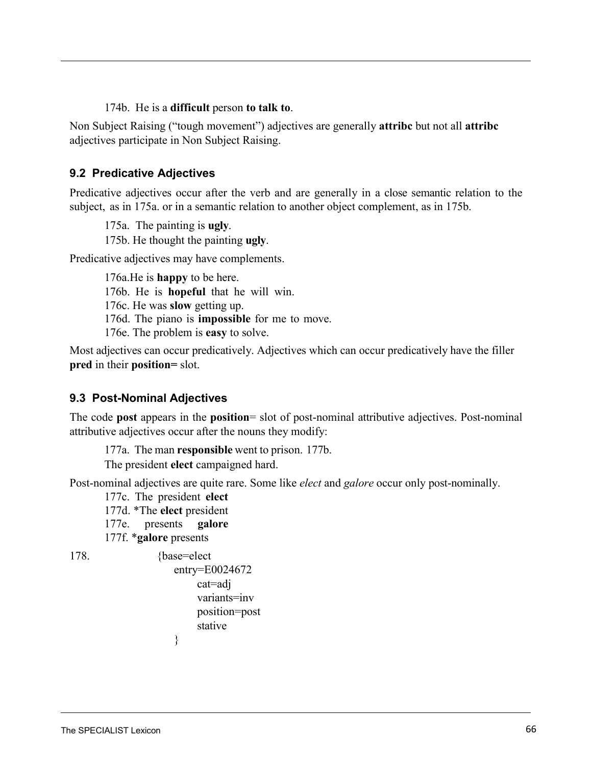#### 174b. He is a **difficult** person **to talk to**.

<span id="page-66-0"></span>Non Subject Raising ("tough movement") adjectives are generally **attribc** but not all **attribc** adjectives participate in Non Subject Raising.

### **9.2 Predicative Adjectives**

Predicative adjectives occur after the verb and are generally in a close semantic relation to the subject, [as in 175a.](#page-66-0) or in a semantic relation to another object complement, as in 175[b.](#page-66-0)

175a. The painting is **ugly**. 175b. He thought the painting **ugly**.

Predicative adjectives may have complements.

176a.He is **happy** to be here. 176b. He is **hopeful** that he will win. 176c. He was **slow** getting up. 176d. The piano is **impossible** for me to move. 176e. The problem is **easy** to solve.

Most adjectives can occur predicatively. Adjectives which can occur predicatively have the filler **pred** in their **position=** slot.

## **9.3 Post-Nominal Adjectives**

The code **post** appears in the **position**= slot of post-nominal attributive adjectives. Post-nominal attributive adjectives occur after the nouns they modify:

177a. The man **responsible** went to prison. 177b.

The president **elect** campaigned hard.

Post-nominal adjectives are quite rare. Some like *elect* and *galore* occur only post-nominally.

177c. The president **elect** 

177d. \*The **elect** president

177e. presents **galore**

}

177f. \***galore** presents

178. {base=elect}

```
entry=E0024672
     cat=adj 
     variants=inv
     position=post 
     stative
```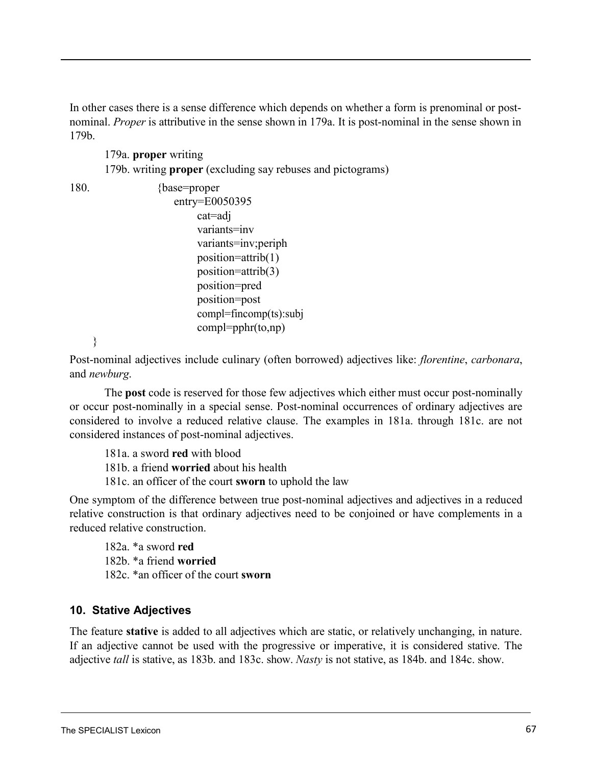<span id="page-67-0"></span>In other cases there is a sense difference which depends on whether a form is prenominal or postnominal. *Proper* is attributive in the sense shown in [179a.](#page-67-0) It is post-nominal in the sense shown in [179b.](#page-67-0)

179a. **proper** writing 179b. writing **proper** (excluding say rebuses and pictograms)

```
180. {base=proper}
                    entry=E0050395
                         cat=adj 
                         variants=inv
                         variants=inv;periph
                         position=attrib(1) 
                         position=attrib(3) 
                         position=pred 
                         position=post
                         compl=fincomp(ts):subj
                         compl=pphr(to,np)
```
<span id="page-67-1"></span>}

<span id="page-67-2"></span>Post-nominal adjectives include culinary (often borrowed) adjectives like: *florentine*, *carbonara*, and *newburg*.

The **post** code is reserved for those few adjectives which either must occur post-nominally or occur post-nominally in a special sense. Post-nominal occurrences of ordinary adjectives are considered to involve a reduced relative clause. The [examples](#page-67-1) in 181a. through [181c.](#page-67-2) are not considered instances of post-nominal adjectives.

181a. a sword **red** with blood 181b. a friend **worried** about his health 181c. an officer of the court **sworn** to uphold the law

One symptom of the difference between true post-nominal adjectives and adjectives in a reduced relative construction is that ordinary adjectives need to be conjoined or have complements in a reduced relative construction.

182a. \*a sword **red** 182b. \*a friend **worried** 182c. \*an officer of the court **sworn**

# **10. Stative Adjectives**

The feature **stative** is added to all adjectives which are static, or relatively unchanging, in nature. If an adjective cannot be used with the progressive or imperative, it is considered stative. The adjective *tall* is stative, as 183[b.](#page-68-0) and 183c. show. *Nasty* is not stative, as 184b. [and](#page-68-0) 184c. [show](#page-68-0).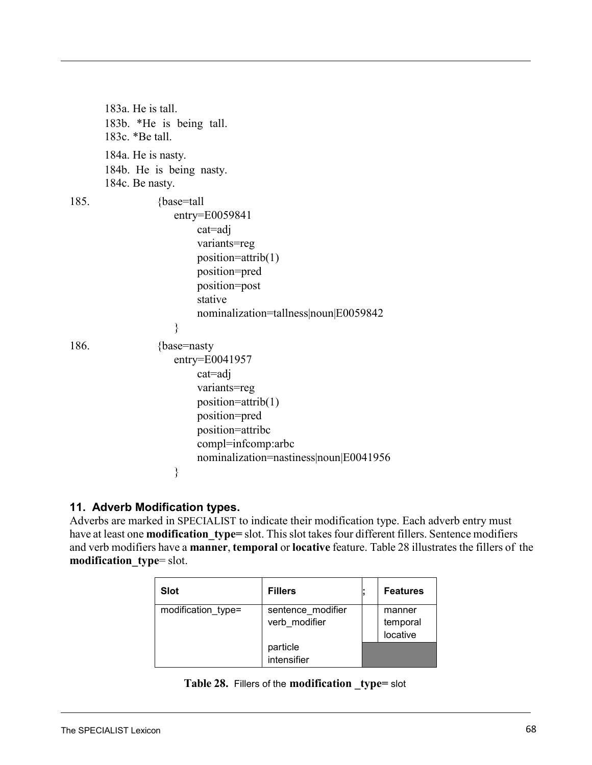<span id="page-68-0"></span>

|      | 183a. He is tall.<br>183b. *He is being tall.<br>183c. *Be tall.                                                                                                                        |
|------|-----------------------------------------------------------------------------------------------------------------------------------------------------------------------------------------|
|      | 184a. He is nasty.<br>184b. He is being nasty.<br>184c. Be nasty.                                                                                                                       |
| 185. | {base=tall}<br>$entry = E0059841$<br>cat=adj<br>variants=reg<br>$position=attribute(1)$<br>position=pred<br>position=post<br>stative<br>nominalization=tallness noun E0059842<br>∤      |
| 186. | {base=nasty<br>$entry = E0041957$<br>cat=adj<br>variants=reg<br>position=attrib(1)<br>position=pred<br>position=attribc<br>compl=infcomp:arbc<br>nominalization=nastiness noun E0041956 |
|      | ∤                                                                                                                                                                                       |

## **11. Adverb Modification types.**

<span id="page-68-1"></span>Adverbs are marked in SPECIALIST to indicate their modification type. Each adverb entry must have at least one **modification** type= slot. This slot takes four different fillers. Sentence modifiers and verb modifiers have a **manner**, **temporal** or **locative** feature. [Table](#page-68-1) 28 illustrates the fillers of the **modification\_type**= slot.

| <b>Slot</b>                                              | <b>Fillers</b>          | <b>Features</b>                |
|----------------------------------------------------------|-------------------------|--------------------------------|
| modification type=<br>sentence modifier<br>verb modifier |                         | manner<br>temporal<br>locative |
|                                                          | particle<br>intensifier |                                |

|  |  | Table 28. Fillers of the modification _type= slot |  |
|--|--|---------------------------------------------------|--|
|--|--|---------------------------------------------------|--|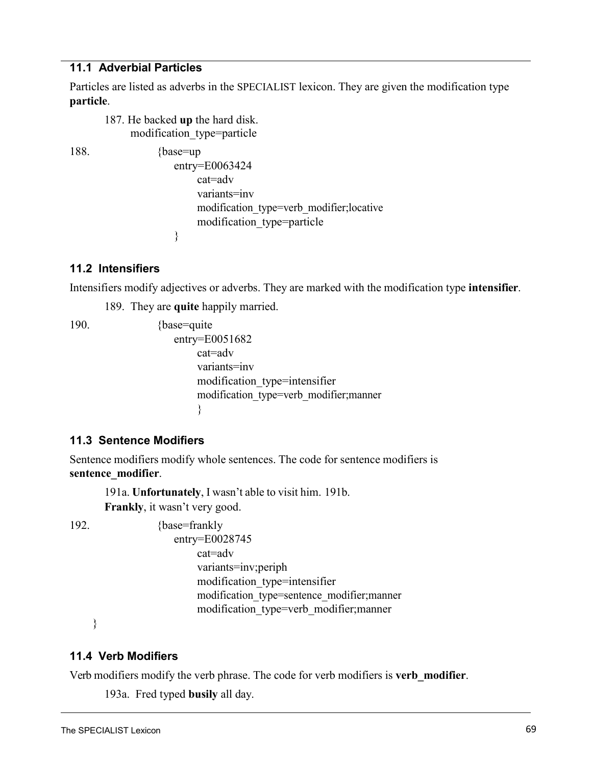#### **11.1 Adverbial Particles**

Particles are listed as adverbs in the SPECIALIST lexicon. They are given the modification type **particle**.

187. He backed **up** the hard disk. modification\_type=particle

188. {base=up} entry=E0063424 cat=adv variants=inv modification\_type=verb\_modifier;locative modification\_type=particle }

### **11.2 Intensifiers**

Intensifiers modify adjectives or adverbs. They are marked with the modification type **intensifier**.

189. They are **quite** happily married.

190. {base=quite} entry=E0051682 cat=adv variants=inv modification\_type=intensifier modification\_type=verb\_modifier;manner }

### **11.3 Sentence Modifiers**

Sentence modifiers modify whole sentences. The code for sentence modifiers is **sentence\_modifier**.

191a. **Unfortunately**, I wasn't able to visit him. 191b. **Frankly**, it wasn't very good.

192. {base=frankly} entry=E0028745 cat=adv variants=inv;periph modification\_type=intensifier modification\_type=sentence\_modifier;manner modification\_type=verb\_modifier;manner

}

### **11.4 Verb Modifiers**

Verb modifiers modify the verb phrase. The code for verb modifiers is **verb\_modifier**.

193a. Fred typed **busily** all day.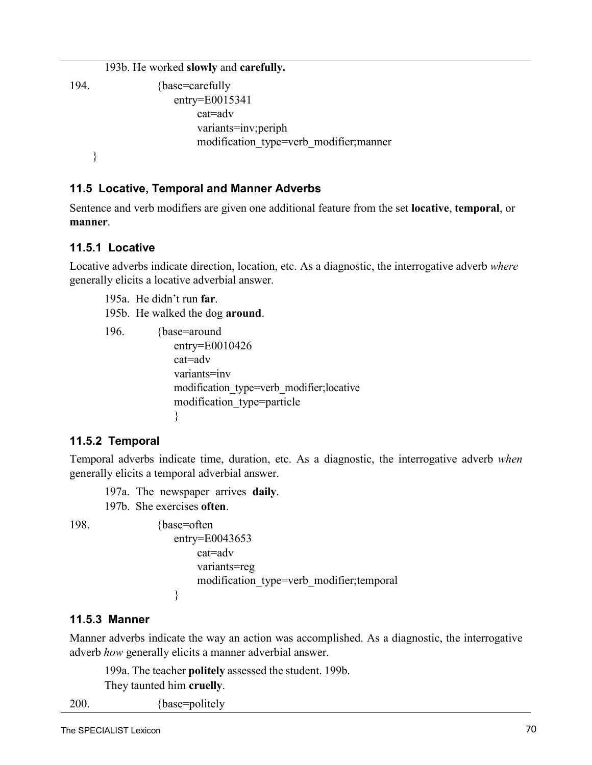193b. He worked **slowly** and **carefully.** 194. {base=carefully entry=E0015341 cat=adv variants=inv;periph modification\_type=verb\_modifier;manner }

### **11.5 Locative, Temporal and Manner Adverbs**

Sentence and verb modifiers are given one additional feature from the set **locative**, **temporal**, or **manner**.

### **11.5.1 Locative**

Locative adverbs indicate direction, location, etc. As a diagnostic, the interrogative adverb *where* generally elicits a locative adverbial answer.

195a. He didn't run **far**.

195b. He walked the dog **around**.

 196. {base=around entry=E0010426 cat=adv variants=inv modification\_type=verb\_modifier;locative modification\_type=particle }

### **11.5.2 Temporal**

Temporal adverbs indicate time, duration, etc. As a diagnostic, the interrogative adverb *when* generally elicits a temporal adverbial answer.

197a. The newspaper arrives **daily**. 197b. She exercises **often**.

198. {base=often} entry=E0043653 cat=adv variants=reg modification\_type=verb\_modifier;temporal }

#### **11.5.3 Manner**

Manner adverbs indicate the way an action was accomplished. As a diagnostic, the interrogative adverb *how* generally elicits a manner adverbial answer.

199a. The teacher **politely** assessed the student. 199b.

They taunted him **cruelly**.

200. {base=politely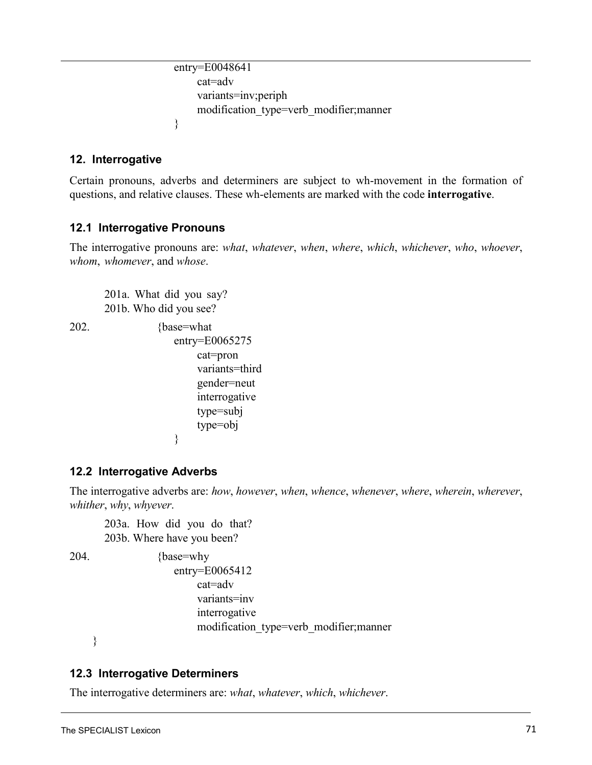```
entry=E0048641
    cat=adv 
    variants=inv;periph
    modification_type=verb_modifier;manner
}
```
### **12. Interrogative**

Certain pronouns, adverbs and determiners are subject to wh-movement in the formation of questions, and relative clauses. These wh-elements are marked with the code **interrogative**.

### **12.1 Interrogative Pronouns**

The interrogative pronouns are: *what*, *whatever*, *when*, *where*, *which*, *whichever*, *who*, *whoever*, *whom*, *whomever*, and *whose*.

201a. What did you say? 201b. Who did you see?

```
202. {base=what 
                   entry=E0065275
                        cat=pron 
                        variants=third
                        gender=neut 
                        interrogative
                        type=subj 
                        type=obj
                    }
```
## **12.2 Interrogative Adverbs**

The interrogative adverbs are: *how*, *however*, *when*, *whence*, *whenever*, *where*, *wherein*, *wherever*, *whither*, *why*, *whyever*.

203a. How did you do that? 203b. Where have you been?

204. {base=why entry=E0065412 cat=adv variants=inv interrogative modification\_type=verb\_modifier;manner

}

### **12.3 Interrogative Determiners**

The interrogative determiners are: *what*, *whatever*, *which*, *whichever*.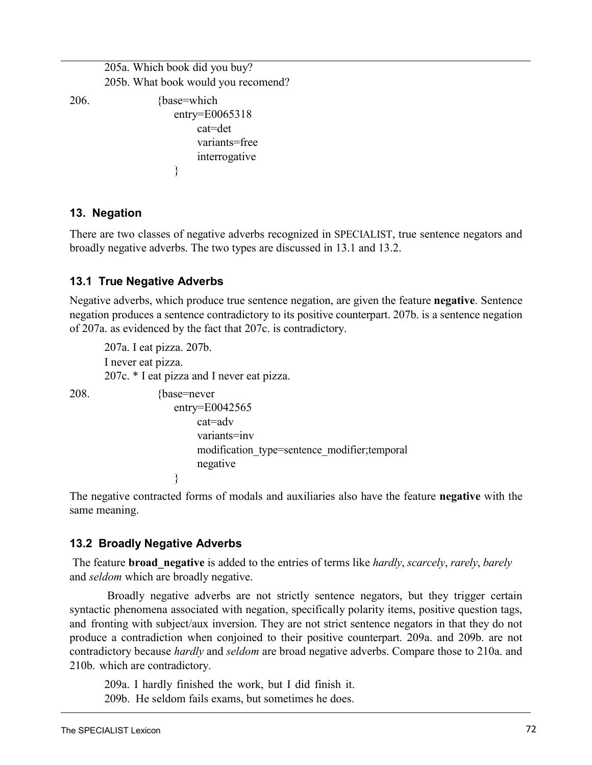205a. Which book did you buy? 205b. What book would you recomend? 206. {base=which entry=E0065318 cat=det variants=free interrogative }

### <span id="page-72-1"></span>**13. Negation**

<span id="page-72-5"></span><span id="page-72-0"></span>There are two classes of negative adverbs recognized in SPECIALIST, true sentence negators and broadly negative adverbs. The two types are discussed in 13.1 and 13.2.

## **13.1 True Negative Adverbs**

Negative adverbs, which produce true sentence negation, are given the feature **negative**. Sentence negation produces a sentence contradictory to its positive counterpart. [207b.](#page-72-0) is a sentence negation of [207a.](#page-72-1) as evidenced by the fact that [207c.](#page-72-0) is contradictory.

207a. I eat pizza. 207b. I never eat pizza. 207c. \* I eat pizza and I never eat pizza.

208. {base=never entry=E0042565 cat=adv variants=inv modification\_type=sentence\_modifier;temporal negative }

The negative contracted forms of modals and auxiliaries also have the feature **negative** with the same meaning.

## <span id="page-72-2"></span>**13.2 Broadly Negative Adverbs**

<span id="page-72-3"></span>The feature **broad\_negative** is added to the entries of terms like *hardly*, *scarcely*, *rarely*, *barely* and *seldom* which are broadly negative.

<span id="page-72-4"></span>Broadly negative adverbs are not strictly sentence negators, but they trigger certain syntactic phenomena associated with negation, specifically polarity items, positive question tags, and fronting with subject/aux inversion. They are not strict sentence negators in that they do not produce a contradiction when conjoined to their positive counterpart. [209a.](#page-72-2) and [209b.](#page-72-3) are not contradictory because *hardly* and *seldom* are broad negative adverbs. Compare those to 210a. and 210[b.](#page-72-4) which are contradictory.

209a. I hardly finished the work, but I did finish it. 209b. He seldom fails exams, but sometimes he does.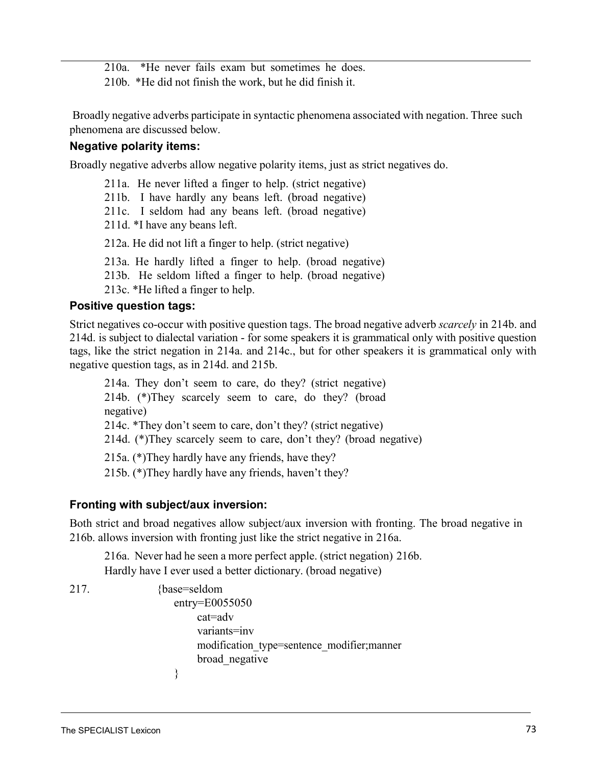210a. \*He never fails exam but sometimes he does.

210b. \*He did not finish the work, but he did finish it.

Broadly negative adverbs participate in syntactic phenomena associated with negation. Three such phenomena are discussed below.

### **Negative polarity items:**

<span id="page-73-0"></span>Broadly negative adverbs allow negative polarity items, just as strict negatives do.

211a. He never lifted a finger to help. (strict negative) 211b. I have hardly any beans left. (broad negative) 211c. I seldom had any beans left. (broad negative) 211d. \*I have any beans left. 212a. He did not lift a finger to help. (strict negative) 213a. He hardly lifted a finger to help. (broad negative) 213b. He seldom lifted a finger to help. (broad negative) 213c. \*He lifted a finger to help.

# <span id="page-73-1"></span>**Positive question tags:**

Strict negatives co-occur with positive question tags. The broad negative adverb *scarcely* [in 214b.](#page-73-0) and [214d.](#page-73-1) is subject to dialectal variation - for some speakers it is grammatical only with positive question tags, like the strict negation in 214a. and 214c., but for other speakers it is grammatical only with negative question tags, as in 214d. and 215b.

<span id="page-73-3"></span><span id="page-73-2"></span>214a. They don't seem to care, do they? (strict negative) 214b. (\*)They scarcely seem to care, do they? (broad negative) 214c. \*They don't seem to care, don't they? (strict negative) 214d. (\*)They scarcely seem to care, don't they? (broad negative) 215a. (\*)They hardly have any friends, have they? 215b. (\*)They hardly have any friends, haven't they?

## **Fronting with subject/aux inversion:**

Both strict and broad negatives allow subject/aux inversion with fronting. The broad negative i[n](#page-73-2) [216b.](#page-73-2) allows inversion with fronting just like the strict negative in 216a.

216a. Never had he seen a more perfect apple. (strict negation) 216b. Hardly have I ever used a better dictionary. (broad negative)

217. {base=seldom entry=E0055050 cat=adv variants=inv modification\_type=sentence\_modifier;manner broad\_negative }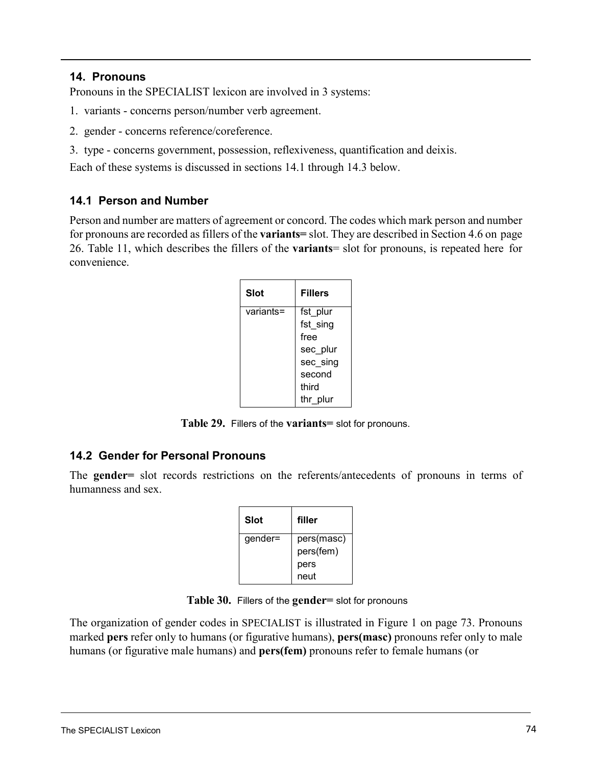### **14. Pronouns**

Pronouns in the SPECIALIST lexicon are involved in 3 systems:

- 1. variants concerns person/number verb agreement.
- 2. gender concerns reference/coreference.
- 3. type concerns government, possession, reflexiveness, quantification and deixis.

Each of these systems is discussed in sections 14.1 through 14.3 below.

### **14.1 Person and Number**

Person and number are matters of agreement or concord. The codes which mark person and number for pronouns are recorded as fillers of the **variants=** slot. They are described in [Section](#page-29-0) 4.6 on [page](#page-29-0) [26.](#page-29-0) [Table](#page-30-0) 11, which describes the fillers of the **variants**= slot for pronouns, is repeated here for convenience.

| Slot      | <b>Fillers</b> |
|-----------|----------------|
| variants= | fst plur       |
|           | fst_sing       |
|           | free           |
|           | sec plur       |
|           | sec sing       |
|           | second         |
|           | third          |
|           | thr plur       |

**Table 29.** Fillers of the **variants=** slot for pronouns.

## **14.2 Gender for Personal Pronouns**

The **gender=** slot records restrictions on the referents/antecedents of pronouns in terms of humanness and sex.

| Slot    | filler     |
|---------|------------|
| gender= | pers(masc) |
|         | pers(fem)  |
|         | pers       |
|         | neut       |

**Table 30.** Fillers of the **gender=** slot for pronouns

The organization of gender codes in SPECIALIST [is illustrated in Figure](#page-75-0) 1 on page 73. Pronouns marked **pers** refer only to humans (or figurative humans), **pers(masc)** pronouns refer only to male humans (or figurative male humans) and **pers(fem)** pronouns refer to female humans (or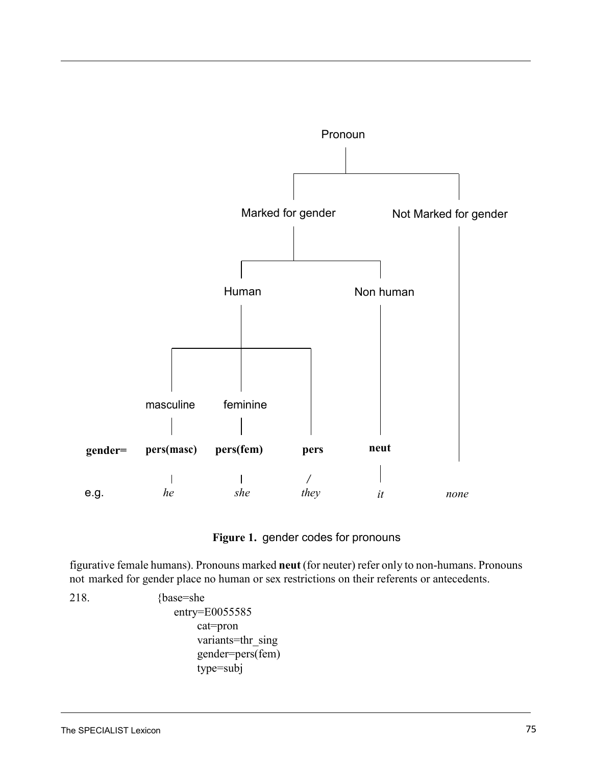

<span id="page-75-0"></span>

<span id="page-75-1"></span>figurative female humans). Pronouns marked **neut** (for neuter) refer only to non-humans. Pronouns not marked for gender place no human or sex restrictions on their referents or antecedents.

218. {base=she entry=E0055585 cat=pron variants=thr\_sing gender=pers(fem) type=subj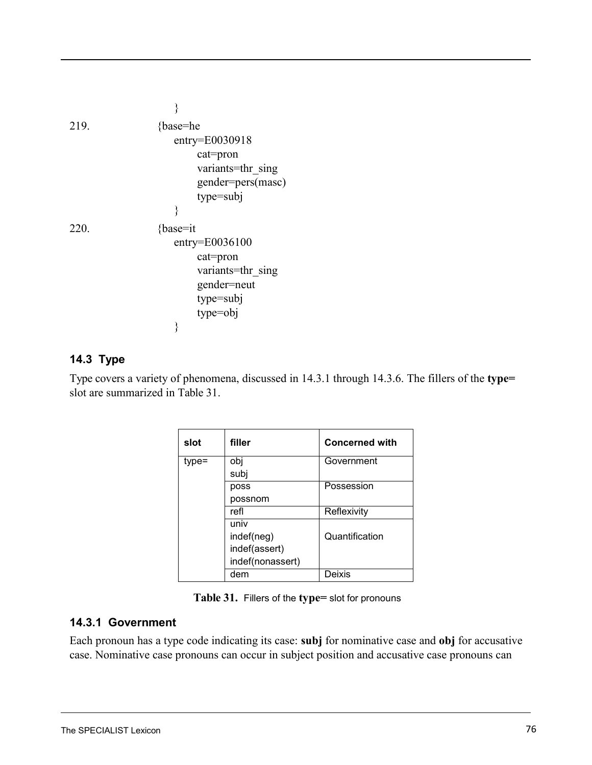<span id="page-76-2"></span>

| 219. | {base=he           |  |
|------|--------------------|--|
|      | entry=E0030918     |  |
|      | cat=pron           |  |
|      | variants=thr sing  |  |
|      | gender=pers(masc)  |  |
|      | type=subj          |  |
|      | ∤                  |  |
| 220. | $\{base=it$        |  |
|      | $entry = E0036100$ |  |
|      | $cat = pron$       |  |
|      | variants=thr sing  |  |
|      | gender=neut        |  |
|      | type=subj          |  |
|      | type=obj           |  |
|      | ∤                  |  |

# **14.3 Type**

Type covers a variety of [phenomena,](#page-76-0) discussed in 14.3.1 through [14.3.6.](#page-81-0) The fillers of the **type=** slot are summarized in [Table](#page-76-1) 31.

<span id="page-76-1"></span><span id="page-76-0"></span>

| slot  | filler           | <b>Concerned with</b> |
|-------|------------------|-----------------------|
| type= | obj              | Government            |
|       | subj             |                       |
|       | poss             | Possession            |
|       | possnom          |                       |
|       | refl             | Reflexivity           |
|       | univ             |                       |
|       | indef(neg)       | Quantification        |
|       | indef(assert)    |                       |
|       | indef(nonassert) |                       |
|       | dem              | Deixis                |

### **14.3.1 Government**

Each pronoun has a type code indicating its case: **subj** for nominative case and **obj** for accusative case. Nominative case pronouns can occur in subject position and accusative case pronouns can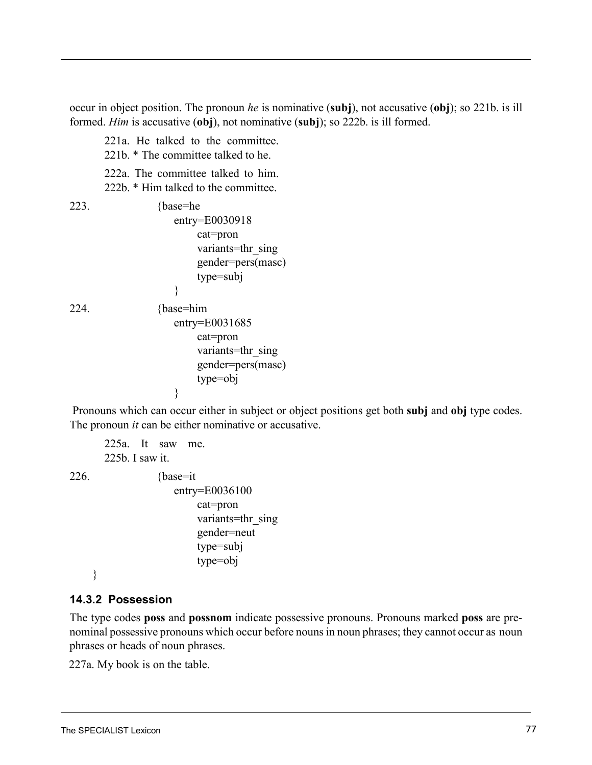<span id="page-77-0"></span>occur in object position. The pronoun *he* is nominative (**subj**), not accusative (**obj**[\); so 221b.](#page-77-0) is ill formed. *Him* is accusative (**obj**), not nominative (**subj**); so 222b. [is](#page-77-0) ill formed.

<span id="page-77-1"></span>221a. He talked to the committee. 221b. \* The committee talked to he. 222a. The committee talked to him. 222b. \* Him talked to the committee. 223. {base=he entry=E0030918 cat=pron variants=thr\_sing gender=pers(masc) type=subj } 224. {base=him entry=E0031685 cat=pron variants=thr\_sing gender=pers(masc) type=obj }

Pronouns which can occur either in subject or object positions get both **subj** and **obj** type codes. The pronoun *it* can be either nominative or accusative.

225a. It saw me. 225b. I saw it.  $226.$  {base=it} entry=E0036100 cat=pron variants=thr\_sing gender=neut type=subj type=obj

### }

## **14.3.2 Possession**

The type codes **poss** and **possnom** indicate possessive pronouns. Pronouns marked **poss** are prenominal possessive pronouns which occur before nouns in noun phrases; they cannot occur as noun phrases or heads of noun phrases.

227a. My book is on the table.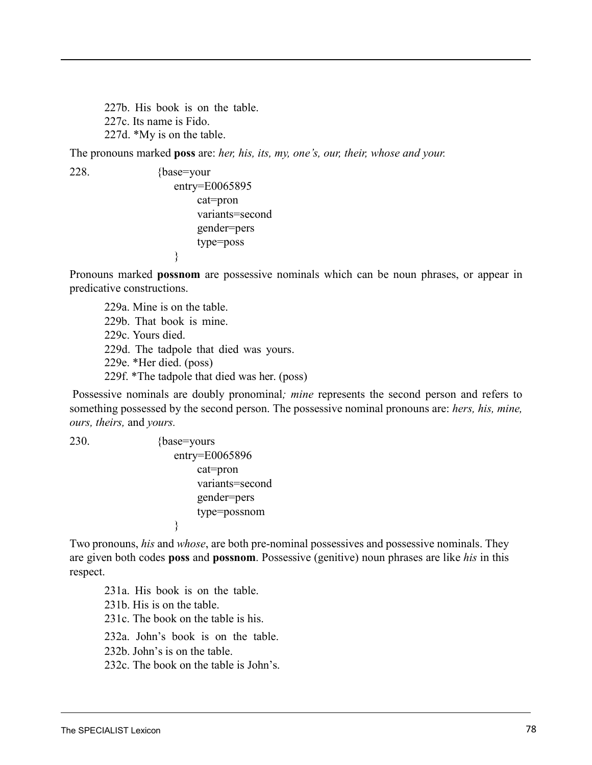<span id="page-78-0"></span>227b. His book is on the table. 227c. Its name is Fido. 227d. \*My is on the table.

The pronouns marked **poss** are: *her, his, its, my, one's, our, their, whose and your.*

228. {base=your

entry=E0065895 cat=pron variants=second gender=pers type=poss }

<span id="page-78-1"></span>Pronouns marked **possnom** are possessive nominals which can be noun phrases, or appear in predicative constructions.

229a. Mine is on the table. 229b. That book is mine. 229c. Yours died. 229d. The tadpole that died was yours. 229e. \*Her died. (poss) 229f. \*The tadpole that died was her. (poss)

Possessive nominals are doubly pronominal*; mine* represents the second person and refers to something possessed by the second person. The possessive nominal pronouns are: *hers, his, mine, ours, theirs,* and *yours.*

230.

$$
{\bf \{base= yours\atop entry= E0065896\atop cat=pron\atop variants=second\atop gender=pers\atop type=possnom\atop}}
$$

Two pronouns, *his* and *whose*, are both pre-nominal possessives and possessive nominals. They are given both codes **poss** and **possnom**. Possessive (genitive) noun phrases are like *his* in this respect.

231a. His book is on the table. 231b. His is on the table. 231c. The book on the table is his. 232a. John's book is on the table.

232b. John's is on the table.

232c. The book on the table is John's.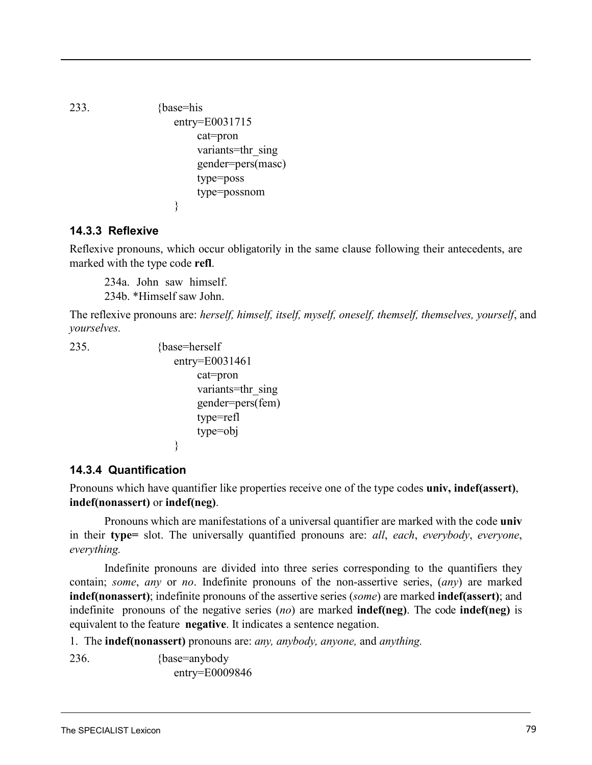<span id="page-79-2"></span>

```
233. {base=his
               entry=E0031715 
                   cat=pron 
                   variants=thr_sing
                   gender=pers(masc) 
                   type=poss 
                   type=possnom
               }
```
# <span id="page-79-1"></span>**14.3.3 Reflexive**

Reflexive pronouns, which occur obligatorily in the same clause following their antecedents, are marked with the type code **refl**.

234a. John saw himself.

234b. \*Himself saw John.

The reflexive pronouns are: *herself, himself, itself, myself, oneself, themself, themselves, yourself*, and *yourselves.*

```
235. {base=herself 
               entry=E0031461
                   cat=pron 
                    variants=thr_sing
                    gender=pers(fem) 
                    type=refl
                   type=obj
               }
```
# **14.3.4 Quantification**

Pronouns which have quantifier like properties receive one of the type codes **univ, indef(assert)**, **indef(nonassert)** or **indef(neg)**.

<span id="page-79-0"></span>Pronouns which are manifestations of a universal quantifier are marked with the code **univ** in their **type=** slot. The universally quantified pronouns are: *all*, *each*, *everybody*, *everyone*, *everything.*

Indefinite pronouns are divided into three series corresponding to the quantifiers they contain; *some*, *any* or *no*. Indefinite pronouns of the non-assertive series, (*any*) are marked **indef(nonassert)**; indefinite pronouns of the assertive series (*some*) are marked **indef(assert)**; and indefinite pronouns of the negative series (*no*) are marked **indef(neg)**. The code **indef(neg)** is equivalent to the feature **negative**. It indicates a sentence negation.

1. The **indef(nonassert)** pronouns are: *any, anybody, anyone,* and *anything.*

236. {base=anybody

entry=E0009846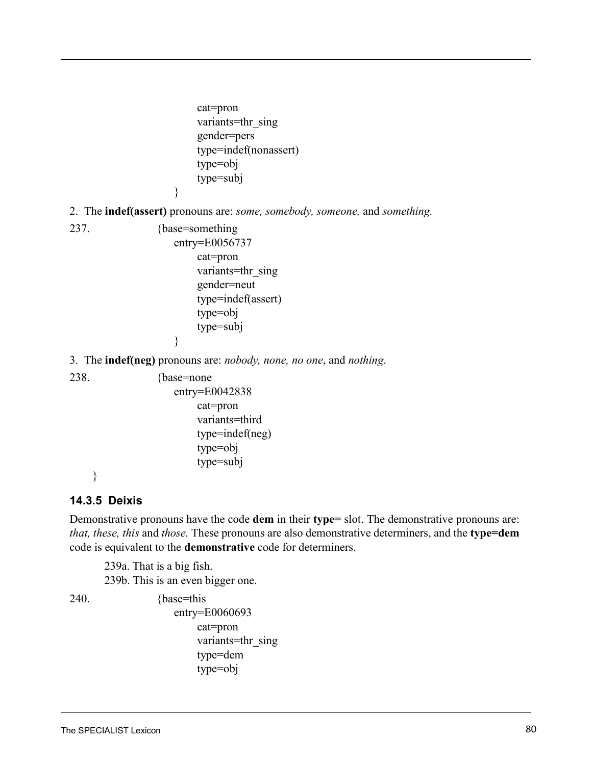cat=pron variants=thr\_sing gender=pers type=indef(nonassert) type=obj type=subj

}

}

<span id="page-80-1"></span>2. The **indef(assert)** pronouns are: *some, somebody, someone,* and *something.*

<span id="page-80-0"></span>237. {base=something

entry=E0056737 cat=pron variants=thr\_sing gender=neut type=indef(assert) type=obj type=subj

3. The **indef(neg)** pronouns are: *nobody, none, no one*, and *nothing*.

238. {base=none

entry=E0042838 cat=pron variants=third type=indef(neg) type=obj type=subj

<span id="page-80-2"></span>}

# **14.3.5 Deixis**

Demonstrative pronouns have the code **dem** in their **type=** slot. The demonstrative pronouns are: *that, these, this* and *those.* These pronouns are also demonstrative determiners, and the **type=dem** code is equivalent to the **demonstrative** code for determiners.

239a. That is a big fish. 239b. This is an even bigger one.

240. {base=this}

entry=E0060693 cat=pron variants=thr\_sing type=dem type=obj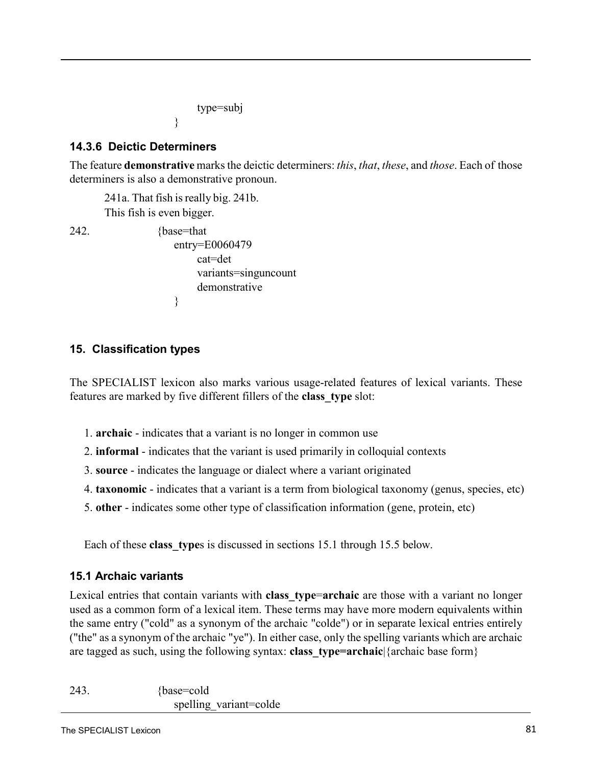type=subj

# <span id="page-81-0"></span>**14.3.6 Deictic Determiners**

The feature **demonstrative** marks the deictic determiners: *this*, *that*, *these*, and *those*. Each of those determiners is also a demonstrative pronoun.

241a. That fish is really big. 241b. This fish is even bigger.

}

242. {base=that entry=E0060479 cat=det variants=singuncount demonstrative }

# **15. Classification types**

The SPECIALIST lexicon also marks various usage-related features of lexical variants. These features are marked by five different fillers of the **class\_type** slot:

- 1. **archaic** indicates that a variant is no longer in common use
- 2. **informal** indicates that the variant is used primarily in colloquial contexts
- 3. **source** indicates the language or dialect where a variant originated
- 4. **taxonomic** indicates that a variant is a term from biological taxonomy (genus, species, etc)
- 5. **other** indicates some other type of classification information (gene, protein, etc)

Each of these **class** types is discussed in sections 15.1 through 15.5 below.

# **15.1 Archaic variants**

Lexical entries that contain variants with **class\_type**=**archaic** are those with a variant no longer used as a common form of a lexical item. These terms may have more modern equivalents within the same entry ("cold" as a synonym of the archaic "colde") or in separate lexical entries entirely ("the" as a synonym of the archaic "ye"). In either case, only the spelling variants which are archaic are tagged as such, using the following syntax: **class\_type=archaic**|{archaic base form}

243. {base=cold spelling variant=colde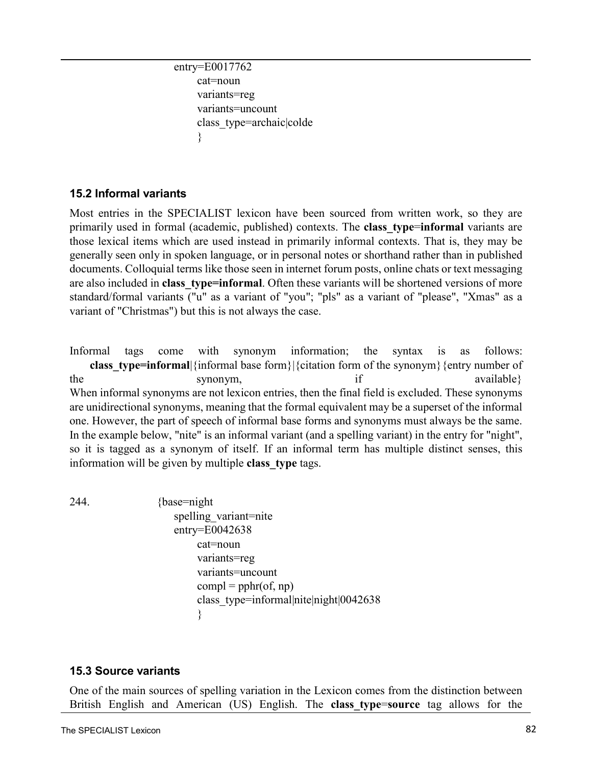```
entry=E0017762
cat=noun 
 variants=reg
 variants=uncount
 class_type=archaic|colde
 }
```
# **15.2 Informal variants**

Most entries in the SPECIALIST lexicon have been sourced from written work, so they are primarily used in formal (academic, published) contexts. The **class\_type**=**informal** variants are those lexical items which are used instead in primarily informal contexts. That is, they may be generally seen only in spoken language, or in personal notes or shorthand rather than in published documents. Colloquial terms like those seen in internet forum posts, online chats or text messaging are also included in **class\_type=informal**. Often these variants will be shortened versions of more standard/formal variants ("u" as a variant of "you"; "pls" as a variant of "please", "Xmas" as a variant of "Christmas") but this is not always the case.

Informal tags come with synonym information; the syntax is as follows: **class** type=informal|{informal base form}|{citation form of the synonym}{entry number of the synonym, if available synonym, When informal synonyms are not lexicon entries, then the final field is excluded. These synonyms are unidirectional synonyms, meaning that the formal equivalent may be a superset of the informal one. However, the part of speech of informal base forms and synonyms must always be the same. In the example below, "nite" is an informal variant (and a spelling variant) in the entry for "night", so it is tagged as a synonym of itself. If an informal term has multiple distinct senses, this information will be given by multiple **class\_type** tags.

244. {base=night spelling variant=nite entry=E0042638 cat=noun variants=reg variants=uncount  $compl = pphr($ of, np) class\_type=informal|nite|night|0042638 }

### **15.3 Source variants**

One of the main sources of spelling variation in the Lexicon comes from the distinction between British English and American (US) English. The **class\_type**=**source** tag allows for the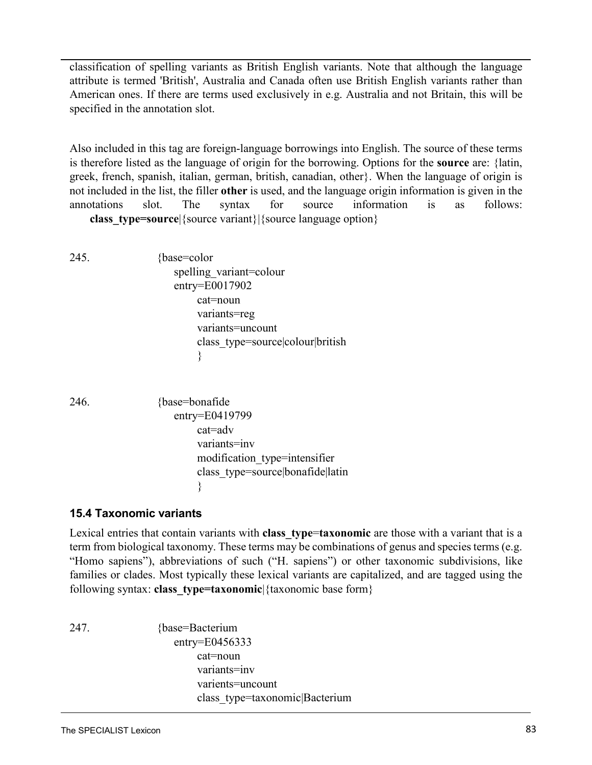classification of spelling variants as British English variants. Note that although the language attribute is termed 'British', Australia and Canada often use British English variants rather than American ones. If there are terms used exclusively in e.g. Australia and not Britain, this will be specified in the annotation slot.

Also included in this tag are foreign-language borrowings into English. The source of these terms is therefore listed as the language of origin for the borrowing. Options for the **source** are: {latin, greek, french, spanish, italian, german, british, canadian, other}. When the language of origin is not included in the list, the filler **other** is used, and the language origin information is given in the annotations slot. The syntax for source information is as follows: **class type=source**|{source variant}|{source language option}

245. {base=color spelling\_variant=colour entry=E0017902 cat=noun variants=reg variants=uncount class\_type=source|colour|british }

246. {base=bonafide entry=E0419799 cat=adv variants=inv modification\_type=intensifier class\_type=source|bonafide|latin }

## **15.4 Taxonomic variants**

Lexical entries that contain variants with **class type=taxonomic** are those with a variant that is a term from biological taxonomy. These terms may be combinations of genus and species terms (e.g. "Homo sapiens"), abbreviations of such ("H. sapiens") or other taxonomic subdivisions, like families or clades. Most typically these lexical variants are capitalized, and are tagged using the following syntax: **class\_type=taxonomic**|{taxonomic base form}

247. {base=Bacterium entry=E0456333 cat=noun variants=inv varients=uncount class\_type=taxonomic|Bacterium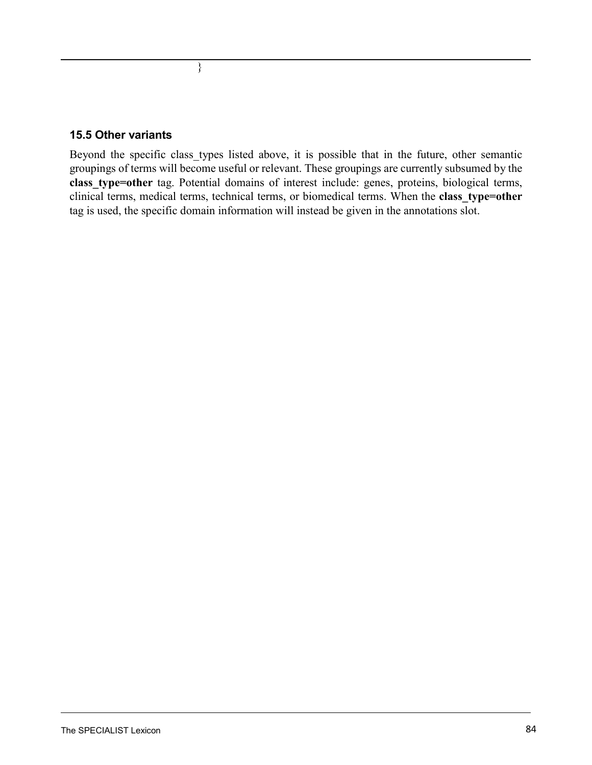### **15.5 Other variants**

}

Beyond the specific class types listed above, it is possible that in the future, other semantic groupings of terms will become useful or relevant. These groupings are currently subsumed by the **class\_type=other** tag. Potential domains of interest include: genes, proteins, biological terms, clinical terms, medical terms, technical terms, or biomedical terms. When the **class\_type=other** tag is used, the specific domain information will instead be given in the annotations slot.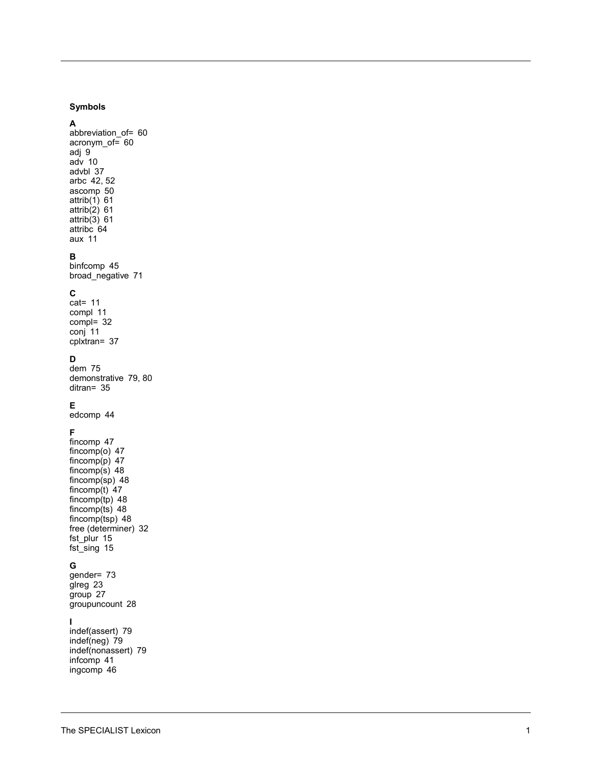### **Symbols**

A abbreviation\_of= 60 acronym\_of= 60 adj 9  $adv$  10 advbl 37 arbc 42, 52 ascomp 50  $attrib(1)$  61  $attrib(2)$  61  $attrib(3)$  61 attribc<sup>64</sup> aux 11

#### В

binfcomp 45 broad\_negative 71

#### $\mathbf{C}$

 $cat = 11$ compl 11  $compl = 32$ conj 11 cplxtran= 37

#### D

dem 75 demonstrative 79, 80  $d$ itran= 35

#### E.

edcomp 44

### $\mathsf F$

fincomp 47 fincomp( $o$ ) 47 fincomp $(p)$  47 fincomp $(s)$  48 fincomp $(sp)$  48 fincomp(t)  $47$  $fincomp(tp)$  48<br> $fincomp(ts)$  48 fincomp $(tsp)$  48 free (determiner) 32 fst\_plur 15 fst\_sing 15

#### G

gender= 73 glreg 23 group 27 groupuncount 28

#### $\mathbf{I}$

indef(assert) 79 indef(neg)  $79$ indef(nonassert) 79 infcomp 41 ingcomp 46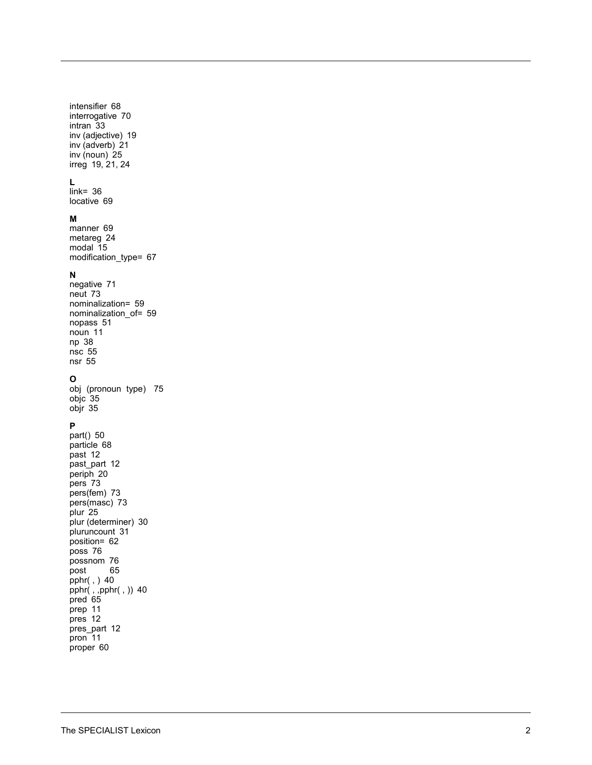intensifier 68 interrogative 70 intran 33 inv (adjective) 19 inv (adverb) 21 inv (noun)  $25$ irreg 19, 21, 24

### $\mathsf{L}% _{0}\left( \mathsf{L}_{1}\right)$

 $link = 36$ locative 69

#### M

manner 69 metareg 24 modal 15 modification\_type= 67

### $\mathbf N$

negative 71 neut 73 nominalization= 59 nominalization of= 59 nopass 51 noun 11 np 38  $nsc$  55  $nsr$  55

### $\mathbf{o}$

obj (pronoun type) 75 objc 35 objr 35

### $\mathsf P$

part() 50 particle 68 past 12 past\_part 12 periph 20 pers 73 pers(fem) 73 pers(masc) 73 plur 25 plur (determiner) 30 pluruncount 31 position= 62 poss 76 possnom 76 post 65 pphr(,  $)$  40 pphr(, ,pphr(, )) 40<br>pred 65 prep 11 pres 12 pres\_part 12  $pron<sup>-11</sup>$ proper 60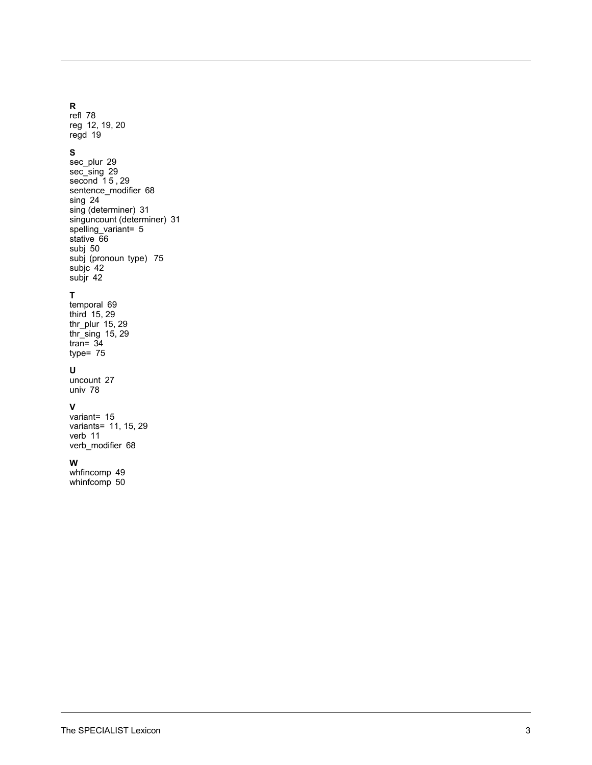#### **R**

refl 78 reg 12, 19, 20 regd 19

### **S**

sec\_plur 29 sec\_sing 29 second 15, 29 sentence\_modifier 68 sing 24 sing (determiner) 31 singuncount (determiner) 31 spelling\_variant= 5 stative 6 6 subj 50 subj (pronoun type) 75 subjc 42 subjr 42

### **T**

temporal 69 third 15, 29 thr\_plur 15, 29 thr\_sing 15, 29 tran= 34 type= 75

### **U**

uncount 27 univ 78

#### **V**

variant= 15 variants= 11, 15, 29 verb 11 verb\_modifier 68

#### **W**

whfincomp 49 whinfcomp 50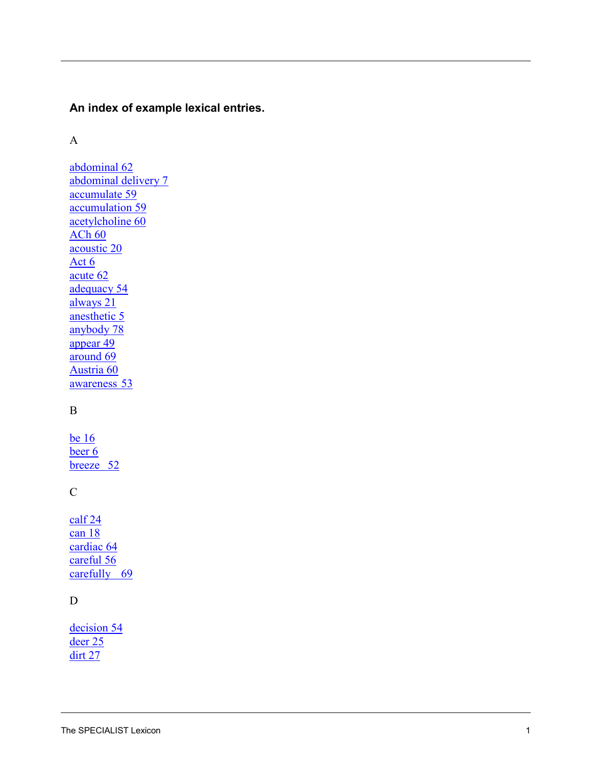# **An index of example lexical entries.**

### A

[abdominal 62](#page-63-0) [abdominal delivery](#page-8-0)  7 [accumulate 59](#page-60-0) [accumulation 59](#page-60-1) [acetylcholine 60](#page-61-0) [ACh 60](#page-61-1) [acoustic 20](#page-20-0) [Act](#page-7-0)  6 [acute 62](#page-63-1) [adequacy 54](#page-55-0) [always](#page-22-0)  2 1 [anesthetic](#page-6-0)  5 [anybody 78](#page-79-0) [appear 49](#page-50-0) [around 69](#page-70-0) [Austria 60](#page-61-2) [awareness 53](#page-54-0)

# B

[be 16](#page-17-0) [beer](#page-7-1)  6 [breeze 52](#page-53-0)

### C

[calf 24](#page-25-0) [can 18](#page-19-0) [cardiac 64](#page-65-0) [careful 56](#page-57-0) [carefully 69](#page-69-0)

## D

[decision 54](#page-55-1) [deer 25](#page-26-0) [dirt 27](#page-28-0)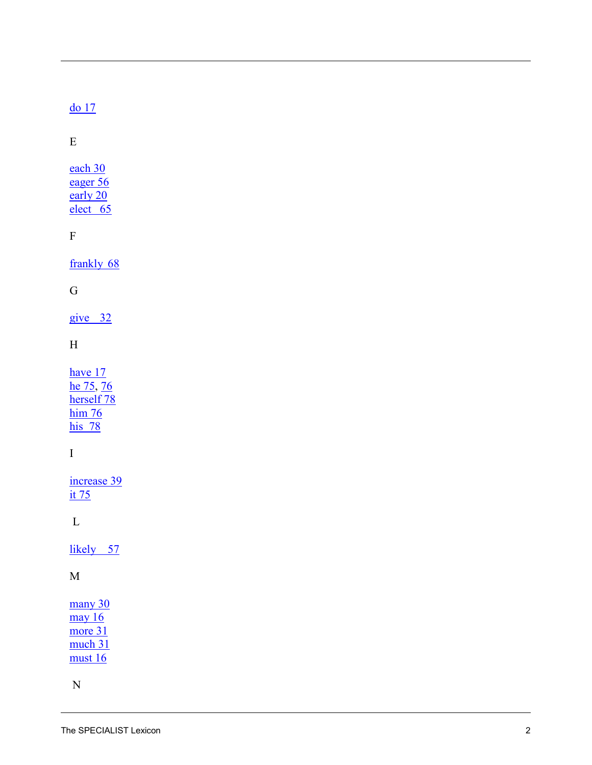# $\frac{\mathrm{d}o}{\mathrm{d}17}$

 $E$ 

each 30 eager 56 early 20  $elect 65$ 

 $\overline{\mathrm{F}}$ 

frankly 68

### $\mathbf G$

 $give$  32

### $\mathbf H$

have  $17$ he 75, 76 herself 78  $him 76$  $his$  78

# $\overline{I}$

increase 39  $\frac{\text{it }75}{\text{it}}$ 

 ${\bf L}$ 

likely 57

### $\mathbf M$

many 30  $\frac{\text{may}}{16}$ more 31 much 31  $must 16$ 

 ${\bf N}$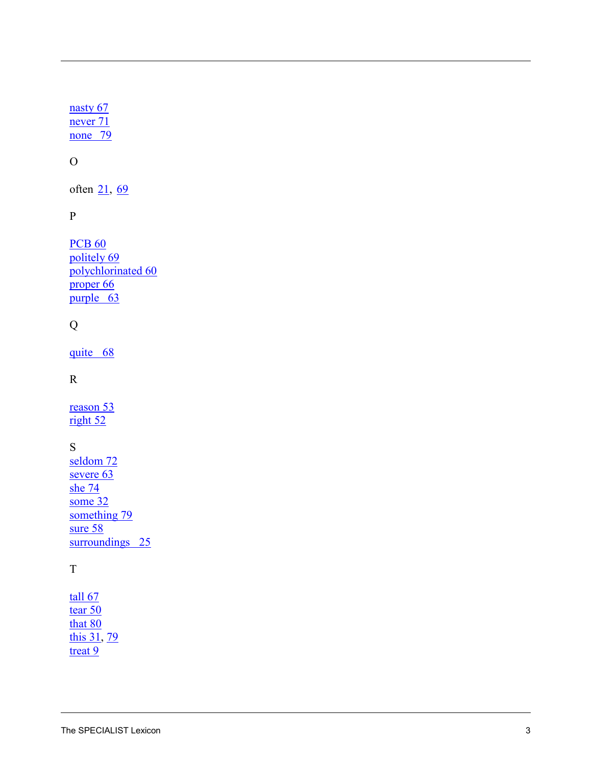nasty 67 never 71  $none$  79

# ${\cal O}$

often 21, 69

### $\, {\bf p}$

**PCB 60** politely 69 polychlorinated 60  $\frac{1}{\text{proper } 66}$ purple 63

# $\mathbf Q$

quite 68

## $\mathbf R$

reason 53  $right 52$ 

# S

seldom 72 severe 63 she  $74$ some  $32$ something 79 sure  $58$ surroundings 25

# $\mathbf T$

 $tall 67$ tear  $50$ that 80 this 31, 79  $\frac{\text{treat } 9}{\text{treat } 9}$